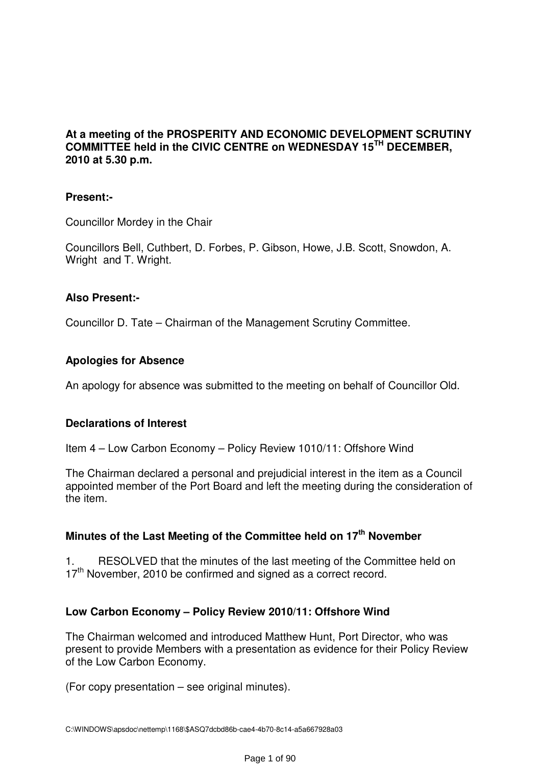#### **At a meeting of the PROSPERITY AND ECONOMIC DEVELOPMENT SCRUTINY COMMITTEE held in the CIVIC CENTRE on WEDNESDAY 15TH DECEMBER, 2010 at 5.30 p.m.**

#### **Present:-**

Councillor Mordey in the Chair

Councillors Bell, Cuthbert, D. Forbes, P. Gibson, Howe, J.B. Scott, Snowdon, A. Wright and T. Wright.

#### **Also Present:-**

Councillor D. Tate – Chairman of the Management Scrutiny Committee.

#### **Apologies for Absence**

An apology for absence was submitted to the meeting on behalf of Councillor Old.

#### **Declarations of Interest**

Item 4 – Low Carbon Economy – Policy Review 1010/11: Offshore Wind

The Chairman declared a personal and prejudicial interest in the item as a Council appointed member of the Port Board and left the meeting during the consideration of the item.

#### **Minutes of the Last Meeting of the Committee held on 17th November**

1. RESOLVED that the minutes of the last meeting of the Committee held on  $17<sup>th</sup>$  November, 2010 be confirmed and signed as a correct record.

#### **Low Carbon Economy – Policy Review 2010/11: Offshore Wind**

The Chairman welcomed and introduced Matthew Hunt, Port Director, who was present to provide Members with a presentation as evidence for their Policy Review of the Low Carbon Economy.

(For copy presentation – see original minutes).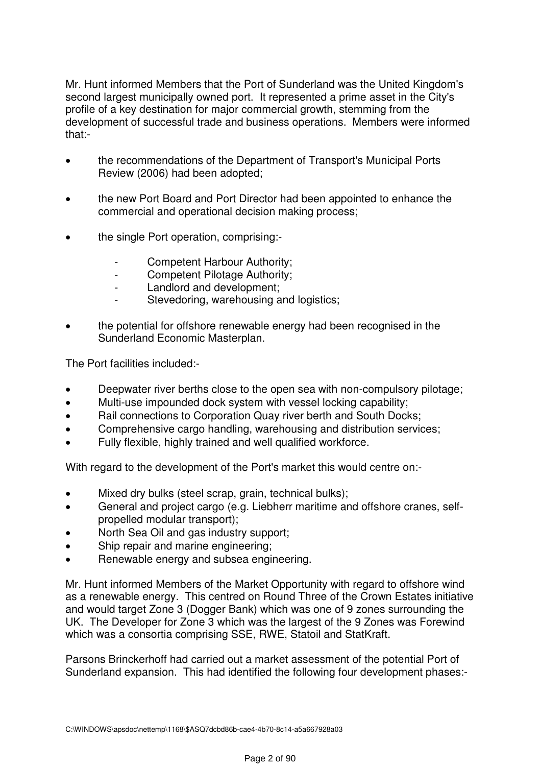Mr. Hunt informed Members that the Port of Sunderland was the United Kingdom's second largest municipally owned port. It represented a prime asset in the City's profile of a key destination for major commercial growth, stemming from the development of successful trade and business operations. Members were informed that:-

- the recommendations of the Department of Transport's Municipal Ports Review (2006) had been adopted;
- the new Port Board and Port Director had been appointed to enhance the commercial and operational decision making process;
- the single Port operation, comprising:-
	- Competent Harbour Authority;
	- Competent Pilotage Authority;
	- Landlord and development;
	- Stevedoring, warehousing and logistics;
- the potential for offshore renewable energy had been recognised in the Sunderland Economic Masterplan.

The Port facilities included:-

- Deepwater river berths close to the open sea with non-compulsory pilotage;
- Multi-use impounded dock system with vessel locking capability;
- Rail connections to Corporation Quay river berth and South Docks;
- Comprehensive cargo handling, warehousing and distribution services;
- Fully flexible, highly trained and well qualified workforce.

With regard to the development of the Port's market this would centre on:-

- Mixed dry bulks (steel scrap, grain, technical bulks);
- General and project cargo (e.g. Liebherr maritime and offshore cranes, selfpropelled modular transport);
- North Sea Oil and gas industry support:
- Ship repair and marine engineering;
- Renewable energy and subsea engineering.

Mr. Hunt informed Members of the Market Opportunity with regard to offshore wind as a renewable energy. This centred on Round Three of the Crown Estates initiative and would target Zone 3 (Dogger Bank) which was one of 9 zones surrounding the UK. The Developer for Zone 3 which was the largest of the 9 Zones was Forewind which was a consortia comprising SSE, RWE, Statoil and StatKraft.

Parsons Brinckerhoff had carried out a market assessment of the potential Port of Sunderland expansion. This had identified the following four development phases:-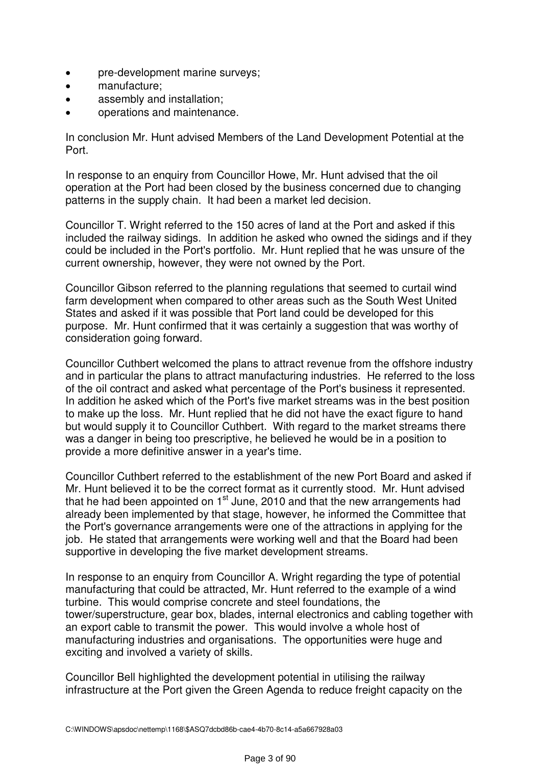- pre-development marine surveys;
- manufacture;
- assembly and installation;
- operations and maintenance.

In conclusion Mr. Hunt advised Members of the Land Development Potential at the Port.

In response to an enquiry from Councillor Howe, Mr. Hunt advised that the oil operation at the Port had been closed by the business concerned due to changing patterns in the supply chain. It had been a market led decision.

Councillor T. Wright referred to the 150 acres of land at the Port and asked if this included the railway sidings. In addition he asked who owned the sidings and if they could be included in the Port's portfolio. Mr. Hunt replied that he was unsure of the current ownership, however, they were not owned by the Port.

Councillor Gibson referred to the planning regulations that seemed to curtail wind farm development when compared to other areas such as the South West United States and asked if it was possible that Port land could be developed for this purpose. Mr. Hunt confirmed that it was certainly a suggestion that was worthy of consideration going forward.

Councillor Cuthbert welcomed the plans to attract revenue from the offshore industry and in particular the plans to attract manufacturing industries. He referred to the loss of the oil contract and asked what percentage of the Port's business it represented. In addition he asked which of the Port's five market streams was in the best position to make up the loss. Mr. Hunt replied that he did not have the exact figure to hand but would supply it to Councillor Cuthbert. With regard to the market streams there was a danger in being too prescriptive, he believed he would be in a position to provide a more definitive answer in a year's time.

Councillor Cuthbert referred to the establishment of the new Port Board and asked if Mr. Hunt believed it to be the correct format as it currently stood. Mr. Hunt advised that he had been appointed on  $1<sup>st</sup>$  June, 2010 and that the new arrangements had already been implemented by that stage, however, he informed the Committee that the Port's governance arrangements were one of the attractions in applying for the job. He stated that arrangements were working well and that the Board had been supportive in developing the five market development streams.

In response to an enquiry from Councillor A. Wright regarding the type of potential manufacturing that could be attracted, Mr. Hunt referred to the example of a wind turbine. This would comprise concrete and steel foundations, the tower/superstructure, gear box, blades, internal electronics and cabling together with an export cable to transmit the power. This would involve a whole host of manufacturing industries and organisations. The opportunities were huge and exciting and involved a variety of skills.

Councillor Bell highlighted the development potential in utilising the railway infrastructure at the Port given the Green Agenda to reduce freight capacity on the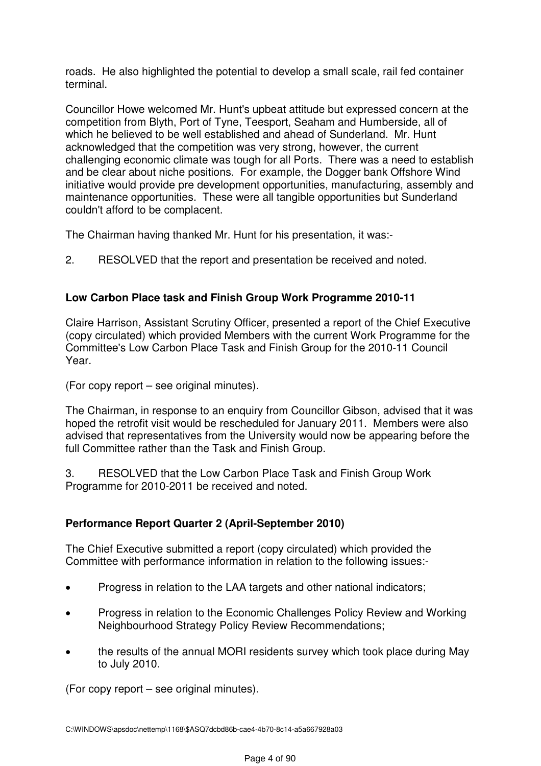roads. He also highlighted the potential to develop a small scale, rail fed container terminal.

Councillor Howe welcomed Mr. Hunt's upbeat attitude but expressed concern at the competition from Blyth, Port of Tyne, Teesport, Seaham and Humberside, all of which he believed to be well established and ahead of Sunderland. Mr. Hunt acknowledged that the competition was very strong, however, the current challenging economic climate was tough for all Ports. There was a need to establish and be clear about niche positions. For example, the Dogger bank Offshore Wind initiative would provide pre development opportunities, manufacturing, assembly and maintenance opportunities. These were all tangible opportunities but Sunderland couldn't afford to be complacent.

The Chairman having thanked Mr. Hunt for his presentation, it was:-

2. RESOLVED that the report and presentation be received and noted.

#### **Low Carbon Place task and Finish Group Work Programme 2010-11**

Claire Harrison, Assistant Scrutiny Officer, presented a report of the Chief Executive (copy circulated) which provided Members with the current Work Programme for the Committee's Low Carbon Place Task and Finish Group for the 2010-11 Council Year.

(For copy report – see original minutes).

The Chairman, in response to an enquiry from Councillor Gibson, advised that it was hoped the retrofit visit would be rescheduled for January 2011. Members were also advised that representatives from the University would now be appearing before the full Committee rather than the Task and Finish Group.

3. RESOLVED that the Low Carbon Place Task and Finish Group Work Programme for 2010-2011 be received and noted.

#### **Performance Report Quarter 2 (April-September 2010)**

The Chief Executive submitted a report (copy circulated) which provided the Committee with performance information in relation to the following issues:-

- Progress in relation to the LAA targets and other national indicators;
- Progress in relation to the Economic Challenges Policy Review and Working Neighbourhood Strategy Policy Review Recommendations;
- the results of the annual MORI residents survey which took place during May to July 2010.

(For copy report – see original minutes).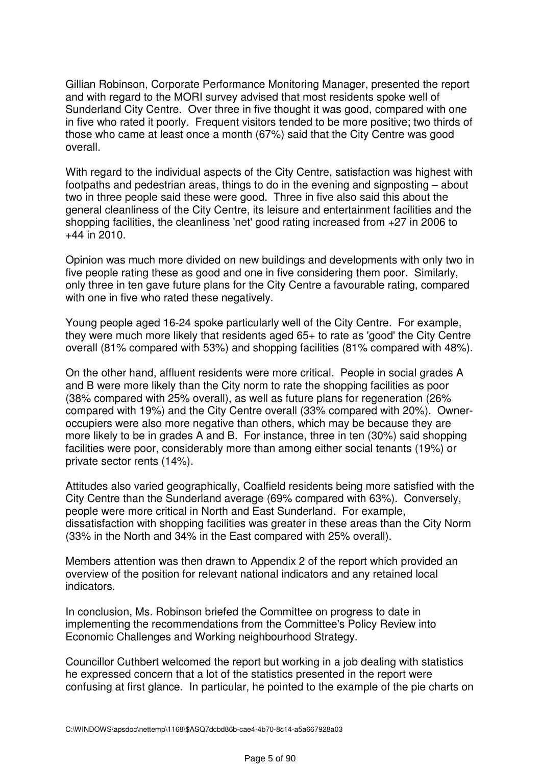Gillian Robinson, Corporate Performance Monitoring Manager, presented the report and with regard to the MORI survey advised that most residents spoke well of Sunderland City Centre. Over three in five thought it was good, compared with one in five who rated it poorly. Frequent visitors tended to be more positive; two thirds of those who came at least once a month (67%) said that the City Centre was good overall.

With regard to the individual aspects of the City Centre, satisfaction was highest with footpaths and pedestrian areas, things to do in the evening and signposting – about two in three people said these were good. Three in five also said this about the general cleanliness of the City Centre, its leisure and entertainment facilities and the shopping facilities, the cleanliness 'net' good rating increased from +27 in 2006 to +44 in 2010.

Opinion was much more divided on new buildings and developments with only two in five people rating these as good and one in five considering them poor. Similarly, only three in ten gave future plans for the City Centre a favourable rating, compared with one in five who rated these negatively.

Young people aged 16-24 spoke particularly well of the City Centre. For example, they were much more likely that residents aged 65+ to rate as 'good' the City Centre overall (81% compared with 53%) and shopping facilities (81% compared with 48%).

On the other hand, affluent residents were more critical. People in social grades A and B were more likely than the City norm to rate the shopping facilities as poor (38% compared with 25% overall), as well as future plans for regeneration (26% compared with 19%) and the City Centre overall (33% compared with 20%). Owneroccupiers were also more negative than others, which may be because they are more likely to be in grades A and B. For instance, three in ten (30%) said shopping facilities were poor, considerably more than among either social tenants (19%) or private sector rents (14%).

Attitudes also varied geographically, Coalfield residents being more satisfied with the City Centre than the Sunderland average (69% compared with 63%). Conversely, people were more critical in North and East Sunderland. For example, dissatisfaction with shopping facilities was greater in these areas than the City Norm (33% in the North and 34% in the East compared with 25% overall).

Members attention was then drawn to Appendix 2 of the report which provided an overview of the position for relevant national indicators and any retained local indicators.

In conclusion, Ms. Robinson briefed the Committee on progress to date in implementing the recommendations from the Committee's Policy Review into Economic Challenges and Working neighbourhood Strategy.

Councillor Cuthbert welcomed the report but working in a job dealing with statistics he expressed concern that a lot of the statistics presented in the report were confusing at first glance. In particular, he pointed to the example of the pie charts on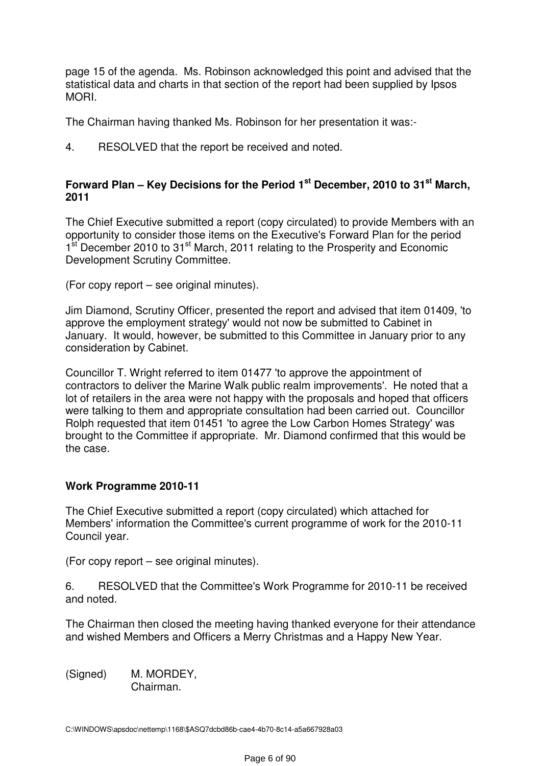page 15 of the agenda. Ms. Robinson acknowledged this point and advised that the statistical data and charts in that section of the report had been supplied by Ipsos MORI.

The Chairman having thanked Ms. Robinson for her presentation it was:-

4. RESOLVED that the report be received and noted.

#### **Forward Plan – Key Decisions for the Period 1st December, 2010 to 31st March, 2011**

The Chief Executive submitted a report (copy circulated) to provide Members with an opportunity to consider those items on the Executive's Forward Plan for the period 1<sup>st</sup> December 2010 to 31<sup>st</sup> March, 2011 relating to the Prosperity and Economic Development Scrutiny Committee.

(For copy report – see original minutes).

Jim Diamond, Scrutiny Officer, presented the report and advised that item 01409, 'to approve the employment strategy' would not now be submitted to Cabinet in January. It would, however, be submitted to this Committee in January prior to any consideration by Cabinet.

Councillor T. Wright referred to item 01477 'to approve the appointment of contractors to deliver the Marine Walk public realm improvements'. He noted that a lot of retailers in the area were not happy with the proposals and hoped that officers were talking to them and appropriate consultation had been carried out. Councillor Rolph requested that item 01451 'to agree the Low Carbon Homes Strategy' was brought to the Committee if appropriate. Mr. Diamond confirmed that this would be the case.

#### **Work Programme 2010-11**

The Chief Executive submitted a report (copy circulated) which attached for Members' information the Committee's current programme of work for the 2010-11 Council year.

(For copy report – see original minutes).

6. RESOLVED that the Committee's Work Programme for 2010-11 be received and noted.

The Chairman then closed the meeting having thanked everyone for their attendance and wished Members and Officers a Merry Christmas and a Happy New Year.

(Signed) M. MORDEY, Chairman.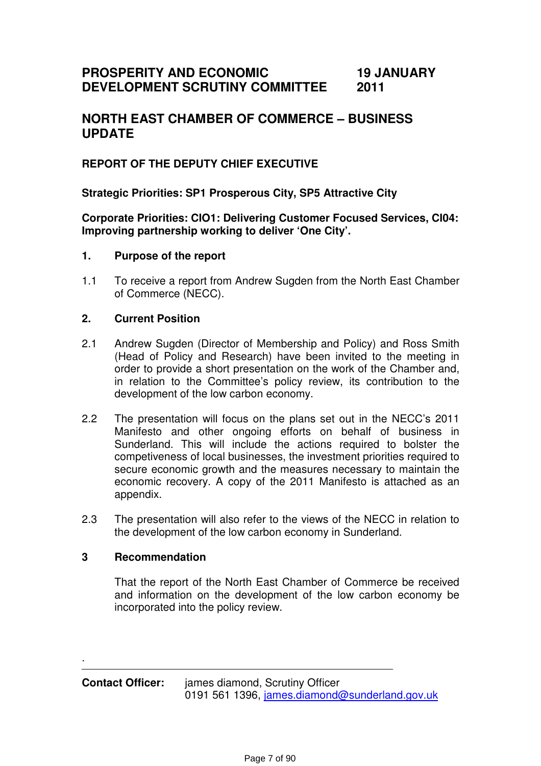#### **NORTH EAST CHAMBER OF COMMERCE – BUSINESS UPDATE**

**REPORT OF THE DEPUTY CHIEF EXECUTIVE** 

**Strategic Priorities: SP1 Prosperous City, SP5 Attractive City** 

**Corporate Priorities: CIO1: Delivering Customer Focused Services, CI04: Improving partnership working to deliver 'One City'.** 

#### **1. Purpose of the report**

1.1 To receive a report from Andrew Sugden from the North East Chamber of Commerce (NECC).

#### **2. Current Position**

- 2.1 Andrew Sugden (Director of Membership and Policy) and Ross Smith (Head of Policy and Research) have been invited to the meeting in order to provide a short presentation on the work of the Chamber and, in relation to the Committee's policy review, its contribution to the development of the low carbon economy.
- 2.2 The presentation will focus on the plans set out in the NECC's 2011 Manifesto and other ongoing efforts on behalf of business in Sunderland. This will include the actions required to bolster the competiveness of local businesses, the investment priorities required to secure economic growth and the measures necessary to maintain the economic recovery. A copy of the 2011 Manifesto is attached as an appendix.
- 2.3 The presentation will also refer to the views of the NECC in relation to the development of the low carbon economy in Sunderland.

#### **3 Recommendation**

.

That the report of the North East Chamber of Commerce be received and information on the development of the low carbon economy be incorporated into the policy review.

| <b>Contact Officer:</b> | james diamond, Scrutiny Officer |                                                |
|-------------------------|---------------------------------|------------------------------------------------|
|                         |                                 | 0191 561 1396, james.diamond@sunderland.gov.uk |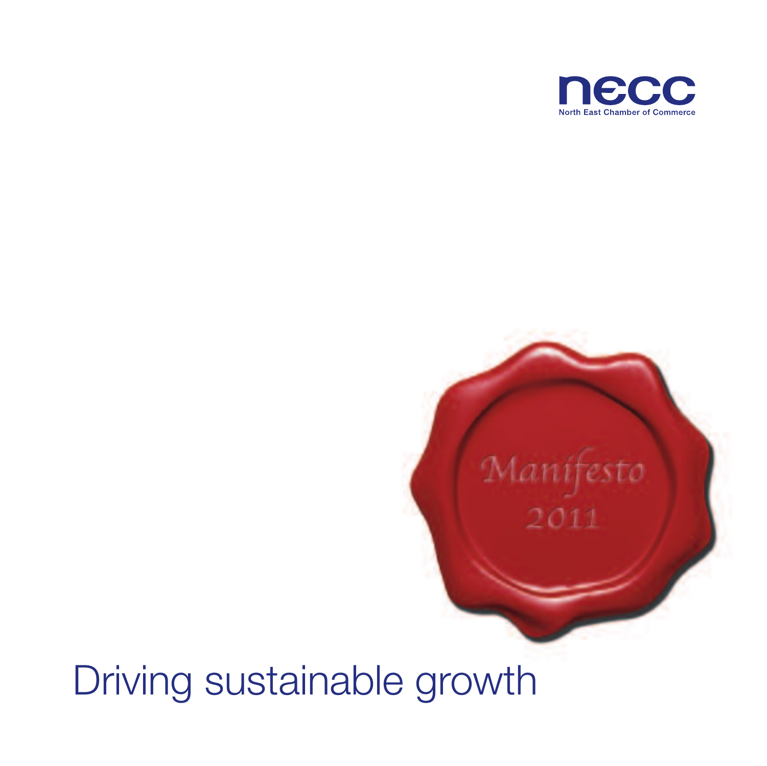

# Manifesto 2011

Driving sustainable growth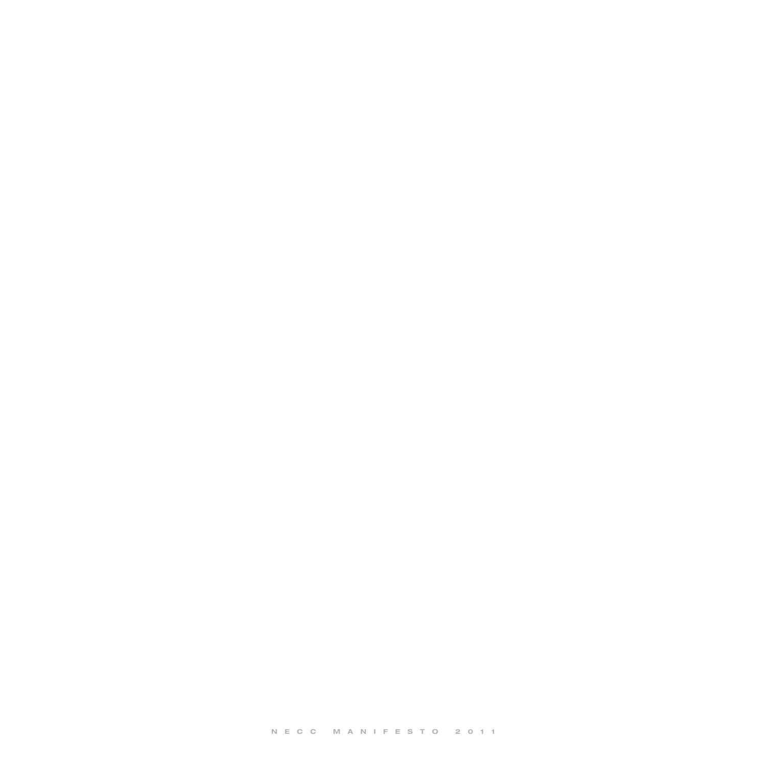#### **N E C C M A N I F E S T O 2 0 1 1**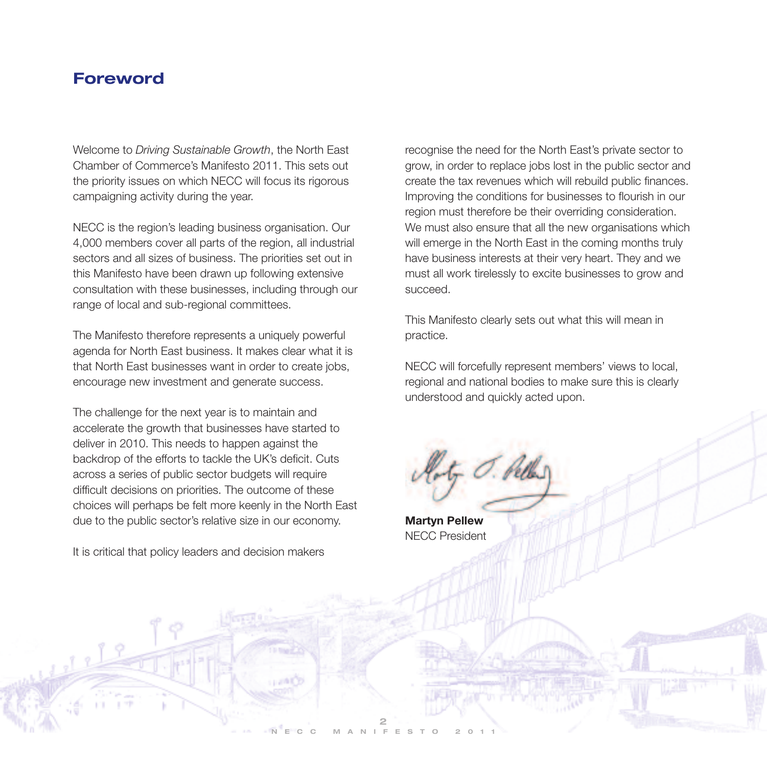#### **Foreword**

Welcome to *Driving Sustainable Growth*, the North East Chamber of Commerce's Manifesto 2011. This sets out the priority issues on which NECC will focus its rigorous campaigning activity during the year.

NECC is the region's leading business organisation. Our 4,000 members cover all parts of the region, all industrial sectors and all sizes of business. The priorities set out in this Manifesto have been drawn up following extensive consultation with these businesses, including through our range of local and sub-regional committees.

The Manifesto therefore represents a uniquely powerful agenda for North East business. It makes clear what it is that North East businesses want in order to create jobs, encourage new investment and generate success.

The challenge for the next year is to maintain and accelerate the growth that businesses have started to deliver in 2010. This needs to happen against the backdrop of the efforts to tackle the UK's deficit. Cuts across a series of public sector budgets will require difficult decisions on priorities. The outcome of these choices will perhaps be felt more keenly in the North East due to the public sector's relative size in our economy.

It is critical that policy leaders and decision makers

recognise the need for the North East's private sector to grow, in order to replace jobs lost in the public sector and create the tax revenues which will rebuild public finances. Improving the conditions for businesses to flourish in our region must therefore be their overriding consideration. We must also ensure that all the new organisations which will emerge in the North East in the coming months truly have business interests at their very heart. They and we must all work tirelessly to excite businesses to grow and succeed.

This Manifesto clearly sets out what this will mean in practice.

NECC will forcefully represent members' views to local, regional and national bodies to make sure this is clearly understood and quickly acted upon.

to O. Peller

**Martyn Pellew** NECC President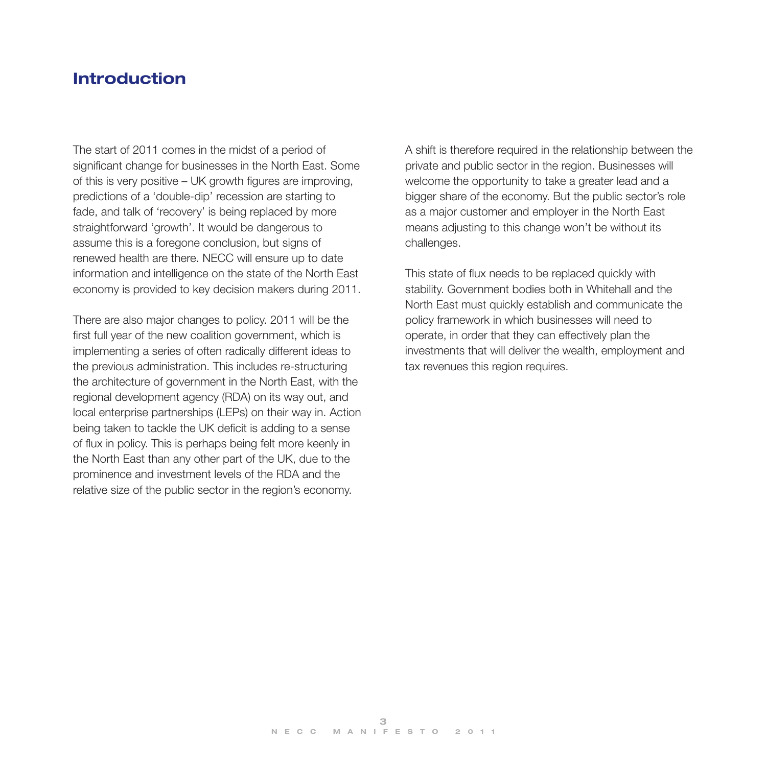#### **Introduction**

The start of 2011 comes in the midst of a period of significant change for businesses in the North East. Some of this is very positive – UK growth figures are improving, predictions of a 'double-dip' recession are starting to fade, and talk of 'recovery' is being replaced by more straightforward 'growth'. It would be dangerous to assume this is a foregone conclusion, but signs of renewed health are there. NECC will ensure up to date information and intelligence on the state of the North East economy is provided to key decision makers during 2011.

There are also major changes to policy. 2011 will be the first full year of the new coalition government, which is implementing a series of often radically different ideas to the previous administration. This includes re-structuring the architecture of government in the North East, with the regional development agency (RDA) on its way out, and local enterprise partnerships (LEPs) on their way in. Action being taken to tackle the UK deficit is adding to a sense of flux in policy. This is perhaps being felt more keenly in the North East than any other part of the UK, due to the prominence and investment levels of the RDA and the relative size of the public sector in the region's economy.

A shift is therefore required in the relationship between the private and public sector in the region. Businesses will welcome the opportunity to take a greater lead and a bigger share of the economy. But the public sector's role as a major customer and employer in the North East means adjusting to this change won't be without its challenges.

This state of flux needs to be replaced quickly with stability. Government bodies both in Whitehall and the North East must quickly establish and communicate the policy framework in which businesses will need to operate, in order that they can effectively plan the investments that will deliver the wealth, employment and tax revenues this region requires.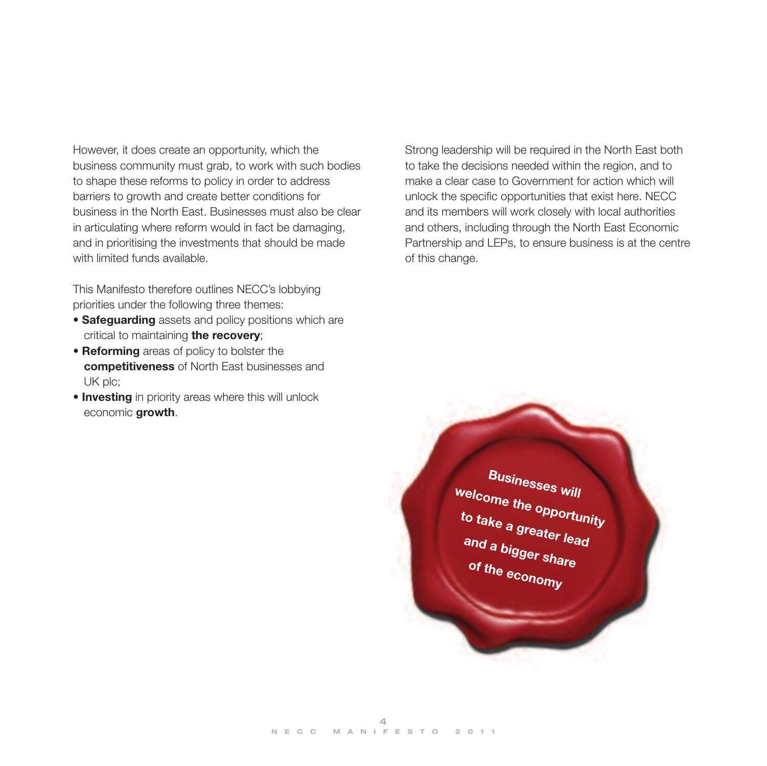However, it does create an opportunity, which the business community must grab, to work with such bodies to shape these reforms to policy in order to address barriers to growth and create better conditions for business in the North East. Businesses must also be clear in articulating where reform would in fact be damaging, and in prioritising the investments that should be made with limited funds available.

This Manifesto therefore outlines NECC's lobbying priorities under the following three themes:

- **Safeguarding** assets and policy positions which are critical to maintaining **the recovery**;
- **Reforming** areas of policy to bolster the **competitiveness** of North East businesses and UK plc;
- **Investing** in priority areas where this will unlock economic **growth**.

Strong leadership will be required in the North East both to take the decisions needed within the region, and to make a clear case to Government for action which will unlock the specific opportunities that exist here. NECC and its members will work closely with local authorities and others, including through the North East Economic Partnership and LEPs, to ensure business is at the centre of this change.

> **welco m <sup>e</sup> the opportunity t o t B usinesses will a n d ake <sup>a</sup> greater lead o <sup>a</sup> bigger share <sup>f</sup> the economy**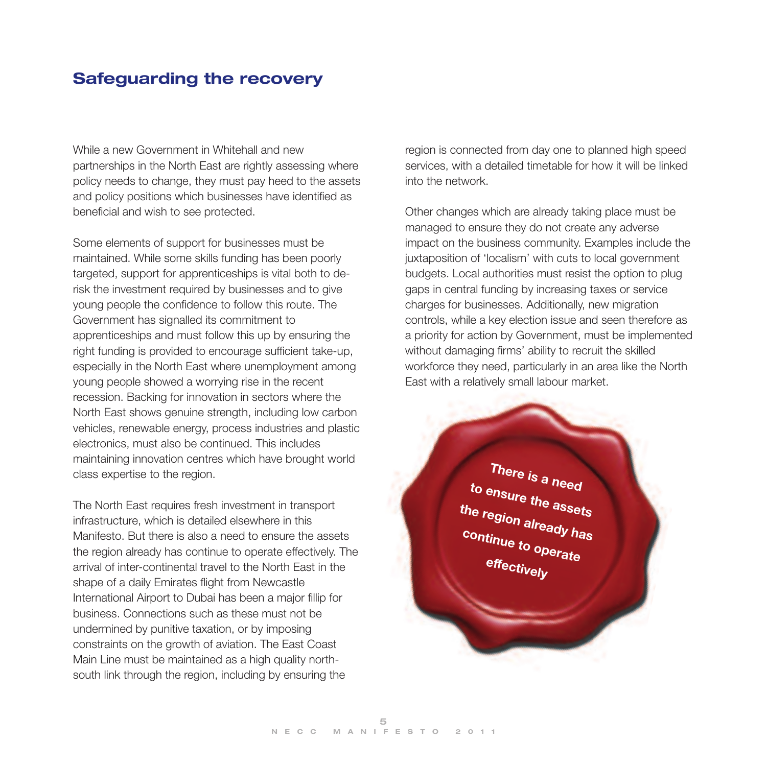#### **Safeguarding the recovery**

While a new Government in Whitehall and new partnerships in the North East are rightly assessing where policy needs to change, they must pay heed to the assets and policy positions which businesses have identified as beneficial and wish to see protected.

Some elements of support for businesses must be maintained. While some skills funding has been poorly targeted, support for apprenticeships is vital both to derisk the investment required by businesses and to give young people the confidence to follow this route. The Government has signalled its commitment to apprenticeships and must follow this up by ensuring the right funding is provided to encourage sufficient take-up, especially in the North East where unemployment among young people showed a worrying rise in the recent recession. Backing for innovation in sectors where the North East shows genuine strength, including low carbon vehicles, renewable energy, process industries and plastic electronics, must also be continued. This includes maintaining innovation centres which have brought world class expertise to the region.

The North East requires fresh investment in transport infrastructure, which is detailed elsewhere in this Manifesto. But there is also a need to ensure the assets the region already has continue to operate effectively. The arrival of inter-continental travel to the North East in the shape of a daily Emirates flight from Newcastle International Airport to Dubai has been a major fillip for business. Connections such as these must not be undermined by punitive taxation, or by imposing constraints on the growth of aviation. The East Coast Main Line must be maintained as a high quality northsouth link through the region, including by ensuring the

region is connected from day one to planned high speed services, with a detailed timetable for how it will be linked into the network.

Other changes which are already taking place must be managed to ensure they do not create any adverse impact on the business community. Examples include the juxtaposition of 'localism' with cuts to local government budgets. Local authorities must resist the option to plug gaps in central funding by increasing taxes or service charges for businesses. Additionally, new migration controls, while a key election issue and seen therefore as a priority for action by Government, must be implemented without damaging firms' ability to recruit the skilled workforce they need, particularly in an area like the North East with a relatively small labour market.

**There is <sup>a</sup> need**

**e nsure the assets**

**conti gion already has continue** to operate **effectively**

**to e**

**the <sup>r</sup>**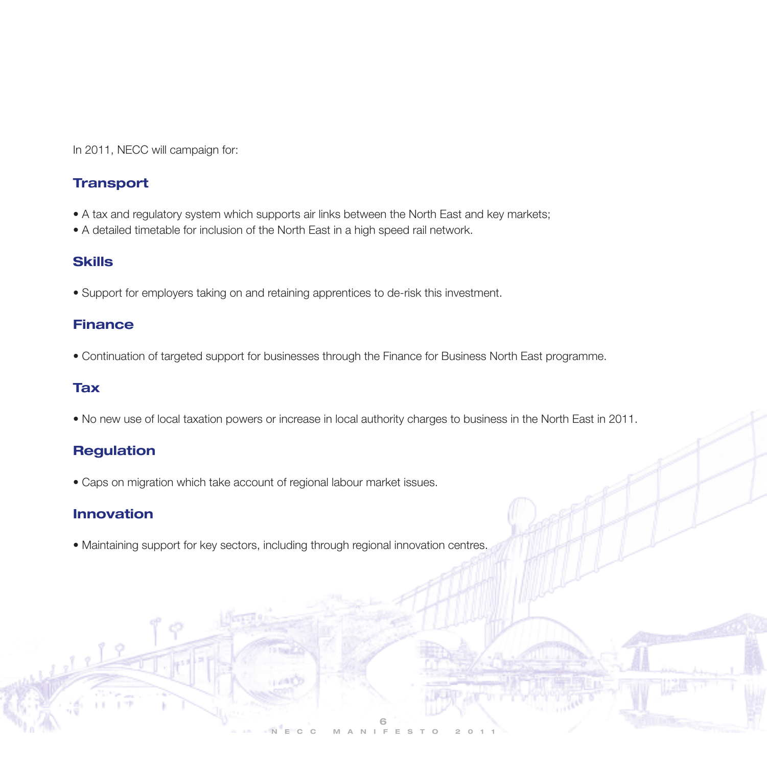In 2011, NECC will campaign for:

#### **Transport**

- A tax and regulatory system which supports air links between the North East and key markets;
- A detailed timetable for inclusion of the North East in a high speed rail network.

#### **Skills**

• Support for employers taking on and retaining apprentices to de-risk this investment.

#### **Finance**

• Continuation of targeted support for businesses through the Finance for Business North East programme.

#### **Tax**

• No new use of local taxation powers or increase in local authority charges to business in the North East in 2011.

#### **Regulation**

• Caps on migration which take account of regional labour market issues.

#### **Innovation**

• Maintaining support for key sectors, including through regional innovation centres.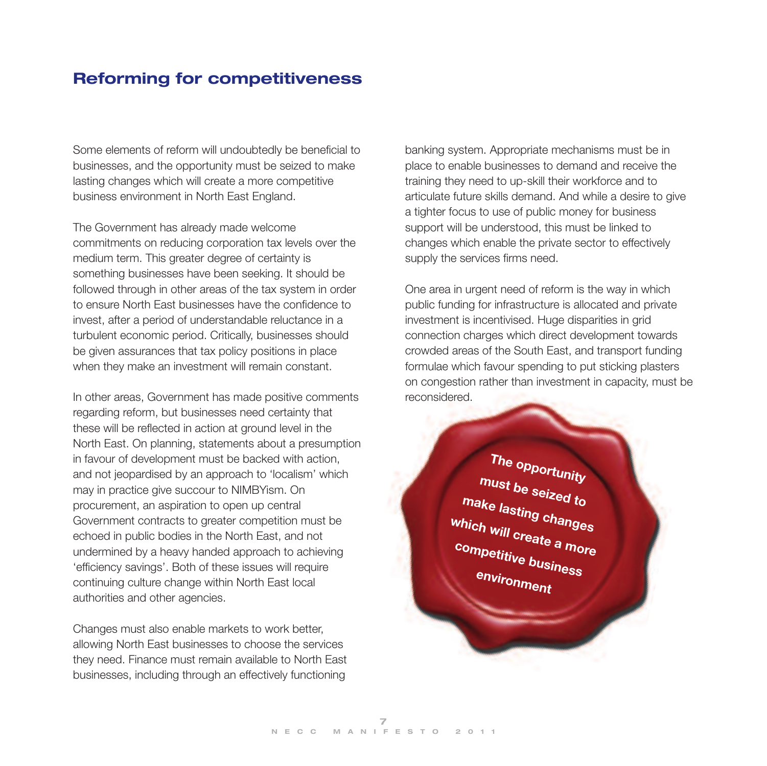#### **Reforming for competitiveness**

Some elements of reform will undoubtedly be beneficial to businesses, and the opportunity must be seized to make lasting changes which will create a more competitive business environment in North East England.

The Government has already made welcome commitments on reducing corporation tax levels over the medium term. This greater degree of certainty is something businesses have been seeking. It should be followed through in other areas of the tax system in order to ensure North East businesses have the confidence to invest, after a period of understandable reluctance in a turbulent economic period. Critically, businesses should be given assurances that tax policy positions in place when they make an investment will remain constant.

In other areas, Government has made positive comments regarding reform, but businesses need certainty that these will be reflected in action at ground level in the North East. On planning, statements about a presumption in favour of development must be backed with action, and not jeopardised by an approach to 'localism' which may in practice give succour to NIMBYism. On procurement, an aspiration to open up central Government contracts to greater competition must be echoed in public bodies in the North East, and not undermined by a heavy handed approach to achieving 'efficiency savings'. Both of these issues will require continuing culture change within North East local authorities and other agencies.

Changes must also enable markets to work better, allowing North East businesses to choose the services they need. Finance must remain available to North East businesses, including through an effectively functioning

banking system. Appropriate mechanisms must be in place to enable businesses to demand and receive the training they need to up-skill their workforce and to articulate future skills demand. And while a desire to give a tighter focus to use of public money for business support will be understood, this must be linked to changes which enable the private sector to effectively supply the services firms need.

One area in urgent need of reform is the way in which public funding for infrastructure is allocated and private investment is incentivised. Huge disparities in grid connection charges which direct development towards crowded areas of the South East, and transport funding formulae which favour spending to put sticking plasters on congestion rather than investment in capacity, must be reconsidered.

> **m ust be seized to The opportunity mak <sup>e</sup> lasting changes which will create <sup>a</sup> more com e petitive business nvironment**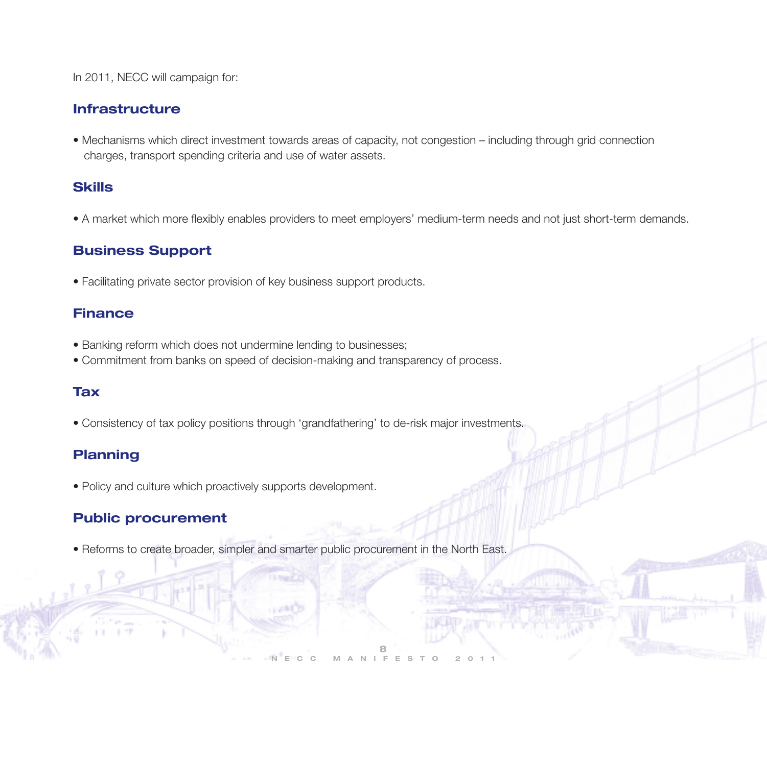In 2011, NECC will campaign for:

#### **Infrastructure**

• Mechanisms which direct investment towards areas of capacity, not congestion – including through grid connection charges, transport spending criteria and use of water assets.

#### **Skills**

• A market which more flexibly enables providers to meet employers' medium-term needs and not just short-term demands.

**8 N E C C M A N I F E S T O 2 0 1 1**

#### **Business Support**

• Facilitating private sector provision of key business support products.

#### **Finance**

- Banking reform which does not undermine lending to businesses;
- Commitment from banks on speed of decision-making and transparency of process.

#### **Tax**

• Consistency of tax policy positions through 'grandfathering' to de-risk major investments.

#### **Planning**

• Policy and culture which proactively supports development.

#### **Public procurement**

• Reforms to create broader, simpler and smarter public procurement in the North East.

**JATY**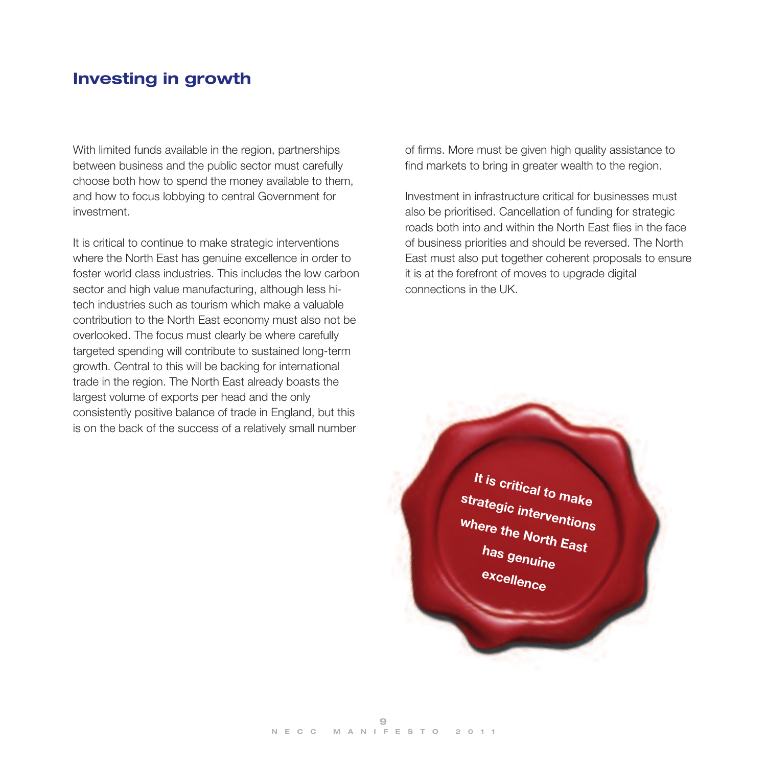#### **Investing in growth**

With limited funds available in the region, partnerships between business and the public sector must carefully choose both how to spend the money available to them, and how to focus lobbying to central Government for investment.

It is critical to continue to make strategic interventions where the North East has genuine excellence in order to foster world class industries. This includes the low carbon sector and high value manufacturing, although less hitech industries such as tourism which make a valuable contribution to the North East economy must also not be overlooked. The focus must clearly be where carefully targeted spending will contribute to sustained long-term growth. Central to this will be backing for international trade in the region. The North East already boasts the largest volume of exports per head and the only consistently positive balance of trade in England, but this is on the back of the success of a relatively small number

of firms. More must be given high quality assistance to find markets to bring in greater wealth to the region.

Investment in infrastructure critical for businesses must also be prioritised. Cancellation of funding for strategic roads both into and within the North East flies in the face of business priorities and should be reversed. The North East must also put together coherent proposals to ensure it is at the forefront of moves to upgrade digital connections in the UK.

> **str I a t t i e <sup>s</sup> critical to make where gic interventions h the North East as genuine excellence**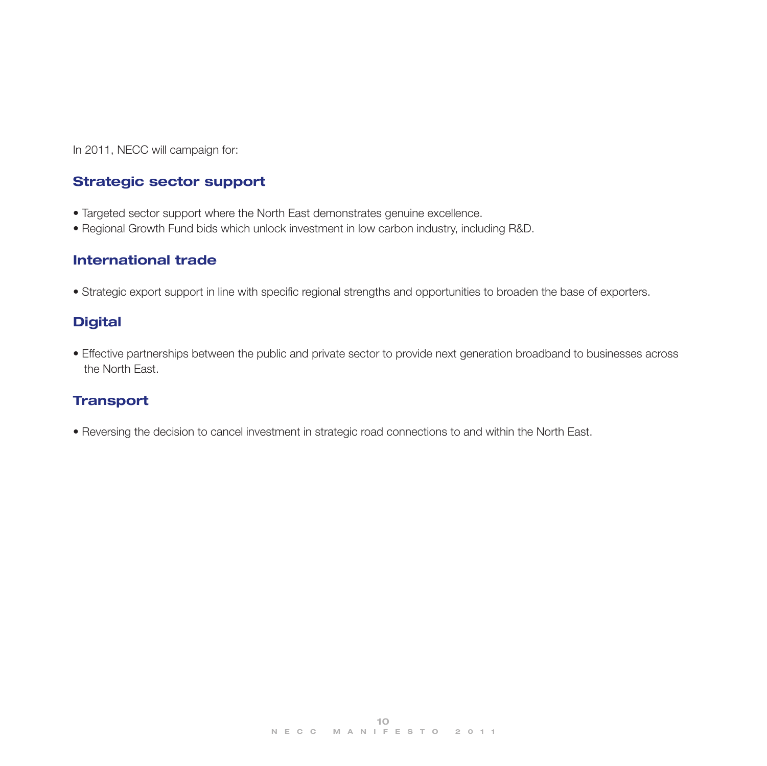In 2011, NECC will campaign for:

#### **Strategic sector support**

- Targeted sector support where the North East demonstrates genuine excellence.
- Regional Growth Fund bids which unlock investment in low carbon industry, including R&D.

#### **International trade**

• Strategic export support in line with specific regional strengths and opportunities to broaden the base of exporters.

#### **Digital**

• Effective partnerships between the public and private sector to provide next generation broadband to businesses across the North East.

#### **Transport**

• Reversing the decision to cancel investment in strategic road connections to and within the North East.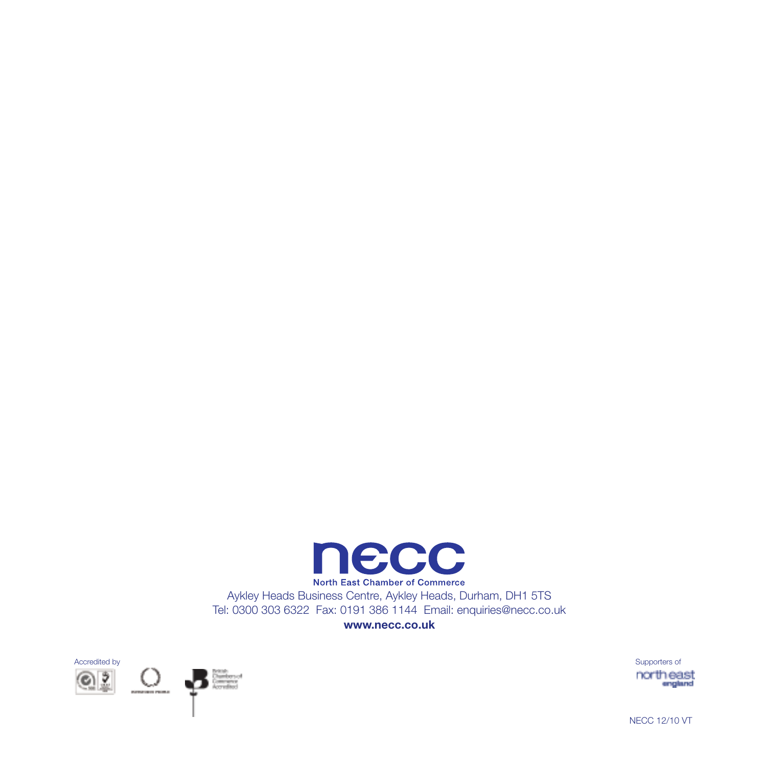

Aykley Heads Business Centre, Aykley Heads, Durham, DH1 5TS Tel: 0300 303 6322 Fax: 0191 386 1144 Email: enquiries@necc.co.uk

**www.necc.co.uk**



north east

NECC 12/10 VT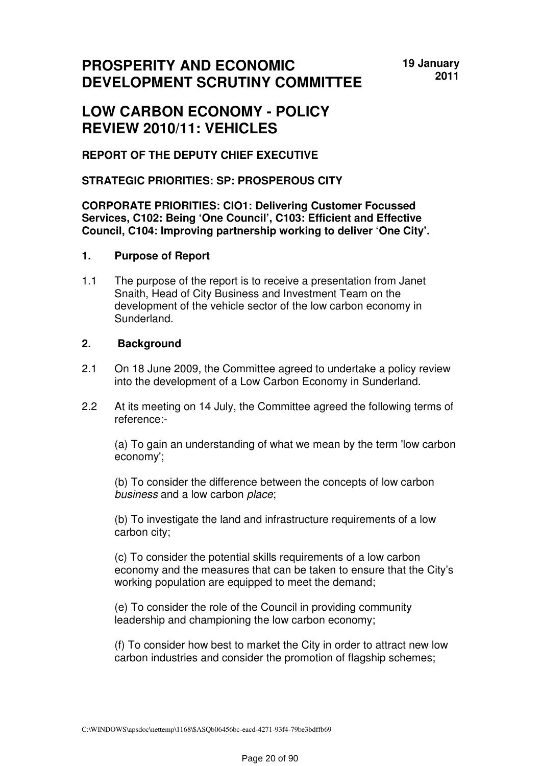# **PROSPERITY AND ECONOMIC DEVELOPMENT SCRUTINY COMMITTEE**

# **LOW CARBON ECONOMY - POLICY REVIEW 2010/11: VEHICLES**

**REPORT OF THE DEPUTY CHIEF EXECUTIVE** 

**STRATEGIC PRIORITIES: SP: PROSPEROUS CITY** 

**CORPORATE PRIORITIES: CIO1: Delivering Customer Focussed Services, C102: Being 'One Council', C103: Efficient and Effective Council, C104: Improving partnership working to deliver 'One City'.** 

#### **1. Purpose of Report**

1.1 The purpose of the report is to receive a presentation from Janet Snaith, Head of City Business and Investment Team on the development of the vehicle sector of the low carbon economy in Sunderland.

#### **2. Background**

- 2.1 On 18 June 2009, the Committee agreed to undertake a policy review into the development of a Low Carbon Economy in Sunderland.
- 2.2 At its meeting on 14 July, the Committee agreed the following terms of reference:-

(a) To gain an understanding of what we mean by the term 'low carbon economy';

(b) To consider the difference between the concepts of low carbon business and a low carbon place;

(b) To investigate the land and infrastructure requirements of a low carbon city;

(c) To consider the potential skills requirements of a low carbon economy and the measures that can be taken to ensure that the City's working population are equipped to meet the demand:

(e) To consider the role of the Council in providing community leadership and championing the low carbon economy;

(f) To consider how best to market the City in order to attract new low carbon industries and consider the promotion of flagship schemes;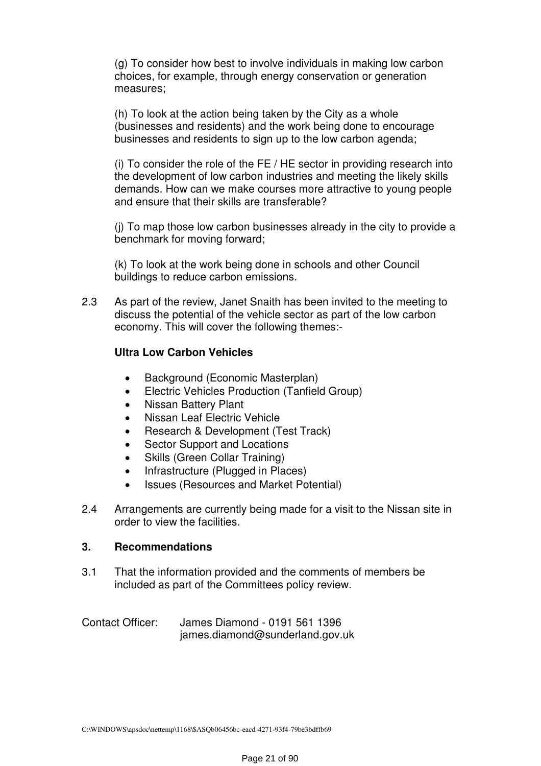(g) To consider how best to involve individuals in making low carbon choices, for example, through energy conservation or generation measures;

(h) To look at the action being taken by the City as a whole (businesses and residents) and the work being done to encourage businesses and residents to sign up to the low carbon agenda;

(i) To consider the role of the FE / HE sector in providing research into the development of low carbon industries and meeting the likely skills demands. How can we make courses more attractive to young people and ensure that their skills are transferable?

(j) To map those low carbon businesses already in the city to provide a benchmark for moving forward;

(k) To look at the work being done in schools and other Council buildings to reduce carbon emissions.

2.3 As part of the review, Janet Snaith has been invited to the meeting to discuss the potential of the vehicle sector as part of the low carbon economy. This will cover the following themes:-

#### **Ultra Low Carbon Vehicles**

- Background (Economic Masterplan)
- Electric Vehicles Production (Tanfield Group)
- Nissan Battery Plant
- Nissan Leaf Electric Vehicle
- Research & Development (Test Track)
- Sector Support and Locations
- Skills (Green Collar Training)
- Infrastructure (Plugged in Places)
- Issues (Resources and Market Potential)
- 2.4 Arrangements are currently being made for a visit to the Nissan site in order to view the facilities.

#### **3. Recommendations**

3.1 That the information provided and the comments of members be included as part of the Committees policy review.

Contact Officer: James Diamond - 0191 561 1396 james.diamond@sunderland.gov.uk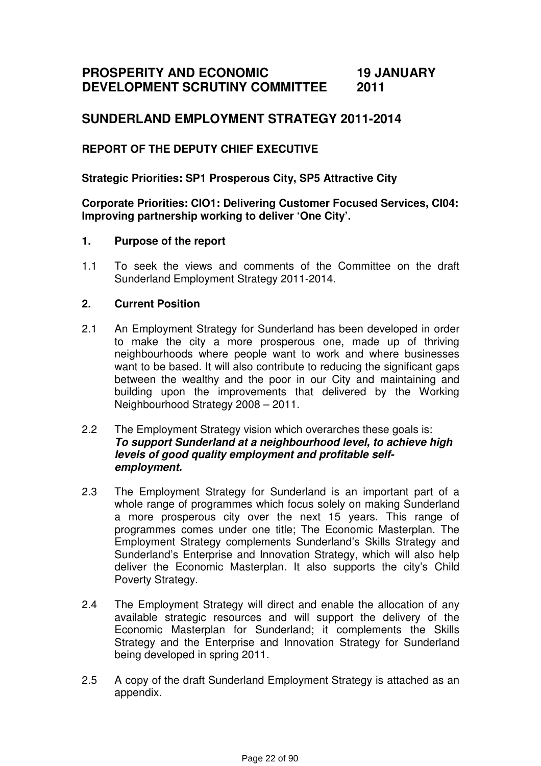#### **PROSPERITY AND ECONOMIC DEVELOPMENT SCRUTINY COMMITTEE 19 JANUARY 2011**

#### **SUNDERLAND EMPLOYMENT STRATEGY 2011-2014**

#### **REPORT OF THE DEPUTY CHIEF EXECUTIVE**

**Strategic Priorities: SP1 Prosperous City, SP5 Attractive City** 

#### **Corporate Priorities: CIO1: Delivering Customer Focused Services, CI04: Improving partnership working to deliver 'One City'.**

#### **1. Purpose of the report**

1.1 To seek the views and comments of the Committee on the draft Sunderland Employment Strategy 2011-2014.

#### **2. Current Position**

2.1 An Employment Strategy for Sunderland has been developed in order to make the city a more prosperous one, made up of thriving neighbourhoods where people want to work and where businesses want to be based. It will also contribute to reducing the significant gaps between the wealthy and the poor in our City and maintaining and building upon the improvements that delivered by the Working Neighbourhood Strategy 2008 – 2011.

#### 2.2 The Employment Strategy vision which overarches these goals is: **To support Sunderland at a neighbourhood level, to achieve high levels of good quality employment and profitable selfemployment.**

- 2.3 The Employment Strategy for Sunderland is an important part of a whole range of programmes which focus solely on making Sunderland a more prosperous city over the next 15 years. This range of programmes comes under one title; The Economic Masterplan. The Employment Strategy complements Sunderland's Skills Strategy and Sunderland's Enterprise and Innovation Strategy, which will also help deliver the Economic Masterplan. It also supports the city's Child Poverty Strategy.
- 2.4 The Employment Strategy will direct and enable the allocation of any available strategic resources and will support the delivery of the Economic Masterplan for Sunderland; it complements the Skills Strategy and the Enterprise and Innovation Strategy for Sunderland being developed in spring 2011.
- 2.5 A copy of the draft Sunderland Employment Strategy is attached as an appendix.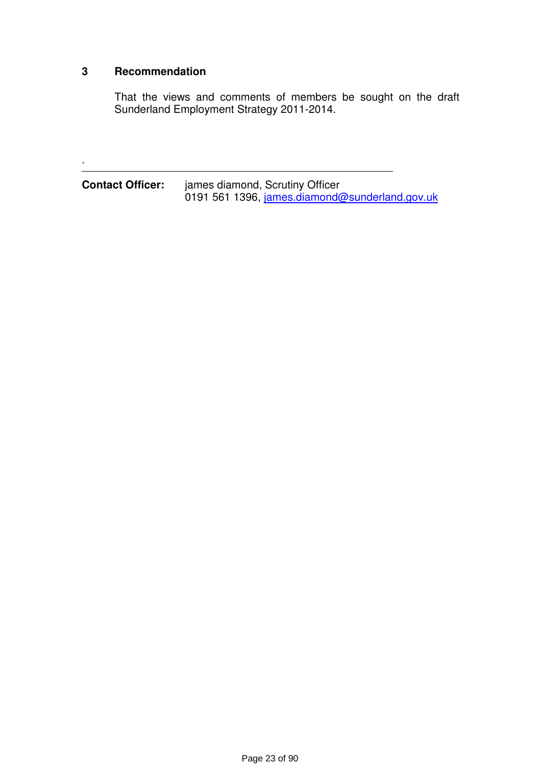#### **3 Recommendation**

.

That the views and comments of members be sought on the draft Sunderland Employment Strategy 2011-2014.

**Contact Officer:** james diamond, Scrutiny Officer der and the main of the same of the sum of the sum of 1915 561 1396, james.diamond@sunderland.gov.uk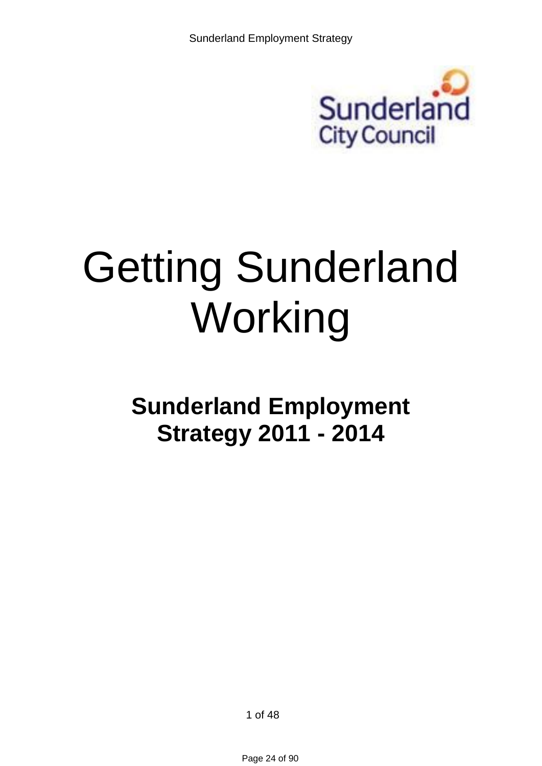

# Getting Sunderland Working

**Sunderland Employment Strategy 2011 - 2014** 

1 of 48

Page 24 of 90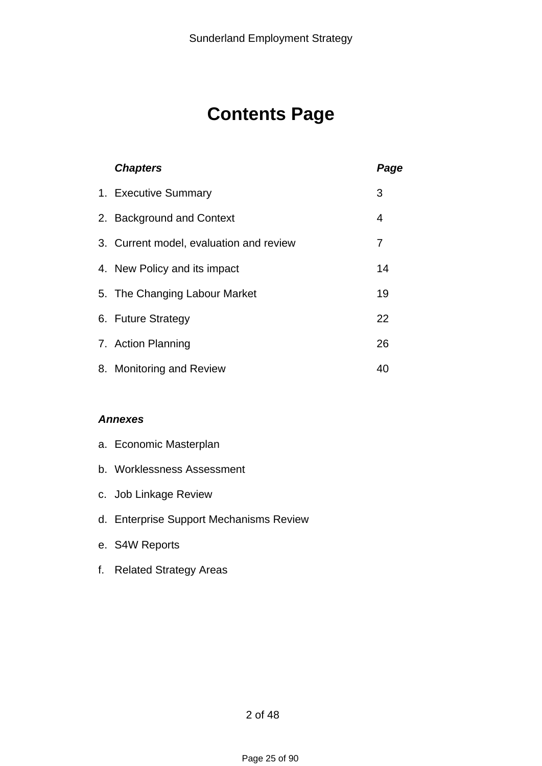# **Contents Page**

| <b>Chapters</b>                         | Page |
|-----------------------------------------|------|
| 1. Executive Summary                    | 3    |
| 2. Background and Context               | 4    |
| 3. Current model, evaluation and review | 7    |
| 4. New Policy and its impact            | 14   |
| 5. The Changing Labour Market           | 19   |
| 6. Future Strategy                      | 22   |
| 7. Action Planning                      | 26   |
| 8. Monitoring and Review                | 40   |

#### **Annexes**

- a. Economic Masterplan
- b. Worklessness Assessment
- c. Job Linkage Review
- d. Enterprise Support Mechanisms Review
- e. S4W Reports
- f. Related Strategy Areas

2 of 48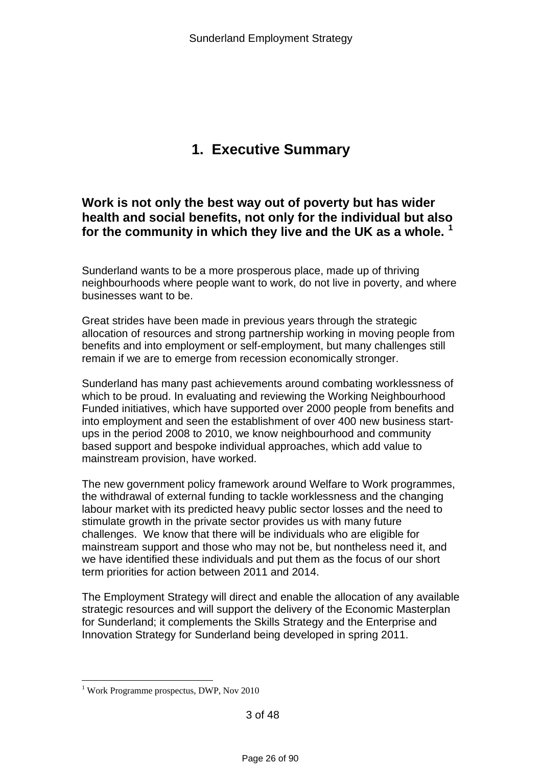# **1. Executive Summary**

#### **Work is not only the best way out of poverty but has wider health and social benefits, not only for the individual but also for the community in which they live and the UK as a whole. [1](#page-25-0)**

Sunderland wants to be a more prosperous place, made up of thriving neighbourhoods where people want to work, do not live in poverty, and where businesses want to be.

Great strides have been made in previous years through the strategic allocation of resources and strong partnership working in moving people from benefits and into employment or self-employment, but many challenges still remain if we are to emerge from recession economically stronger.

Sunderland has many past achievements around combating worklessness of which to be proud. In evaluating and reviewing the Working Neighbourhood Funded initiatives, which have supported over 2000 people from benefits and into employment and seen the establishment of over 400 new business startups in the period 2008 to 2010, we know neighbourhood and community based support and bespoke individual approaches, which add value to mainstream provision, have worked.

The new government policy framework around Welfare to Work programmes, the withdrawal of external funding to tackle worklessness and the changing labour market with its predicted heavy public sector losses and the need to stimulate growth in the private sector provides us with many future challenges. We know that there will be individuals who are eligible for mainstream support and those who may not be, but nontheless need it, and we have identified these individuals and put them as the focus of our short term priorities for action between 2011 and 2014.

The Employment Strategy will direct and enable the allocation of any available strategic resources and will support the delivery of the Economic Masterplan for Sunderland; it complements the Skills Strategy and the Enterprise and Innovation Strategy for Sunderland being developed in spring 2011.

<span id="page-25-0"></span><sup>&</sup>lt;u>.</u> <sup>1</sup> Work Programme prospectus, DWP, Nov 2010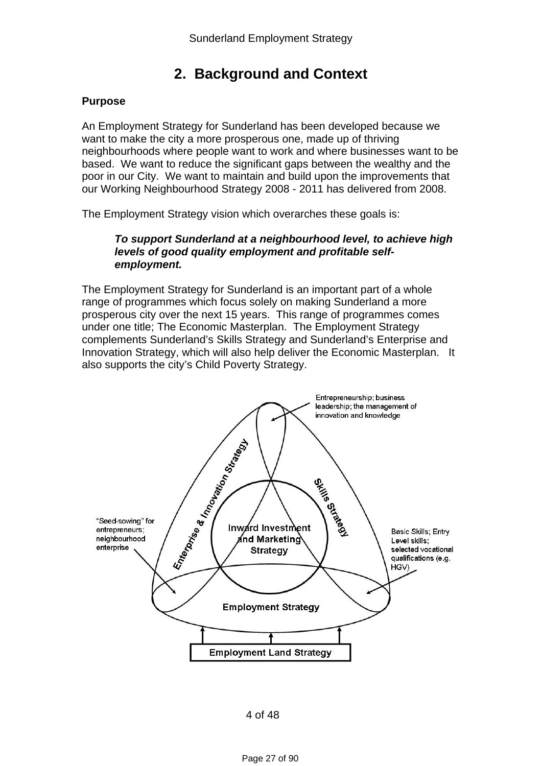# **2. Background and Context**

#### **Purpose**

An Employment Strategy for Sunderland has been developed because we want to make the city a more prosperous one, made up of thriving neighbourhoods where people want to work and where businesses want to be based. We want to reduce the significant gaps between the wealthy and the poor in our City. We want to maintain and build upon the improvements that our Working Neighbourhood Strategy 2008 - 2011 has delivered from 2008.

The Employment Strategy vision which overarches these goals is:

#### **To support Sunderland at a neighbourhood level, to achieve high levels of good quality employment and profitable selfemployment.**

The Employment Strategy for Sunderland is an important part of a whole range of programmes which focus solely on making Sunderland a more prosperous city over the next 15 years. This range of programmes comes under one title; The Economic Masterplan. The Employment Strategy complements Sunderland's Skills Strategy and Sunderland's Enterprise and Innovation Strategy, which will also help deliver the Economic Masterplan. It also supports the city's Child Poverty Strategy.



4 of 48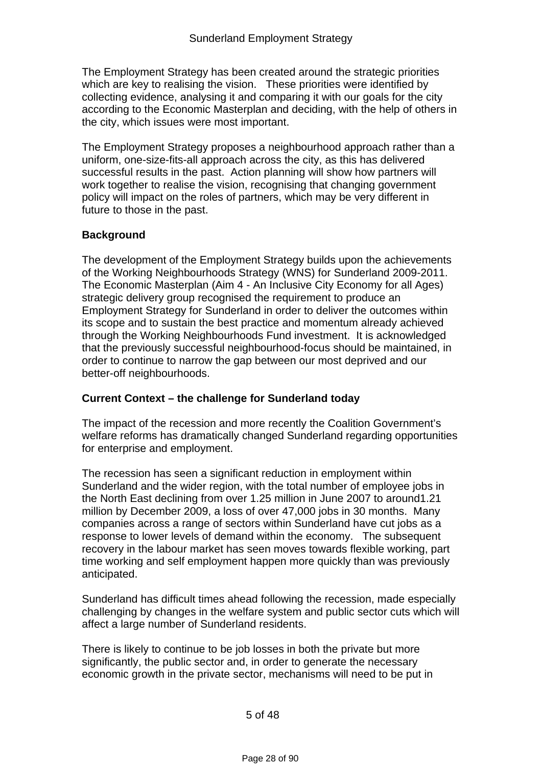The Employment Strategy has been created around the strategic priorities which are key to realising the vision. These priorities were identified by collecting evidence, analysing it and comparing it with our goals for the city according to the Economic Masterplan and deciding, with the help of others in the city, which issues were most important.

The Employment Strategy proposes a neighbourhood approach rather than a uniform, one-size-fits-all approach across the city, as this has delivered successful results in the past. Action planning will show how partners will work together to realise the vision, recognising that changing government policy will impact on the roles of partners, which may be very different in future to those in the past.

#### **Background**

The development of the Employment Strategy builds upon the achievements of the Working Neighbourhoods Strategy (WNS) for Sunderland 2009-2011. The Economic Masterplan (Aim 4 - An Inclusive City Economy for all Ages) strategic delivery group recognised the requirement to produce an Employment Strategy for Sunderland in order to deliver the outcomes within its scope and to sustain the best practice and momentum already achieved through the Working Neighbourhoods Fund investment. It is acknowledged that the previously successful neighbourhood-focus should be maintained, in order to continue to narrow the gap between our most deprived and our better-off neighbourhoods.

#### **Current Context – the challenge for Sunderland today**

The impact of the recession and more recently the Coalition Government's welfare reforms has dramatically changed Sunderland regarding opportunities for enterprise and employment.

The recession has seen a significant reduction in employment within Sunderland and the wider region, with the total number of employee jobs in the North East declining from over 1.25 million in June 2007 to around1.21 million by December 2009, a loss of over 47,000 jobs in 30 months. Many companies across a range of sectors within Sunderland have cut jobs as a response to lower levels of demand within the economy. The subsequent recovery in the labour market has seen moves towards flexible working, part time working and self employment happen more quickly than was previously anticipated.

Sunderland has difficult times ahead following the recession, made especially challenging by changes in the welfare system and public sector cuts which will affect a large number of Sunderland residents.

There is likely to continue to be job losses in both the private but more significantly, the public sector and, in order to generate the necessary economic growth in the private sector, mechanisms will need to be put in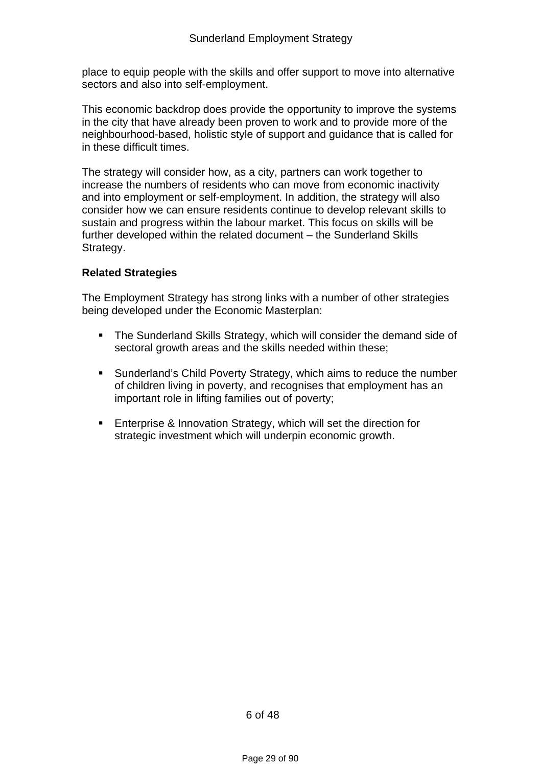place to equip people with the skills and offer support to move into alternative sectors and also into self-employment.

This economic backdrop does provide the opportunity to improve the systems in the city that have already been proven to work and to provide more of the neighbourhood-based, holistic style of support and guidance that is called for in these difficult times.

The strategy will consider how, as a city, partners can work together to increase the numbers of residents who can move from economic inactivity and into employment or self-employment. In addition, the strategy will also consider how we can ensure residents continue to develop relevant skills to sustain and progress within the labour market. This focus on skills will be further developed within the related document – the Sunderland Skills Strategy.

#### **Related Strategies**

The Employment Strategy has strong links with a number of other strategies being developed under the Economic Masterplan:

- The Sunderland Skills Strategy, which will consider the demand side of sectoral growth areas and the skills needed within these;
- Sunderland's Child Poverty Strategy, which aims to reduce the number of children living in poverty, and recognises that employment has an important role in lifting families out of poverty;
- Enterprise & Innovation Strategy, which will set the direction for strategic investment which will underpin economic growth.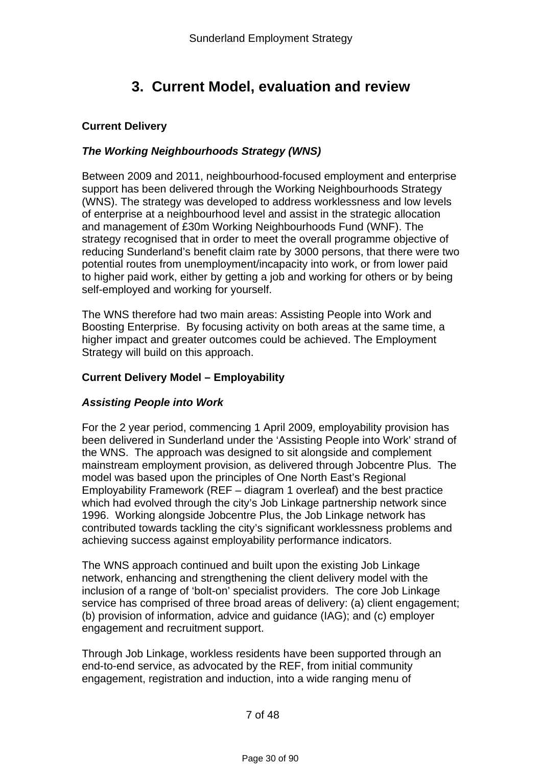# **3. Current Model, evaluation and review**

#### **Current Delivery**

#### **The Working Neighbourhoods Strategy (WNS)**

Between 2009 and 2011, neighbourhood-focused employment and enterprise support has been delivered through the Working Neighbourhoods Strategy (WNS). The strategy was developed to address worklessness and low levels of enterprise at a neighbourhood level and assist in the strategic allocation and management of £30m Working Neighbourhoods Fund (WNF). The strategy recognised that in order to meet the overall programme objective of reducing Sunderland's benefit claim rate by 3000 persons, that there were two potential routes from unemployment/incapacity into work, or from lower paid to higher paid work, either by getting a job and working for others or by being self-employed and working for yourself.

The WNS therefore had two main areas: Assisting People into Work and Boosting Enterprise. By focusing activity on both areas at the same time, a higher impact and greater outcomes could be achieved. The Employment Strategy will build on this approach.

#### **Current Delivery Model – Employability**

#### **Assisting People into Work**

For the 2 year period, commencing 1 April 2009, employability provision has been delivered in Sunderland under the 'Assisting People into Work' strand of the WNS. The approach was designed to sit alongside and complement mainstream employment provision, as delivered through Jobcentre Plus. The model was based upon the principles of One North East's Regional Employability Framework (REF – diagram 1 overleaf) and the best practice which had evolved through the city's Job Linkage partnership network since 1996. Working alongside Jobcentre Plus, the Job Linkage network has contributed towards tackling the city's significant worklessness problems and achieving success against employability performance indicators.

The WNS approach continued and built upon the existing Job Linkage network, enhancing and strengthening the client delivery model with the inclusion of a range of 'bolt-on' specialist providers. The core Job Linkage service has comprised of three broad areas of delivery: (a) client engagement; (b) provision of information, advice and guidance (IAG); and (c) employer engagement and recruitment support.

Through Job Linkage, workless residents have been supported through an end-to-end service, as advocated by the REF, from initial community engagement, registration and induction, into a wide ranging menu of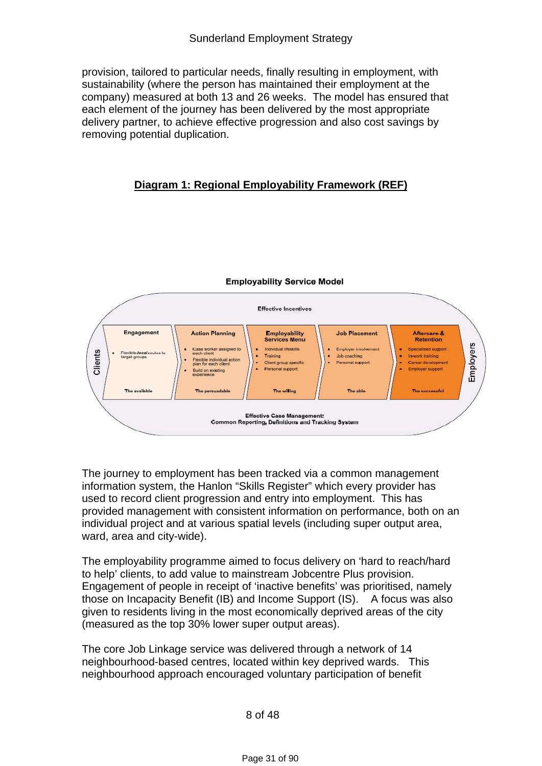provision, tailored to particular needs, finally resulting in employment, with sustainability (where the person has maintained their employment at the company) measured at both 13 and 26 weeks. The model has ensured that each element of the journey has been delivered by the most appropriate delivery partner, to achieve effective progression and also cost savings by removing potential duplication.

#### **Diagram 1: Regional Employability Framework (REF)**



#### **Employability Service Model**

The journey to employment has been tracked via a common management information system, the Hanlon "Skills Register" which every provider has used to record client progression and entry into employment. This has provided management with consistent information on performance, both on an individual project and at various spatial levels (including super output area, ward, area and city-wide).

The employability programme aimed to focus delivery on 'hard to reach/hard to help' clients, to add value to mainstream Jobcentre Plus provision. Engagement of people in receipt of 'inactive benefits' was prioritised, namely those on Incapacity Benefit (IB) and Income Support (IS). A focus was also given to residents living in the most economically deprived areas of the city (measured as the top 30% lower super output areas).

The core Job Linkage service was delivered through a network of 14 neighbourhood-based centres, located within key deprived wards. This neighbourhood approach encouraged voluntary participation of benefit

8 of 48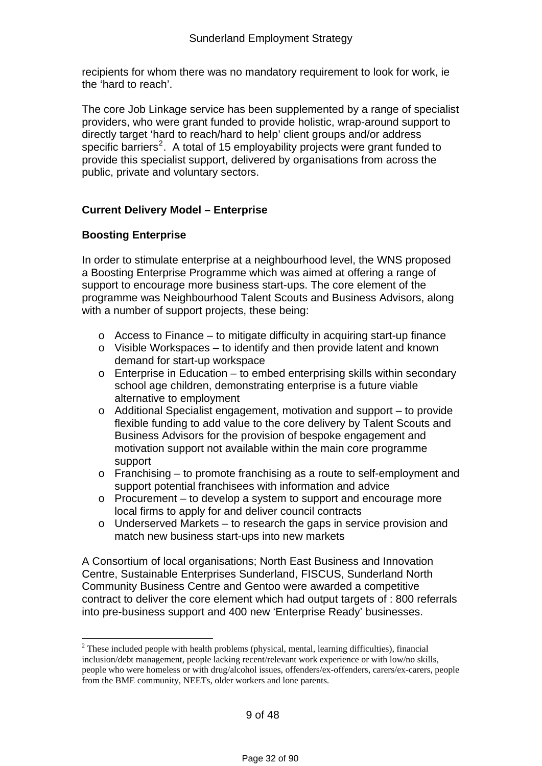recipients for whom there was no mandatory requirement to look for work, ie the 'hard to reach'.

The core Job Linkage service has been supplemented by a range of specialist providers, who were grant funded to provide holistic, wrap-around support to directly target 'hard to reach/hard to help' client groups and/or address specific barriers<sup>[2](#page-31-0)</sup>. A total of 15 employability projects were grant funded to provide this specialist support, delivered by organisations from across the public, private and voluntary sectors.

#### **Current Delivery Model – Enterprise**

#### **Boosting Enterprise**

1

In order to stimulate enterprise at a neighbourhood level, the WNS proposed a Boosting Enterprise Programme which was aimed at offering a range of support to encourage more business start-ups. The core element of the programme was Neighbourhood Talent Scouts and Business Advisors, along with a number of support projects, these being:

- o Access to Finance to mitigate difficulty in acquiring start-up finance
- o Visible Workspaces to identify and then provide latent and known demand for start-up workspace
- $\circ$  Enterprise in Education to embed enterprising skills within secondary school age children, demonstrating enterprise is a future viable alternative to employment
- $\circ$  Additional Specialist engagement, motivation and support to provide flexible funding to add value to the core delivery by Talent Scouts and Business Advisors for the provision of bespoke engagement and motivation support not available within the main core programme support
- o Franchising to promote franchising as a route to self-employment and support potential franchisees with information and advice
- o Procurement to develop a system to support and encourage more local firms to apply for and deliver council contracts
- o Underserved Markets to research the gaps in service provision and match new business start-ups into new markets

A Consortium of local organisations; North East Business and Innovation Centre, Sustainable Enterprises Sunderland, FISCUS, Sunderland North Community Business Centre and Gentoo were awarded a competitive contract to deliver the core element which had output targets of : 800 referrals into pre-business support and 400 new 'Enterprise Ready' businesses.

<span id="page-31-0"></span> $2$  These included people with health problems (physical, mental, learning difficulties), financial inclusion/debt management, people lacking recent/relevant work experience or with low/no skills, people who were homeless or with drug/alcohol issues, offenders/ex-offenders, carers/ex-carers, people from the BME community, NEETs, older workers and lone parents.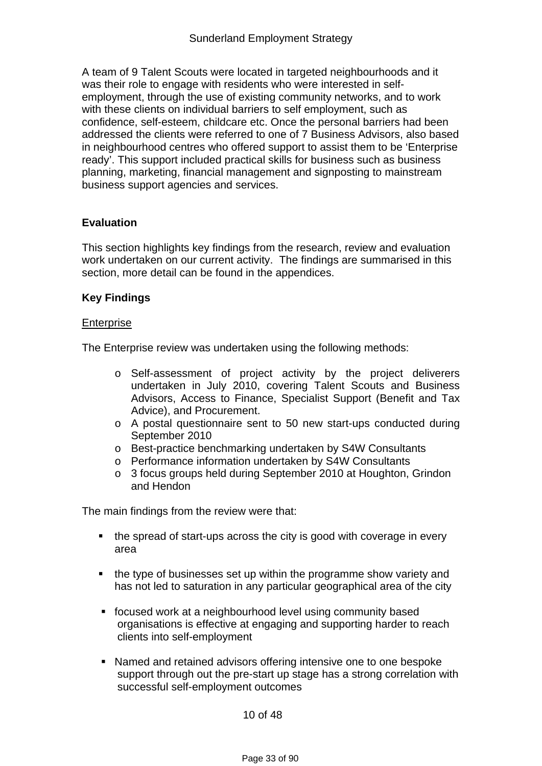A team of 9 Talent Scouts were located in targeted neighbourhoods and it was their role to engage with residents who were interested in selfemployment, through the use of existing community networks, and to work with these clients on individual barriers to self employment, such as confidence, self-esteem, childcare etc. Once the personal barriers had been addressed the clients were referred to one of 7 Business Advisors, also based in neighbourhood centres who offered support to assist them to be 'Enterprise ready'. This support included practical skills for business such as business planning, marketing, financial management and signposting to mainstream business support agencies and services.

#### **Evaluation**

This section highlights key findings from the research, review and evaluation work undertaken on our current activity. The findings are summarised in this section, more detail can be found in the appendices.

#### **Key Findings**

#### Enterprise

The Enterprise review was undertaken using the following methods:

- o Self-assessment of project activity by the project deliverers undertaken in July 2010, covering Talent Scouts and Business Advisors, Access to Finance, Specialist Support (Benefit and Tax Advice), and Procurement.
- o A postal questionnaire sent to 50 new start-ups conducted during September 2010
- o Best-practice benchmarking undertaken by S4W Consultants
- o Performance information undertaken by S4W Consultants
- o 3 focus groups held during September 2010 at Houghton, Grindon and Hendon

The main findings from the review were that:

- the spread of start-ups across the city is good with coverage in every area
- the type of businesses set up within the programme show variety and has not led to saturation in any particular geographical area of the city
- focused work at a neighbourhood level using community based organisations is effective at engaging and supporting harder to reach clients into self-employment
- Named and retained advisors offering intensive one to one bespoke support through out the pre-start up stage has a strong correlation with successful self-employment outcomes

10 of 48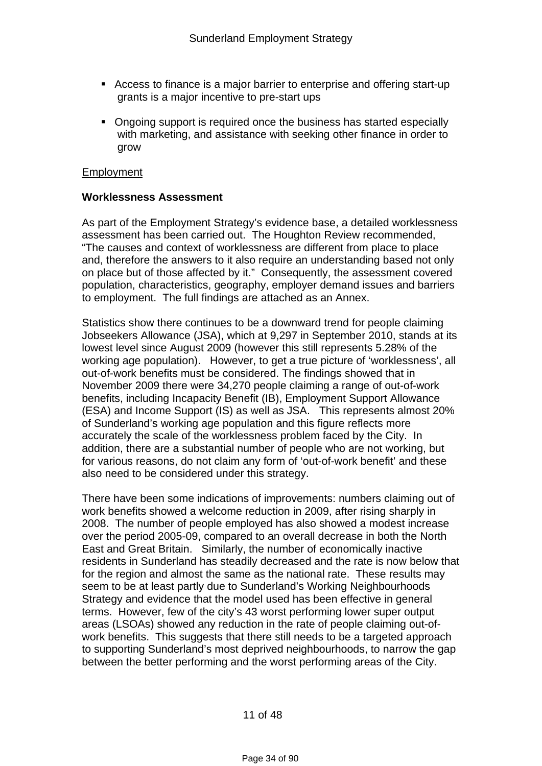- Access to finance is a major barrier to enterprise and offering start-up grants is a major incentive to pre-start ups
- Ongoing support is required once the business has started especially with marketing, and assistance with seeking other finance in order to grow

#### Employment

#### **Worklessness Assessment**

As part of the Employment Strategy's evidence base, a detailed worklessness assessment has been carried out. The Houghton Review recommended, "The causes and context of worklessness are different from place to place and, therefore the answers to it also require an understanding based not only on place but of those affected by it." Consequently, the assessment covered population, characteristics, geography, employer demand issues and barriers to employment. The full findings are attached as an Annex.

Statistics show there continues to be a downward trend for people claiming Jobseekers Allowance (JSA), which at 9,297 in September 2010, stands at its lowest level since August 2009 (however this still represents 5.28% of the working age population). However, to get a true picture of 'worklessness', all out-of-work benefits must be considered. The findings showed that in November 2009 there were 34,270 people claiming a range of out-of-work benefits, including Incapacity Benefit (IB), Employment Support Allowance (ESA) and Income Support (IS) as well as JSA. This represents almost 20% of Sunderland's working age population and this figure reflects more accurately the scale of the worklessness problem faced by the City. In addition, there are a substantial number of people who are not working, but for various reasons, do not claim any form of 'out-of-work benefit' and these also need to be considered under this strategy.

There have been some indications of improvements: numbers claiming out of work benefits showed a welcome reduction in 2009, after rising sharply in 2008. The number of people employed has also showed a modest increase over the period 2005-09, compared to an overall decrease in both the North East and Great Britain. Similarly, the number of economically inactive residents in Sunderland has steadily decreased and the rate is now below that for the region and almost the same as the national rate. These results may seem to be at least partly due to Sunderland's Working Neighbourhoods Strategy and evidence that the model used has been effective in general terms. However, few of the city's 43 worst performing lower super output areas (LSOAs) showed any reduction in the rate of people claiming out-ofwork benefits. This suggests that there still needs to be a targeted approach to supporting Sunderland's most deprived neighbourhoods, to narrow the gap between the better performing and the worst performing areas of the City.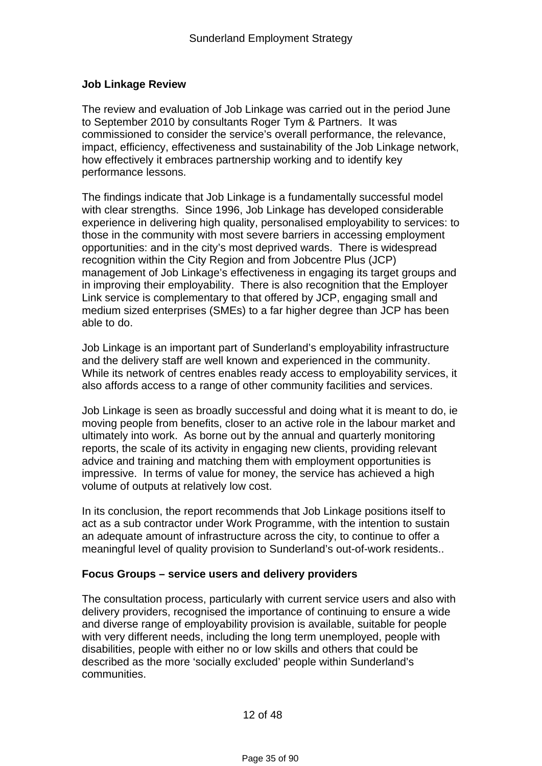#### **Job Linkage Review**

The review and evaluation of Job Linkage was carried out in the period June to September 2010 by consultants Roger Tym & Partners. It was commissioned to consider the service's overall performance, the relevance, impact, efficiency, effectiveness and sustainability of the Job Linkage network, how effectively it embraces partnership working and to identify key performance lessons.

The findings indicate that Job Linkage is a fundamentally successful model with clear strengths. Since 1996, Job Linkage has developed considerable experience in delivering high quality, personalised employability to services: to those in the community with most severe barriers in accessing employment opportunities: and in the city's most deprived wards. There is widespread recognition within the City Region and from Jobcentre Plus (JCP) management of Job Linkage's effectiveness in engaging its target groups and in improving their employability. There is also recognition that the Employer Link service is complementary to that offered by JCP, engaging small and medium sized enterprises (SMEs) to a far higher degree than JCP has been able to do.

Job Linkage is an important part of Sunderland's employability infrastructure and the delivery staff are well known and experienced in the community. While its network of centres enables ready access to employability services, it also affords access to a range of other community facilities and services.

Job Linkage is seen as broadly successful and doing what it is meant to do, ie moving people from benefits, closer to an active role in the labour market and ultimately into work. As borne out by the annual and quarterly monitoring reports, the scale of its activity in engaging new clients, providing relevant advice and training and matching them with employment opportunities is impressive. In terms of value for money, the service has achieved a high volume of outputs at relatively low cost.

In its conclusion, the report recommends that Job Linkage positions itself to act as a sub contractor under Work Programme, with the intention to sustain an adequate amount of infrastructure across the city, to continue to offer a meaningful level of quality provision to Sunderland's out-of-work residents..

#### **Focus Groups – service users and delivery providers**

The consultation process, particularly with current service users and also with delivery providers, recognised the importance of continuing to ensure a wide and diverse range of employability provision is available, suitable for people with very different needs, including the long term unemployed, people with disabilities, people with either no or low skills and others that could be described as the more 'socially excluded' people within Sunderland's communities.

12 of 48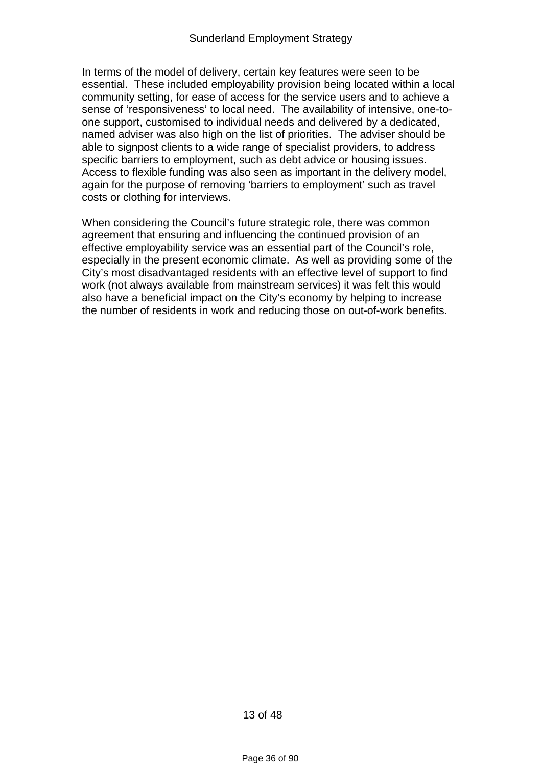In terms of the model of delivery, certain key features were seen to be essential. These included employability provision being located within a local community setting, for ease of access for the service users and to achieve a sense of 'responsiveness' to local need. The availability of intensive, one-toone support, customised to individual needs and delivered by a dedicated, named adviser was also high on the list of priorities. The adviser should be able to signpost clients to a wide range of specialist providers, to address specific barriers to employment, such as debt advice or housing issues. Access to flexible funding was also seen as important in the delivery model, again for the purpose of removing 'barriers to employment' such as travel costs or clothing for interviews.

When considering the Council's future strategic role, there was common agreement that ensuring and influencing the continued provision of an effective employability service was an essential part of the Council's role, especially in the present economic climate. As well as providing some of the City's most disadvantaged residents with an effective level of support to find work (not always available from mainstream services) it was felt this would also have a beneficial impact on the City's economy by helping to increase the number of residents in work and reducing those on out-of-work benefits.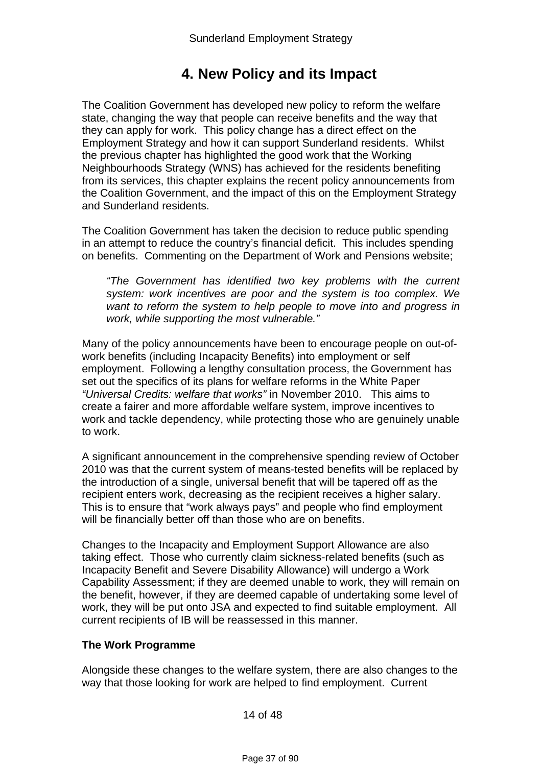# **4. New Policy and its Impact**

The Coalition Government has developed new policy to reform the welfare state, changing the way that people can receive benefits and the way that they can apply for work. This policy change has a direct effect on the Employment Strategy and how it can support Sunderland residents. Whilst the previous chapter has highlighted the good work that the Working Neighbourhoods Strategy (WNS) has achieved for the residents benefiting from its services, this chapter explains the recent policy announcements from the Coalition Government, and the impact of this on the Employment Strategy and Sunderland residents.

The Coalition Government has taken the decision to reduce public spending in an attempt to reduce the country's financial deficit. This includes spending on benefits. Commenting on the Department of Work and Pensions website;

"The Government has identified two key problems with the current system: work incentives are poor and the system is too complex. We want to reform the system to help people to move into and progress in work, while supporting the most vulnerable."

Many of the policy announcements have been to encourage people on out-ofwork benefits (including Incapacity Benefits) into employment or self employment. Following a lengthy consultation process, the Government has set out the specifics of its plans for welfare reforms in the White Paper "Universal Credits: welfare that works" in November 2010. This aims to create a fairer and more affordable welfare system, improve incentives to work and tackle dependency, while protecting those who are genuinely unable to work.

A significant announcement in the comprehensive spending review of October 2010 was that the current system of means-tested benefits will be replaced by the introduction of a single, universal benefit that will be tapered off as the recipient enters work, decreasing as the recipient receives a higher salary. This is to ensure that "work always pays" and people who find employment will be financially better off than those who are on benefits.

Changes to the Incapacity and Employment Support Allowance are also taking effect. Those who currently claim sickness-related benefits (such as Incapacity Benefit and Severe Disability Allowance) will undergo a Work Capability Assessment; if they are deemed unable to work, they will remain on the benefit, however, if they are deemed capable of undertaking some level of work, they will be put onto JSA and expected to find suitable employment. All current recipients of IB will be reassessed in this manner.

## **The Work Programme**

Alongside these changes to the welfare system, there are also changes to the way that those looking for work are helped to find employment. Current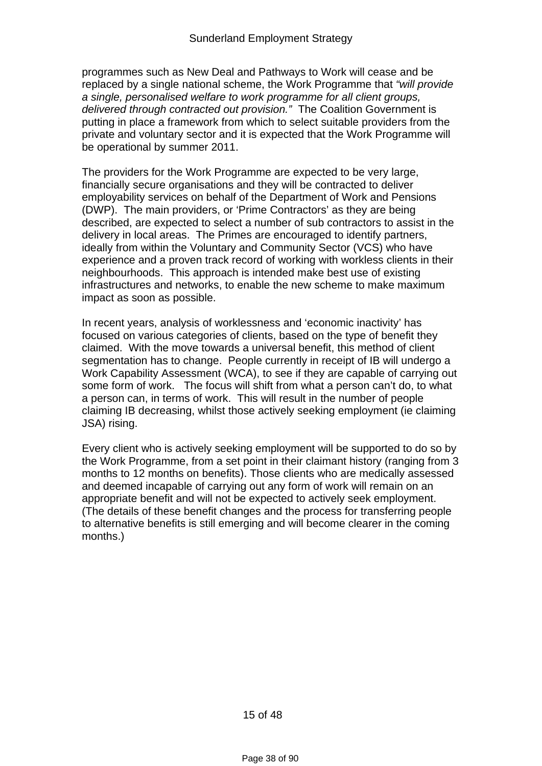programmes such as New Deal and Pathways to Work will cease and be replaced by a single national scheme, the Work Programme that "will provide a single, personalised welfare to work programme for all client groups, delivered through contracted out provision." The Coalition Government is putting in place a framework from which to select suitable providers from the private and voluntary sector and it is expected that the Work Programme will be operational by summer 2011.

The providers for the Work Programme are expected to be very large, financially secure organisations and they will be contracted to deliver employability services on behalf of the Department of Work and Pensions (DWP). The main providers, or 'Prime Contractors' as they are being described, are expected to select a number of sub contractors to assist in the delivery in local areas. The Primes are encouraged to identify partners, ideally from within the Voluntary and Community Sector (VCS) who have experience and a proven track record of working with workless clients in their neighbourhoods. This approach is intended make best use of existing infrastructures and networks, to enable the new scheme to make maximum impact as soon as possible.

In recent years, analysis of worklessness and 'economic inactivity' has focused on various categories of clients, based on the type of benefit they claimed. With the move towards a universal benefit, this method of client segmentation has to change. People currently in receipt of IB will undergo a Work Capability Assessment (WCA), to see if they are capable of carrying out some form of work. The focus will shift from what a person can't do, to what a person can, in terms of work. This will result in the number of people claiming IB decreasing, whilst those actively seeking employment (ie claiming JSA) rising.

Every client who is actively seeking employment will be supported to do so by the Work Programme, from a set point in their claimant history (ranging from 3 months to 12 months on benefits). Those clients who are medically assessed and deemed incapable of carrying out any form of work will remain on an appropriate benefit and will not be expected to actively seek employment. (The details of these benefit changes and the process for transferring people to alternative benefits is still emerging and will become clearer in the coming months.)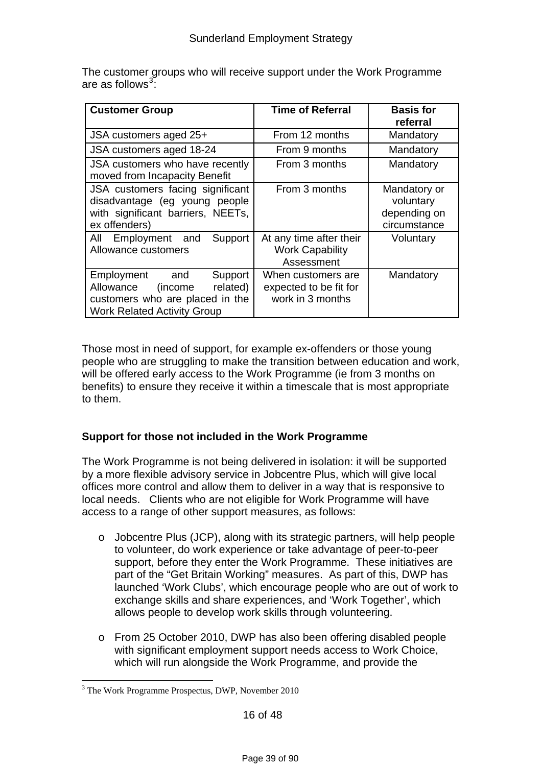| <b>Customer Group</b>                                                                                                                      | <b>Time of Referral</b>                                          | <b>Basis for</b><br>referral                              |  |
|--------------------------------------------------------------------------------------------------------------------------------------------|------------------------------------------------------------------|-----------------------------------------------------------|--|
| JSA customers aged 25+                                                                                                                     | From 12 months                                                   | Mandatory                                                 |  |
| JSA customers aged 18-24                                                                                                                   | From 9 months                                                    | Mandatory                                                 |  |
| JSA customers who have recently<br>moved from Incapacity Benefit                                                                           | From 3 months                                                    | Mandatory                                                 |  |
| JSA customers facing significant<br>disadvantage (eg young people<br>with significant barriers, NEETs,<br>ex offenders)                    | From 3 months                                                    | Mandatory or<br>voluntary<br>depending on<br>circumstance |  |
| All Employment and<br>Support<br>Allowance customers                                                                                       | At any time after their<br><b>Work Capability</b><br>Assessment  | Voluntary                                                 |  |
| Employment<br>Support<br>and<br>related)<br>Allowance<br>(income)<br>customers who are placed in the<br><b>Work Related Activity Group</b> | When customers are<br>expected to be fit for<br>work in 3 months | Mandatory                                                 |  |

The customer groups who will receive support under the Work Programme are as follows<sup>[3](#page-38-0)</sup>:

Those most in need of support, for example ex-offenders or those young people who are struggling to make the transition between education and work, will be offered early access to the Work Programme (ie from 3 months on benefits) to ensure they receive it within a timescale that is most appropriate to them.

# **Support for those not included in the Work Programme**

The Work Programme is not being delivered in isolation: it will be supported by a more flexible advisory service in Jobcentre Plus, which will give local offices more control and allow them to deliver in a way that is responsive to local needs. Clients who are not eligible for Work Programme will have access to a range of other support measures, as follows:

- o Jobcentre Plus (JCP), along with its strategic partners, will help people to volunteer, do work experience or take advantage of peer-to-peer support, before they enter the Work Programme. These initiatives are part of the "Get Britain Working" measures. As part of this, DWP has launched 'Work Clubs', which encourage people who are out of work to exchange skills and share experiences, and 'Work Together', which allows people to develop work skills through volunteering.
- o From 25 October 2010, DWP has also been offering disabled people with significant employment support needs access to Work Choice, which will run alongside the Work Programme, and provide the

<span id="page-38-0"></span><sup>&</sup>lt;u>.</u> <sup>3</sup> The Work Programme Prospectus, DWP, November 2010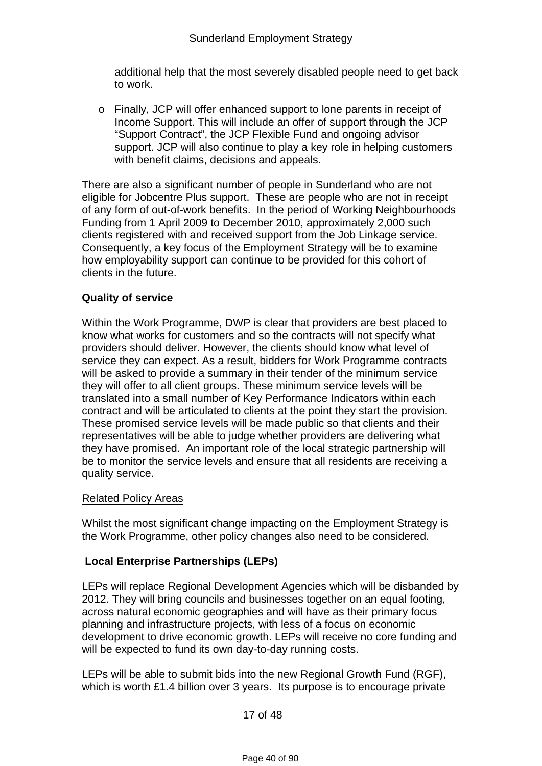additional help that the most severely disabled people need to get back to work.

o Finally, JCP will offer enhanced support to lone parents in receipt of Income Support. This will include an offer of support through the JCP "Support Contract", the JCP Flexible Fund and ongoing advisor support. JCP will also continue to play a key role in helping customers with benefit claims, decisions and appeals.

There are also a significant number of people in Sunderland who are not eligible for Jobcentre Plus support. These are people who are not in receipt of any form of out-of-work benefits. In the period of Working Neighbourhoods Funding from 1 April 2009 to December 2010, approximately 2,000 such clients registered with and received support from the Job Linkage service. Consequently, a key focus of the Employment Strategy will be to examine how employability support can continue to be provided for this cohort of clients in the future.

# **Quality of service**

Within the Work Programme, DWP is clear that providers are best placed to know what works for customers and so the contracts will not specify what providers should deliver. However, the clients should know what level of service they can expect. As a result, bidders for Work Programme contracts will be asked to provide a summary in their tender of the minimum service they will offer to all client groups. These minimum service levels will be translated into a small number of Key Performance Indicators within each contract and will be articulated to clients at the point they start the provision. These promised service levels will be made public so that clients and their representatives will be able to judge whether providers are delivering what they have promised. An important role of the local strategic partnership will be to monitor the service levels and ensure that all residents are receiving a quality service.

## Related Policy Areas

Whilst the most significant change impacting on the Employment Strategy is the Work Programme, other policy changes also need to be considered.

# **Local Enterprise Partnerships (LEPs)**

LEPs will replace Regional Development Agencies which will be disbanded by 2012. They will bring councils and businesses together on an equal footing, across natural economic geographies and will have as their primary focus planning and infrastructure projects, with less of a focus on economic development to drive economic growth. LEPs will receive no core funding and will be expected to fund its own day-to-day running costs.

LEPs will be able to submit bids into the new Regional Growth Fund (RGF), which is worth £1.4 billion over 3 years. Its purpose is to encourage private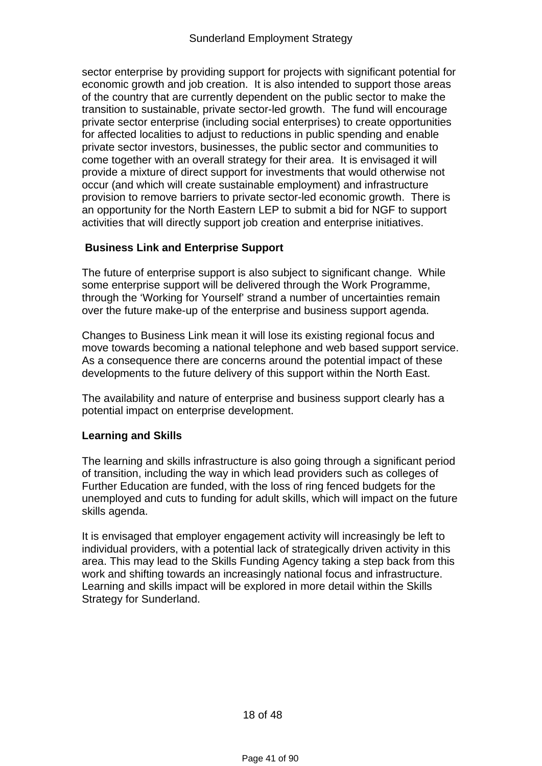sector enterprise by providing support for projects with significant potential for economic growth and job creation. It is also intended to support those areas of the country that are currently dependent on the public sector to make the transition to sustainable, private sector-led growth. The fund will encourage private sector enterprise (including social enterprises) to create opportunities for affected localities to adjust to reductions in public spending and enable private sector investors, businesses, the public sector and communities to come together with an overall strategy for their area. It is envisaged it will provide a mixture of direct support for investments that would otherwise not occur (and which will create sustainable employment) and infrastructure provision to remove barriers to private sector-led economic growth. There is an opportunity for the North Eastern LEP to submit a bid for NGF to support activities that will directly support job creation and enterprise initiatives.

# **Business Link and Enterprise Support**

The future of enterprise support is also subject to significant change. While some enterprise support will be delivered through the Work Programme, through the 'Working for Yourself' strand a number of uncertainties remain over the future make-up of the enterprise and business support agenda.

Changes to Business Link mean it will lose its existing regional focus and move towards becoming a national telephone and web based support service. As a consequence there are concerns around the potential impact of these developments to the future delivery of this support within the North East.

The availability and nature of enterprise and business support clearly has a potential impact on enterprise development.

# **Learning and Skills**

The learning and skills infrastructure is also going through a significant period of transition, including the way in which lead providers such as colleges of Further Education are funded, with the loss of ring fenced budgets for the unemployed and cuts to funding for adult skills, which will impact on the future skills agenda.

It is envisaged that employer engagement activity will increasingly be left to individual providers, with a potential lack of strategically driven activity in this area. This may lead to the Skills Funding Agency taking a step back from this work and shifting towards an increasingly national focus and infrastructure. Learning and skills impact will be explored in more detail within the Skills Strategy for Sunderland.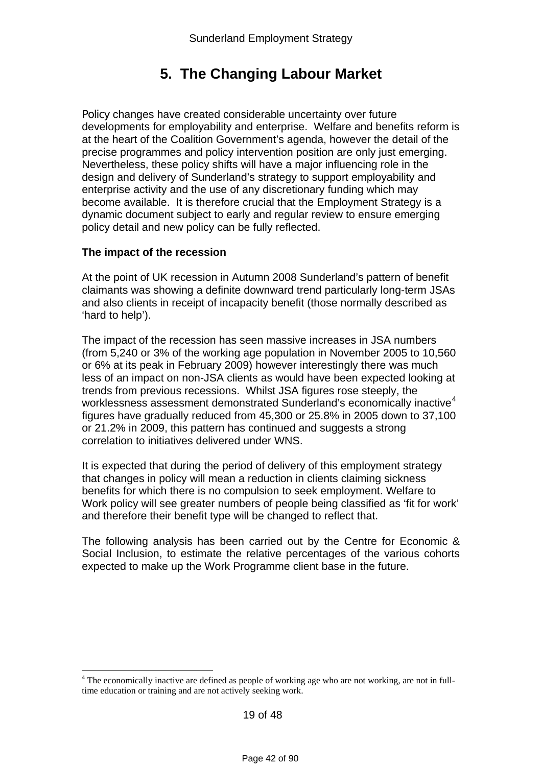# **5. The Changing Labour Market**

Policy changes have created considerable uncertainty over future developments for employability and enterprise. Welfare and benefits reform is at the heart of the Coalition Government's agenda, however the detail of the precise programmes and policy intervention position are only just emerging. Nevertheless, these policy shifts will have a major influencing role in the design and delivery of Sunderland's strategy to support employability and enterprise activity and the use of any discretionary funding which may become available. It is therefore crucial that the Employment Strategy is a dynamic document subject to early and regular review to ensure emerging policy detail and new policy can be fully reflected.

# **The impact of the recession**

1

At the point of UK recession in Autumn 2008 Sunderland's pattern of benefit claimants was showing a definite downward trend particularly long-term JSAs and also clients in receipt of incapacity benefit (those normally described as 'hard to help').

The impact of the recession has seen massive increases in JSA numbers (from 5,240 or 3% of the working age population in November 2005 to 10,560 or 6% at its peak in February 2009) however interestingly there was much less of an impact on non-JSA clients as would have been expected looking at trends from previous recessions. Whilst JSA figures rose steeply, the worklessness assessment demonstrated Sunderland's economically inactive<sup>[4](#page-41-0)</sup> figures have gradually reduced from 45,300 or 25.8% in 2005 down to 37,100 or 21.2% in 2009, this pattern has continued and suggests a strong correlation to initiatives delivered under WNS.

It is expected that during the period of delivery of this employment strategy that changes in policy will mean a reduction in clients claiming sickness benefits for which there is no compulsion to seek employment. Welfare to Work policy will see greater numbers of people being classified as 'fit for work' and therefore their benefit type will be changed to reflect that.

The following analysis has been carried out by the Centre for Economic & Social Inclusion, to estimate the relative percentages of the various cohorts expected to make up the Work Programme client base in the future.

<span id="page-41-0"></span><sup>&</sup>lt;sup>4</sup> The economically inactive are defined as people of working age who are not working, are not in fulltime education or training and are not actively seeking work.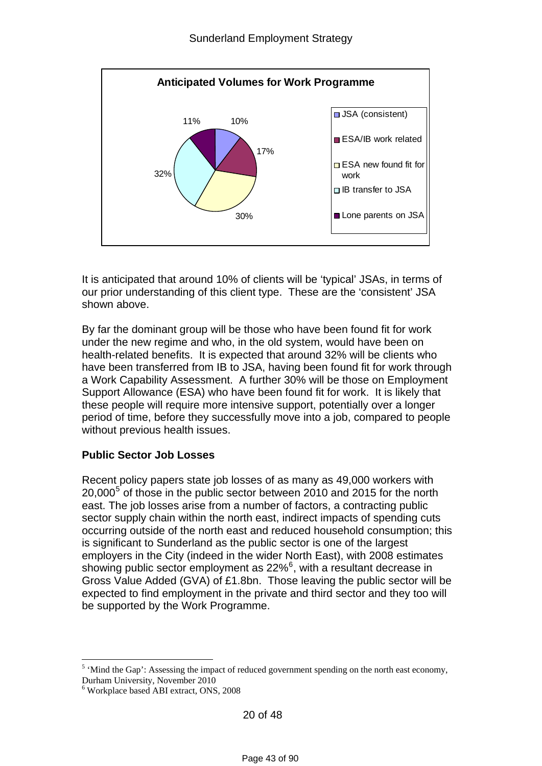

It is anticipated that around 10% of clients will be 'typical' JSAs, in terms of our prior understanding of this client type. These are the 'consistent' JSA shown above.

By far the dominant group will be those who have been found fit for work under the new regime and who, in the old system, would have been on health-related benefits. It is expected that around 32% will be clients who have been transferred from IB to JSA, having been found fit for work through a Work Capability Assessment. A further 30% will be those on Employment Support Allowance (ESA) who have been found fit for work. It is likely that these people will require more intensive support, potentially over a longer period of time, before they successfully move into a job, compared to people without previous health issues.

## **Public Sector Job Losses**

Recent policy papers state job losses of as many as 49,000 workers with  $20,000<sup>5</sup>$  $20,000<sup>5</sup>$  $20,000<sup>5</sup>$  of those in the public sector between 2010 and 2015 for the north east. The job losses arise from a number of factors, a contracting public sector supply chain within the north east, indirect impacts of spending cuts occurring outside of the north east and reduced household consumption; this is significant to Sunderland as the public sector is one of the largest employers in the City (indeed in the wider North East), with 2008 estimates showing public sector employment as  $22\%$ <sup>[6](#page-42-1)</sup>, with a resultant decrease in Gross Value Added (GVA) of £1.8bn. Those leaving the public sector will be expected to find employment in the private and third sector and they too will be supported by the Work Programme.

1

<span id="page-42-0"></span><sup>&</sup>lt;sup>5</sup> 'Mind the Gap': Assessing the impact of reduced government spending on the north east economy, Durham University, November 2010

<span id="page-42-1"></span><sup>6</sup> Workplace based ABI extract, ONS, 2008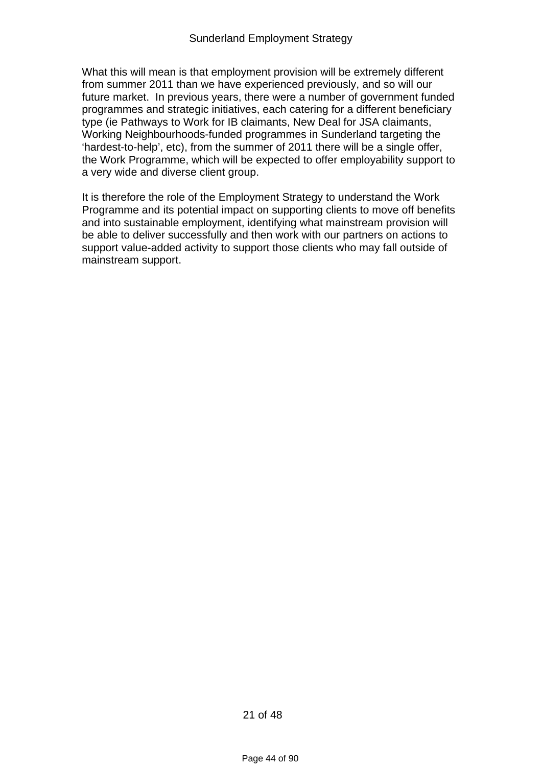What this will mean is that employment provision will be extremely different from summer 2011 than we have experienced previously, and so will our future market. In previous years, there were a number of government funded programmes and strategic initiatives, each catering for a different beneficiary type (ie Pathways to Work for IB claimants, New Deal for JSA claimants, Working Neighbourhoods-funded programmes in Sunderland targeting the 'hardest-to-help', etc), from the summer of 2011 there will be a single offer, the Work Programme, which will be expected to offer employability support to a very wide and diverse client group.

It is therefore the role of the Employment Strategy to understand the Work Programme and its potential impact on supporting clients to move off benefits and into sustainable employment, identifying what mainstream provision will be able to deliver successfully and then work with our partners on actions to support value-added activity to support those clients who may fall outside of mainstream support.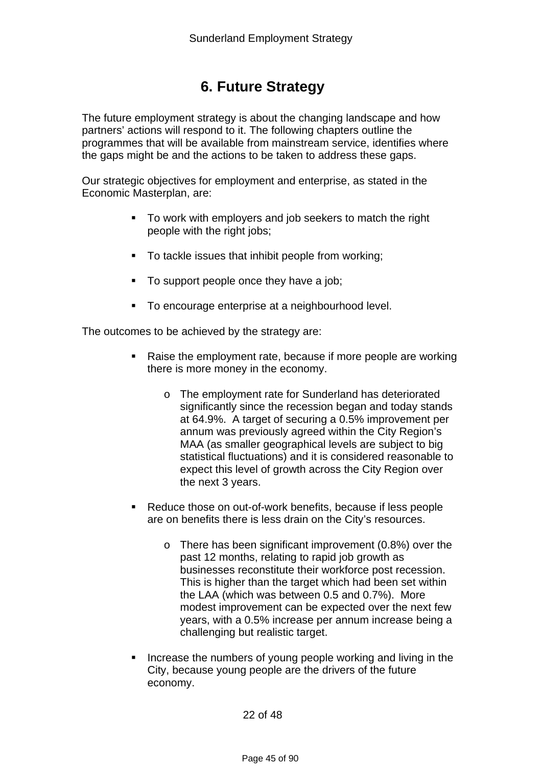# **6. Future Strategy**

The future employment strategy is about the changing landscape and how partners' actions will respond to it. The following chapters outline the programmes that will be available from mainstream service, identifies where the gaps might be and the actions to be taken to address these gaps.

Our strategic objectives for employment and enterprise, as stated in the Economic Masterplan, are:

- To work with employers and job seekers to match the right people with the right jobs;
- To tackle issues that inhibit people from working;
- To support people once they have a job;
- To encourage enterprise at a neighbourhood level.

The outcomes to be achieved by the strategy are:

- Raise the employment rate, because if more people are working there is more money in the economy.
	- o The employment rate for Sunderland has deteriorated significantly since the recession began and today stands at 64.9%. A target of securing a 0.5% improvement per annum was previously agreed within the City Region's MAA (as smaller geographical levels are subject to big statistical fluctuations) and it is considered reasonable to expect this level of growth across the City Region over the next 3 years.
- Reduce those on out-of-work benefits, because if less people are on benefits there is less drain on the City's resources.
	- o There has been significant improvement (0.8%) over the past 12 months, relating to rapid job growth as businesses reconstitute their workforce post recession. This is higher than the target which had been set within the LAA (which was between 0.5 and 0.7%). More modest improvement can be expected over the next few years, with a 0.5% increase per annum increase being a challenging but realistic target.
- Increase the numbers of young people working and living in the City, because young people are the drivers of the future economy.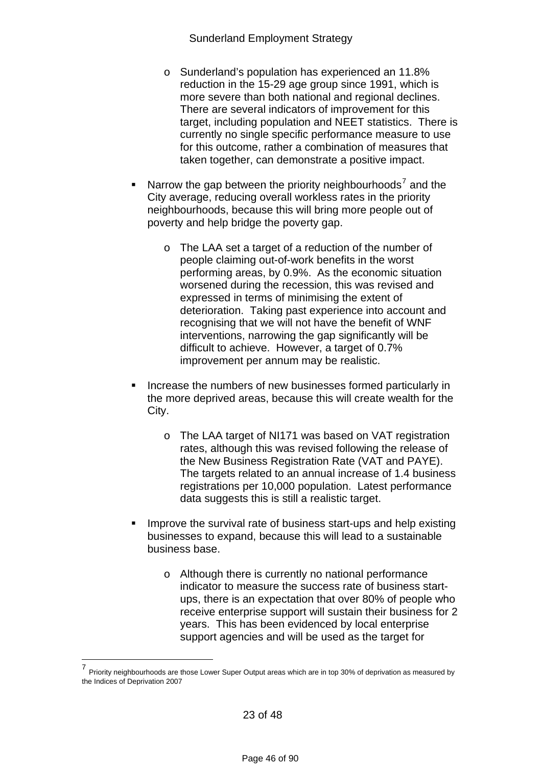- o Sunderland's population has experienced an 11.8% reduction in the 15-29 age group since 1991, which is more severe than both national and regional declines. There are several indicators of improvement for this target, including population and NEET statistics. There is currently no single specific performance measure to use for this outcome, rather a combination of measures that taken together, can demonstrate a positive impact.
- Narrow the gap between the priority neighbourhoods<sup>[7](#page-45-0)</sup> and the City average, reducing overall workless rates in the priority neighbourhoods, because this will bring more people out of poverty and help bridge the poverty gap.
	- o The LAA set a target of a reduction of the number of people claiming out-of-work benefits in the worst performing areas, by 0.9%. As the economic situation worsened during the recession, this was revised and expressed in terms of minimising the extent of deterioration. Taking past experience into account and recognising that we will not have the benefit of WNF interventions, narrowing the gap significantly will be difficult to achieve. However, a target of 0.7% improvement per annum may be realistic.
- Increase the numbers of new businesses formed particularly in the more deprived areas, because this will create wealth for the City.
	- o The LAA target of NI171 was based on VAT registration rates, although this was revised following the release of the New Business Registration Rate (VAT and PAYE). The targets related to an annual increase of 1.4 business registrations per 10,000 population. Latest performance data suggests this is still a realistic target.
- Improve the survival rate of business start-ups and help existing businesses to expand, because this will lead to a sustainable business base.
	- o Although there is currently no national performance indicator to measure the success rate of business startups, there is an expectation that over 80% of people who receive enterprise support will sustain their business for 2 years. This has been evidenced by local enterprise support agencies and will be used as the target for

1

<span id="page-45-0"></span>Priority neighbourhoods are those Lower Super Output areas which are in top 30% of deprivation as measured by the Indices of Deprivation 2007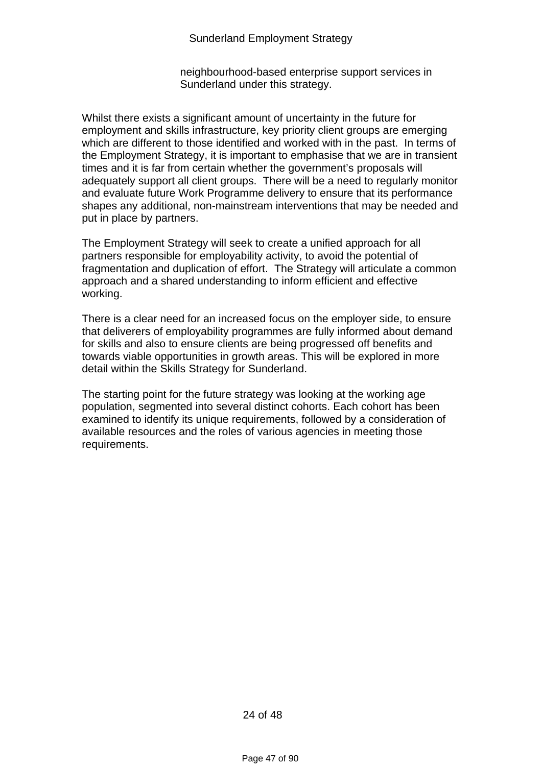neighbourhood-based enterprise support services in Sunderland under this strategy.

Whilst there exists a significant amount of uncertainty in the future for employment and skills infrastructure, key priority client groups are emerging which are different to those identified and worked with in the past. In terms of the Employment Strategy, it is important to emphasise that we are in transient times and it is far from certain whether the government's proposals will adequately support all client groups. There will be a need to regularly monitor and evaluate future Work Programme delivery to ensure that its performance shapes any additional, non-mainstream interventions that may be needed and put in place by partners.

The Employment Strategy will seek to create a unified approach for all partners responsible for employability activity, to avoid the potential of fragmentation and duplication of effort. The Strategy will articulate a common approach and a shared understanding to inform efficient and effective working.

There is a clear need for an increased focus on the employer side, to ensure that deliverers of employability programmes are fully informed about demand for skills and also to ensure clients are being progressed off benefits and towards viable opportunities in growth areas. This will be explored in more detail within the Skills Strategy for Sunderland.

The starting point for the future strategy was looking at the working age population, segmented into several distinct cohorts. Each cohort has been examined to identify its unique requirements, followed by a consideration of available resources and the roles of various agencies in meeting those requirements.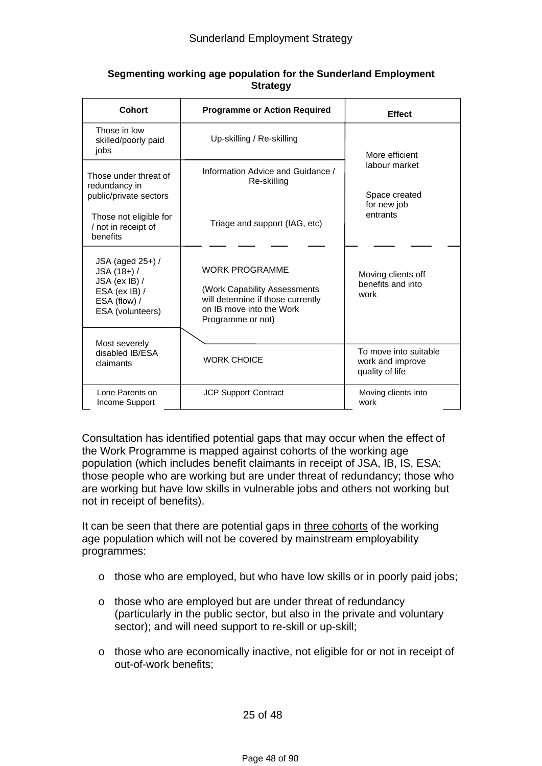| <b>Cohort</b>                                                                                                               | <b>Programme or Action Required</b>                                                                                                         | <b>Effect</b>                                                |  |
|-----------------------------------------------------------------------------------------------------------------------------|---------------------------------------------------------------------------------------------------------------------------------------------|--------------------------------------------------------------|--|
| Those in low<br>skilled/poorly paid<br>jobs                                                                                 | Up-skilling / Re-skilling                                                                                                                   | More efficient<br>labour market                              |  |
| Those under threat of<br>redundancy in                                                                                      | Information Advice and Guidance /<br>Re-skilling                                                                                            |                                                              |  |
| public/private sectors<br>Those not eligible for<br>Triage and support (IAG, etc)<br>/ not in receipt of<br><b>benefits</b> |                                                                                                                                             | Space created<br>for new job<br>entrants                     |  |
| JSA (aged 25+) /<br>JSA (18+) /<br>JSA (ex IB) /<br>ESA (ex IB) /<br>ESA (flow) /<br>ESA (volunteers)                       | <b>WORK PROGRAMME</b><br>(Work Capability Assessments<br>will determine if those currently<br>on IB move into the Work<br>Programme or not) | Moving clients off<br>benefits and into<br>work              |  |
| Most severely<br>disabled IB/ESA<br>claimants                                                                               | <b>WORK CHOICE</b>                                                                                                                          | To move into suitable<br>work and improve<br>quality of life |  |
| Lone Parents on<br>Income Support                                                                                           | <b>JCP Support Contract</b>                                                                                                                 | Moving clients into<br>work                                  |  |

#### **Segmenting working age population for the Sunderland Employment Strategy**

Consultation has identified potential gaps that may occur when the effect of the Work Programme is mapped against cohorts of the working age population (which includes benefit claimants in receipt of JSA, IB, IS, ESA; those people who are working but are under threat of redundancy; those who are working but have low skills in vulnerable jobs and others not working but not in receipt of benefits).

It can be seen that there are potential gaps in three cohorts of the working age population which will not be covered by mainstream employability programmes:

- o those who are employed, but who have low skills or in poorly paid jobs;
- o those who are employed but are under threat of redundancy (particularly in the public sector, but also in the private and voluntary sector); and will need support to re-skill or up-skill;
- o those who are economically inactive, not eligible for or not in receipt of out-of-work benefits;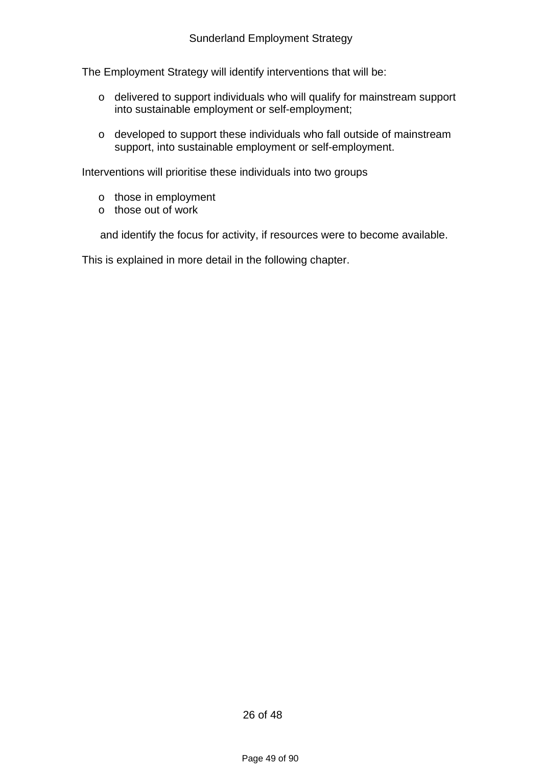The Employment Strategy will identify interventions that will be:

- o delivered to support individuals who will qualify for mainstream support into sustainable employment or self-employment;
- o developed to support these individuals who fall outside of mainstream support, into sustainable employment or self-employment.

Interventions will prioritise these individuals into two groups

- o those in employment
- o those out of work

and identify the focus for activity, if resources were to become available.

This is explained in more detail in the following chapter.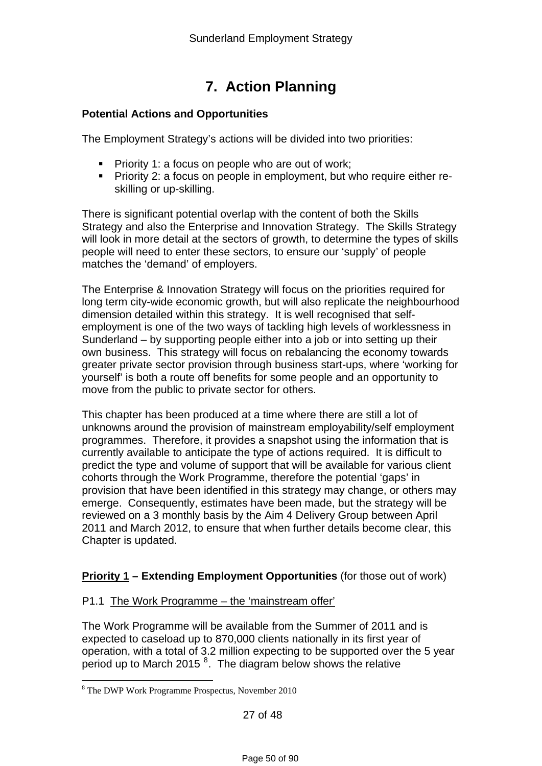# **7. Action Planning**

# **Potential Actions and Opportunities**

The Employment Strategy's actions will be divided into two priorities:

- Priority 1: a focus on people who are out of work;
- **Priority 2: a focus on people in employment, but who require either re**skilling or up-skilling.

There is significant potential overlap with the content of both the Skills Strategy and also the Enterprise and Innovation Strategy. The Skills Strategy will look in more detail at the sectors of growth, to determine the types of skills people will need to enter these sectors, to ensure our 'supply' of people matches the 'demand' of employers.

The Enterprise & Innovation Strategy will focus on the priorities required for long term city-wide economic growth, but will also replicate the neighbourhood dimension detailed within this strategy. It is well recognised that selfemployment is one of the two ways of tackling high levels of worklessness in Sunderland – by supporting people either into a job or into setting up their own business. This strategy will focus on rebalancing the economy towards greater private sector provision through business start-ups, where 'working for yourself' is both a route off benefits for some people and an opportunity to move from the public to private sector for others.

This chapter has been produced at a time where there are still a lot of unknowns around the provision of mainstream employability/self employment programmes. Therefore, it provides a snapshot using the information that is currently available to anticipate the type of actions required. It is difficult to predict the type and volume of support that will be available for various client cohorts through the Work Programme, therefore the potential 'gaps' in provision that have been identified in this strategy may change, or others may emerge. Consequently, estimates have been made, but the strategy will be reviewed on a 3 monthly basis by the Aim 4 Delivery Group between April 2011 and March 2012, to ensure that when further details become clear, this Chapter is updated.

# **Priority 1 – Extending Employment Opportunities** (for those out of work)

## P1.1 The Work Programme – the 'mainstream offer'

The Work Programme will be available from the Summer of 2011 and is expected to caseload up to 870,000 clients nationally in its first year of operation, with a total of 3.2 million expecting to be supported over the 5 year period up to March 2015<sup>[8](#page-49-0)</sup>. The diagram below shows the relative

<span id="page-49-0"></span><sup>&</sup>lt;u>.</u> 8 The DWP Work Programme Prospectus, November 2010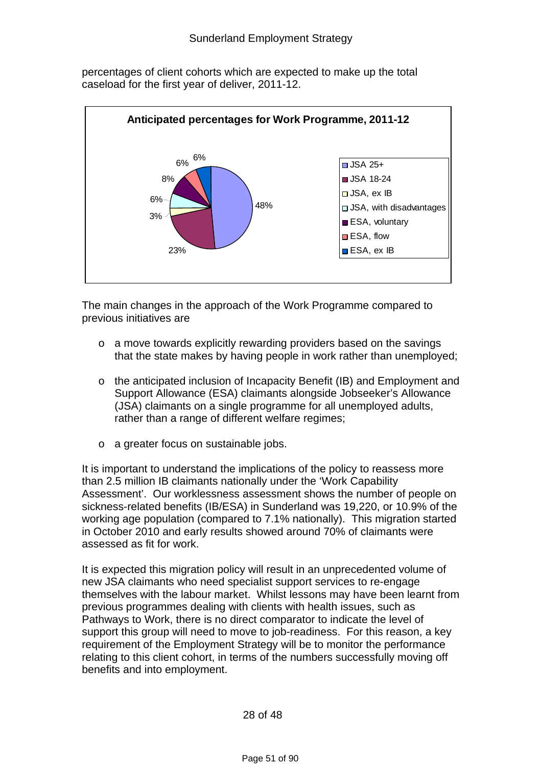percentages of client cohorts which are expected to make up the total caseload for the first year of deliver, 2011-12.



The main changes in the approach of the Work Programme compared to previous initiatives are

- o a move towards explicitly rewarding providers based on the savings that the state makes by having people in work rather than unemployed;
- o the anticipated inclusion of Incapacity Benefit (IB) and Employment and Support Allowance (ESA) claimants alongside Jobseeker's Allowance (JSA) claimants on a single programme for all unemployed adults, rather than a range of different welfare regimes;
- o a greater focus on sustainable jobs.

It is important to understand the implications of the policy to reassess more than 2.5 million IB claimants nationally under the 'Work Capability Assessment'. Our worklessness assessment shows the number of people on sickness-related benefits (IB/ESA) in Sunderland was 19,220, or 10.9% of the working age population (compared to 7.1% nationally). This migration started in October 2010 and early results showed around 70% of claimants were assessed as fit for work.

It is expected this migration policy will result in an unprecedented volume of new JSA claimants who need specialist support services to re-engage themselves with the labour market. Whilst lessons may have been learnt from previous programmes dealing with clients with health issues, such as Pathways to Work, there is no direct comparator to indicate the level of support this group will need to move to job-readiness. For this reason, a key requirement of the Employment Strategy will be to monitor the performance relating to this client cohort, in terms of the numbers successfully moving off benefits and into employment.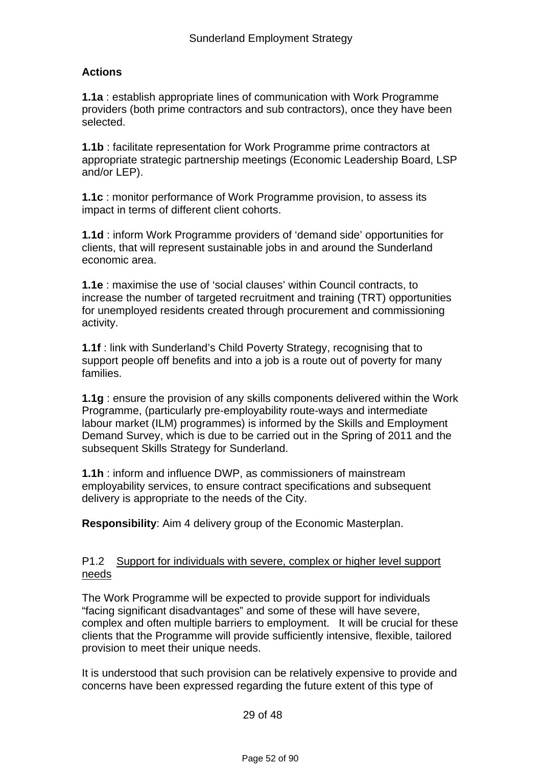# **Actions**

**1.1a** : establish appropriate lines of communication with Work Programme providers (both prime contractors and sub contractors), once they have been selected.

**1.1b** : facilitate representation for Work Programme prime contractors at appropriate strategic partnership meetings (Economic Leadership Board, LSP and/or LEP).

**1.1c** : monitor performance of Work Programme provision, to assess its impact in terms of different client cohorts.

**1.1d** : inform Work Programme providers of 'demand side' opportunities for clients, that will represent sustainable jobs in and around the Sunderland economic area.

**1.1e** : maximise the use of 'social clauses' within Council contracts, to increase the number of targeted recruitment and training (TRT) opportunities for unemployed residents created through procurement and commissioning activity.

**1.1f** : link with Sunderland's Child Poverty Strategy, recognising that to support people off benefits and into a job is a route out of poverty for many families.

**1.1g** : ensure the provision of any skills components delivered within the Work Programme, (particularly pre-employability route-ways and intermediate labour market (ILM) programmes) is informed by the Skills and Employment Demand Survey, which is due to be carried out in the Spring of 2011 and the subsequent Skills Strategy for Sunderland.

**1.1h** : inform and influence DWP, as commissioners of mainstream employability services, to ensure contract specifications and subsequent delivery is appropriate to the needs of the City.

**Responsibility**: Aim 4 delivery group of the Economic Masterplan.

## P1.2 Support for individuals with severe, complex or higher level support needs

The Work Programme will be expected to provide support for individuals "facing significant disadvantages" and some of these will have severe, complex and often multiple barriers to employment. It will be crucial for these clients that the Programme will provide sufficiently intensive, flexible, tailored provision to meet their unique needs.

It is understood that such provision can be relatively expensive to provide and concerns have been expressed regarding the future extent of this type of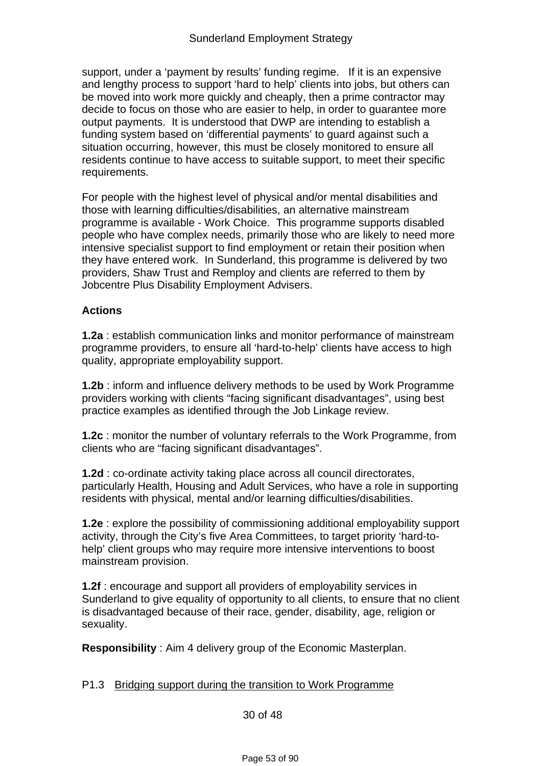support, under a 'payment by results' funding regime. If it is an expensive and lengthy process to support 'hard to help' clients into jobs, but others can be moved into work more quickly and cheaply, then a prime contractor may decide to focus on those who are easier to help, in order to guarantee more output payments. It is understood that DWP are intending to establish a funding system based on 'differential payments' to guard against such a situation occurring, however, this must be closely monitored to ensure all residents continue to have access to suitable support, to meet their specific requirements.

For people with the highest level of physical and/or mental disabilities and those with learning difficulties/disabilities, an alternative mainstream programme is available - Work Choice. This programme supports disabled people who have complex needs, primarily those who are likely to need more intensive specialist support to find employment or retain their position when they have entered work. In Sunderland, this programme is delivered by two providers, Shaw Trust and Remploy and clients are referred to them by Jobcentre Plus Disability Employment Advisers.

# **Actions**

**1.2a** : establish communication links and monitor performance of mainstream programme providers, to ensure all 'hard-to-help' clients have access to high quality, appropriate employability support.

**1.2b** : inform and influence delivery methods to be used by Work Programme providers working with clients "facing significant disadvantages", using best practice examples as identified through the Job Linkage review.

**1.2c** : monitor the number of voluntary referrals to the Work Programme, from clients who are "facing significant disadvantages".

**1.2d** : co-ordinate activity taking place across all council directorates, particularly Health, Housing and Adult Services, who have a role in supporting residents with physical, mental and/or learning difficulties/disabilities.

**1.2e** : explore the possibility of commissioning additional employability support activity, through the City's five Area Committees, to target priority 'hard-tohelp' client groups who may require more intensive interventions to boost mainstream provision.

**1.2f** : encourage and support all providers of employability services in Sunderland to give equality of opportunity to all clients, to ensure that no client is disadvantaged because of their race, gender, disability, age, religion or sexuality.

**Responsibility** : Aim 4 delivery group of the Economic Masterplan.

## P1.3 Bridging support during the transition to Work Programme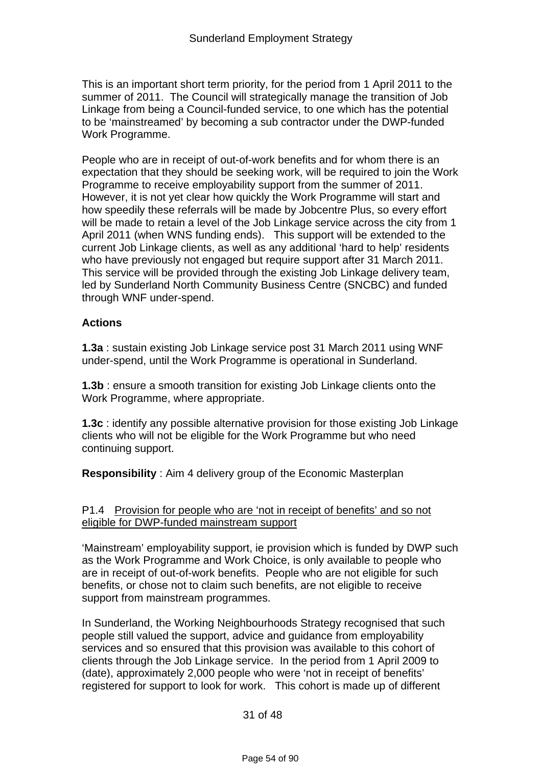This is an important short term priority, for the period from 1 April 2011 to the summer of 2011. The Council will strategically manage the transition of Job Linkage from being a Council-funded service, to one which has the potential to be 'mainstreamed' by becoming a sub contractor under the DWP-funded Work Programme.

People who are in receipt of out-of-work benefits and for whom there is an expectation that they should be seeking work, will be required to join the Work Programme to receive employability support from the summer of 2011. However, it is not yet clear how quickly the Work Programme will start and how speedily these referrals will be made by Jobcentre Plus, so every effort will be made to retain a level of the Job Linkage service across the city from 1 April 2011 (when WNS funding ends). This support will be extended to the current Job Linkage clients, as well as any additional 'hard to help' residents who have previously not engaged but require support after 31 March 2011. This service will be provided through the existing Job Linkage delivery team, led by Sunderland North Community Business Centre (SNCBC) and funded through WNF under-spend.

## **Actions**

**1.3a** : sustain existing Job Linkage service post 31 March 2011 using WNF under-spend, until the Work Programme is operational in Sunderland.

**1.3b** : ensure a smooth transition for existing Job Linkage clients onto the Work Programme, where appropriate.

**1.3c** : identify any possible alternative provision for those existing Job Linkage clients who will not be eligible for the Work Programme but who need continuing support.

**Responsibility** : Aim 4 delivery group of the Economic Masterplan

## P1.4 Provision for people who are 'not in receipt of benefits' and so not eligible for DWP-funded mainstream support

'Mainstream' employability support, ie provision which is funded by DWP such as the Work Programme and Work Choice, is only available to people who are in receipt of out-of-work benefits. People who are not eligible for such benefits, or chose not to claim such benefits, are not eligible to receive support from mainstream programmes.

In Sunderland, the Working Neighbourhoods Strategy recognised that such people still valued the support, advice and guidance from employability services and so ensured that this provision was available to this cohort of clients through the Job Linkage service. In the period from 1 April 2009 to (date), approximately 2,000 people who were 'not in receipt of benefits' registered for support to look for work.This cohort is made up of different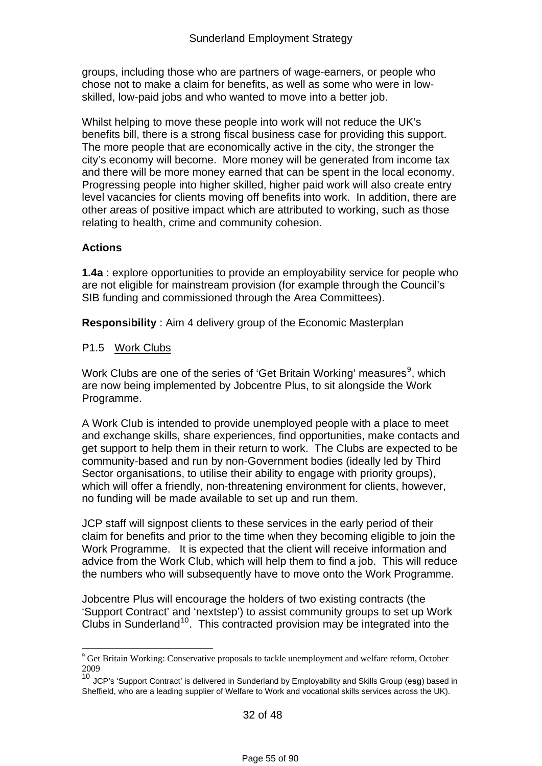groups, including those who are partners of wage-earners, or people who chose not to make a claim for benefits, as well as some who were in lowskilled, low-paid jobs and who wanted to move into a better job.

Whilst helping to move these people into work will not reduce the UK's benefits bill, there is a strong fiscal business case for providing this support. The more people that are economically active in the city, the stronger the city's economy will become. More money will be generated from income tax and there will be more money earned that can be spent in the local economy. Progressing people into higher skilled, higher paid work will also create entry level vacancies for clients moving off benefits into work. In addition, there are other areas of positive impact which are attributed to working, such as those relating to health, crime and community cohesion.

# **Actions**

<u>.</u>

**1.4a** : explore opportunities to provide an employability service for people who are not eligible for mainstream provision (for example through the Council's SIB funding and commissioned through the Area Committees).

**Responsibility** : Aim 4 delivery group of the Economic Masterplan

# P1.5 Work Clubs

Work Clubs are one of the series of 'Get Britain Working' measures<sup>[9](#page-54-0)</sup>, which are now being implemented by Jobcentre Plus, to sit alongside the Work Programme.

A Work Club is intended to provide unemployed people with a place to meet and exchange skills, share experiences, find opportunities, make contacts and get support to help them in their return to work. The Clubs are expected to be community-based and run by non-Government bodies (ideally led by Third Sector organisations, to utilise their ability to engage with priority groups), which will offer a friendly, non-threatening environment for clients, however, no funding will be made available to set up and run them.

JCP staff will signpost clients to these services in the early period of their claim for benefits and prior to the time when they becoming eligible to join the Work Programme. It is expected that the client will receive information and advice from the Work Club, which will help them to find a job. This will reduce the numbers who will subsequently have to move onto the Work Programme.

Jobcentre Plus will encourage the holders of two existing contracts (the 'Support Contract' and 'nextstep') to assist community groups to set up Work Clubs in Sunderland<sup>[10](#page-54-1)</sup>. This contracted provision may be integrated into the

<span id="page-54-0"></span><sup>&</sup>lt;sup>9</sup> Get Britain Working: Conservative proposals to tackle unemployment and welfare reform, October 2009

<span id="page-54-1"></span><sup>10</sup> JCP's 'Support Contract' is delivered in Sunderland by Employability and Skills Group (**esg**) based in Sheffield, who are a leading supplier of Welfare to Work and vocational skills services across the UK).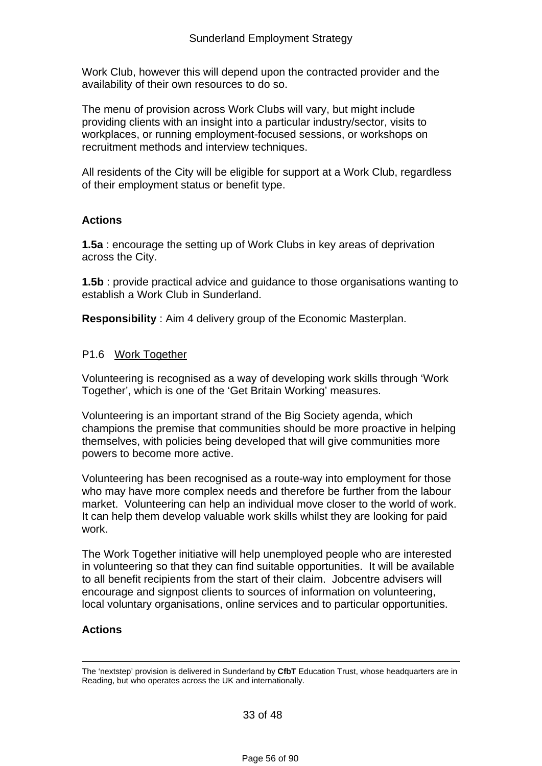Work Club, however this will depend upon the contracted provider and the availability of their own resources to do so.

The menu of provision across Work Clubs will vary, but might include providing clients with an insight into a particular industry/sector, visits to workplaces, or running employment-focused sessions, or workshops on recruitment methods and interview techniques.

All residents of the City will be eligible for support at a Work Club, regardless of their employment status or benefit type.

#### **Actions**

**1.5a** : encourage the setting up of Work Clubs in key areas of deprivation across the City.

**1.5b** : provide practical advice and guidance to those organisations wanting to establish a Work Club in Sunderland.

**Responsibility** : Aim 4 delivery group of the Economic Masterplan.

#### P1.6 Work Together

Volunteering is recognised as a way of developing work skills through 'Work Together', which is one of the 'Get Britain Working' measures.

Volunteering is an important strand of the Big Society agenda, which champions the premise that communities should be more proactive in helping themselves, with policies being developed that will give communities more powers to become more active.

Volunteering has been recognised as a route-way into employment for those who may have more complex needs and therefore be further from the labour market. Volunteering can help an individual move closer to the world of work. It can help them develop valuable work skills whilst they are looking for paid work.

The Work Together initiative will help unemployed people who are interested in volunteering so that they can find suitable opportunities. It will be available to all benefit recipients from the start of their claim. Jobcentre advisers will encourage and signpost clients to sources of information on volunteering, local voluntary organisations, online services and to particular opportunities.

## **Actions**

1

The 'nextstep' provision is delivered in Sunderland by **CfbT** Education Trust, whose headquarters are in Reading, but who operates across the UK and internationally.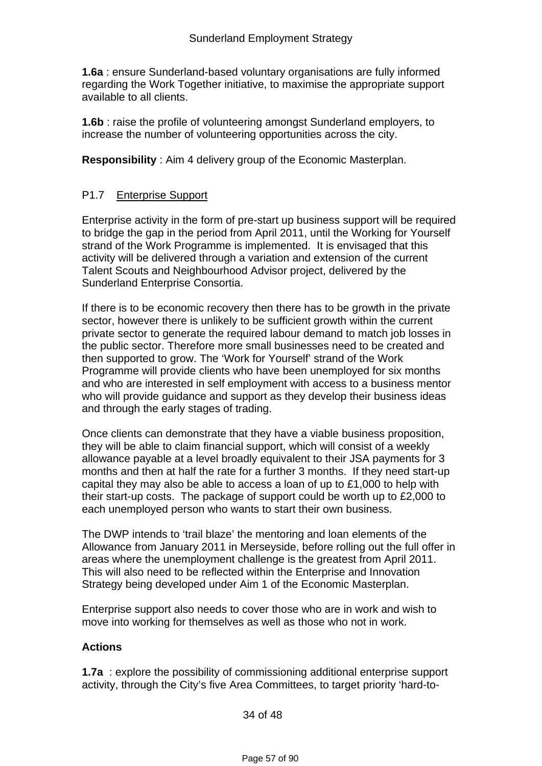**1.6a** : ensure Sunderland-based voluntary organisations are fully informed regarding the Work Together initiative, to maximise the appropriate support available to all clients.

**1.6b** : raise the profile of volunteering amongst Sunderland employers, to increase the number of volunteering opportunities across the city.

**Responsibility** : Aim 4 delivery group of the Economic Masterplan.

# P1.7 Enterprise Support

Enterprise activity in the form of pre-start up business support will be required to bridge the gap in the period from April 2011, until the Working for Yourself strand of the Work Programme is implemented. It is envisaged that this activity will be delivered through a variation and extension of the current Talent Scouts and Neighbourhood Advisor project, delivered by the Sunderland Enterprise Consortia.

If there is to be economic recovery then there has to be growth in the private sector, however there is unlikely to be sufficient growth within the current private sector to generate the required labour demand to match job losses in the public sector. Therefore more small businesses need to be created and then supported to grow. The 'Work for Yourself' strand of the Work Programme will provide clients who have been unemployed for six months and who are interested in self employment with access to a business mentor who will provide guidance and support as they develop their business ideas and through the early stages of trading.

Once clients can demonstrate that they have a viable business proposition, they will be able to claim financial support, which will consist of a weekly allowance payable at a level broadly equivalent to their JSA payments for 3 months and then at half the rate for a further 3 months. If they need start-up capital they may also be able to access a loan of up to £1,000 to help with their start-up costs. The package of support could be worth up to £2,000 to each unemployed person who wants to start their own business.

The DWP intends to 'trail blaze' the mentoring and loan elements of the Allowance from January 2011 in Merseyside, before rolling out the full offer in areas where the unemployment challenge is the greatest from April 2011. This will also need to be reflected within the Enterprise and Innovation Strategy being developed under Aim 1 of the Economic Masterplan.

Enterprise support also needs to cover those who are in work and wish to move into working for themselves as well as those who not in work.

# **Actions**

**1.7a** : explore the possibility of commissioning additional enterprise support activity, through the City's five Area Committees, to target priority 'hard-to-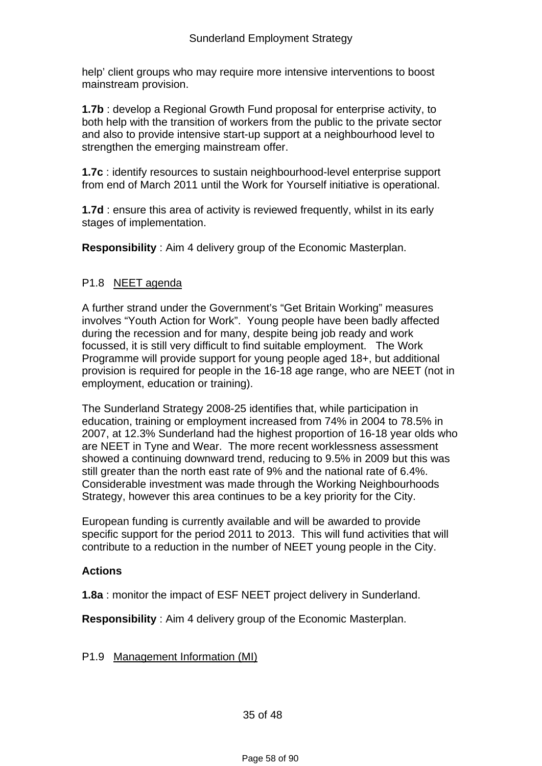help' client groups who may require more intensive interventions to boost mainstream provision.

**1.7b** : develop a Regional Growth Fund proposal for enterprise activity, to both help with the transition of workers from the public to the private sector and also to provide intensive start-up support at a neighbourhood level to strengthen the emerging mainstream offer.

**1.7c** : identify resources to sustain neighbourhood-level enterprise support from end of March 2011 until the Work for Yourself initiative is operational.

**1.7d** : ensure this area of activity is reviewed frequently, whilst in its early stages of implementation.

**Responsibility** : Aim 4 delivery group of the Economic Masterplan.

# P1.8 NEET agenda

A further strand under the Government's "Get Britain Working" measures involves "Youth Action for Work". Young people have been badly affected during the recession and for many, despite being job ready and work focussed, it is still very difficult to find suitable employment. The Work Programme will provide support for young people aged 18+, but additional provision is required for people in the 16-18 age range, who are NEET (not in employment, education or training).

The Sunderland Strategy 2008-25 identifies that, while participation in education, training or employment increased from 74% in 2004 to 78.5% in 2007, at 12.3% Sunderland had the highest proportion of 16-18 year olds who are NEET in Tyne and Wear. The more recent worklessness assessment showed a continuing downward trend, reducing to 9.5% in 2009 but this was still greater than the north east rate of 9% and the national rate of 6.4%. Considerable investment was made through the Working Neighbourhoods Strategy, however this area continues to be a key priority for the City.

European funding is currently available and will be awarded to provide specific support for the period 2011 to 2013. This will fund activities that will contribute to a reduction in the number of NEET young people in the City.

## **Actions**

**1.8a** : monitor the impact of ESF NEET project delivery in Sunderland.

**Responsibility** : Aim 4 delivery group of the Economic Masterplan.

P1.9 Management Information (MI)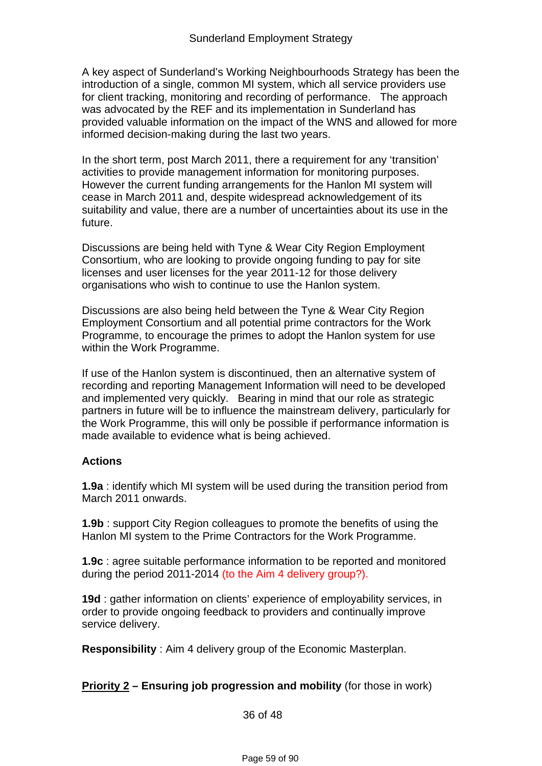A key aspect of Sunderland's Working Neighbourhoods Strategy has been the introduction of a single, common MI system, which all service providers use for client tracking, monitoring and recording of performance. The approach was advocated by the REF and its implementation in Sunderland has provided valuable information on the impact of the WNS and allowed for more informed decision-making during the last two years.

In the short term, post March 2011, there a requirement for any 'transition' activities to provide management information for monitoring purposes. However the current funding arrangements for the Hanlon MI system will cease in March 2011 and, despite widespread acknowledgement of its suitability and value, there are a number of uncertainties about its use in the future.

Discussions are being held with Tyne & Wear City Region Employment Consortium, who are looking to provide ongoing funding to pay for site licenses and user licenses for the year 2011-12 for those delivery organisations who wish to continue to use the Hanlon system.

Discussions are also being held between the Tyne & Wear City Region Employment Consortium and all potential prime contractors for the Work Programme, to encourage the primes to adopt the Hanlon system for use within the Work Programme.

If use of the Hanlon system is discontinued, then an alternative system of recording and reporting Management Information will need to be developed and implemented very quickly. Bearing in mind that our role as strategic partners in future will be to influence the mainstream delivery, particularly for the Work Programme, this will only be possible if performance information is made available to evidence what is being achieved.

## **Actions**

**1.9a** : identify which MI system will be used during the transition period from March 2011 onwards.

**1.9b** : support City Region colleagues to promote the benefits of using the Hanlon MI system to the Prime Contractors for the Work Programme.

**1.9c** : agree suitable performance information to be reported and monitored during the period 2011-2014 (to the Aim 4 delivery group?).

**19d** : gather information on clients' experience of employability services, in order to provide ongoing feedback to providers and continually improve service delivery.

**Responsibility** : Aim 4 delivery group of the Economic Masterplan.

**Priority 2 – Ensuring job progression and mobility** (for those in work)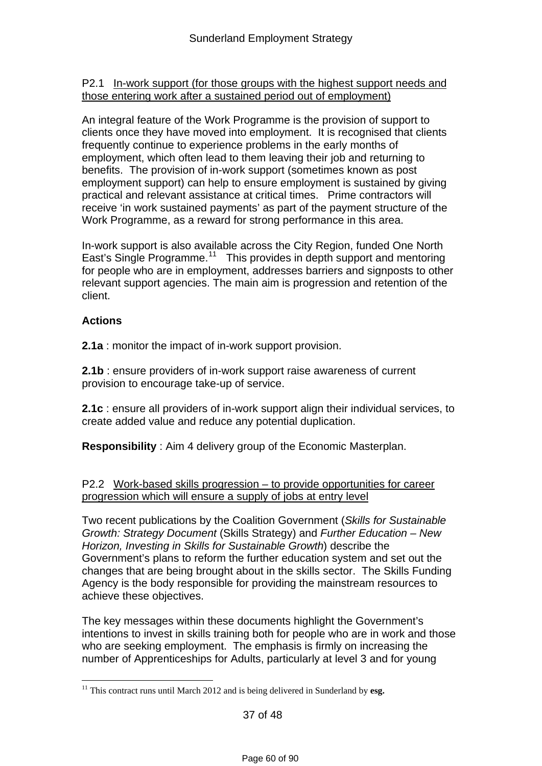## P2.1 In-work support (for those groups with the highest support needs and those entering work after a sustained period out of employment)

An integral feature of the Work Programme is the provision of support to clients once they have moved into employment. It is recognised that clients frequently continue to experience problems in the early months of employment, which often lead to them leaving their job and returning to benefits. The provision of in-work support (sometimes known as post employment support) can help to ensure employment is sustained by giving practical and relevant assistance at critical times. Prime contractors will receive 'in work sustained payments' as part of the payment structure of the Work Programme, as a reward for strong performance in this area.

In-work support is also available across the City Region, funded One North East's Single Programme.<sup>[11](#page-59-0)</sup> This provides in depth support and mentoring for people who are in employment, addresses barriers and signposts to other relevant support agencies. The main aim is progression and retention of the client.

# **Actions**

**2.1a** : monitor the impact of in-work support provision.

**2.1b** : ensure providers of in-work support raise awareness of current provision to encourage take-up of service.

**2.1c** : ensure all providers of in-work support align their individual services, to create added value and reduce any potential duplication.

**Responsibility** : Aim 4 delivery group of the Economic Masterplan.

## P2.2 Work-based skills progression – to provide opportunities for career progression which will ensure a supply of jobs at entry level

Two recent publications by the Coalition Government (Skills for Sustainable Growth: Strategy Document (Skills Strategy) and Further Education – New Horizon, Investing in Skills for Sustainable Growth) describe the Government's plans to reform the further education system and set out the changes that are being brought about in the skills sector. The Skills Funding Agency is the body responsible for providing the mainstream resources to achieve these objectives.

The key messages within these documents highlight the Government's intentions to invest in skills training both for people who are in work and those who are seeking employment. The emphasis is firmly on increasing the number of Apprenticeships for Adults, particularly at level 3 and for young

<span id="page-59-0"></span><sup>&</sup>lt;u>.</u> <sup>11</sup> This contract runs until March 2012 and is being delivered in Sunderland by **esg.**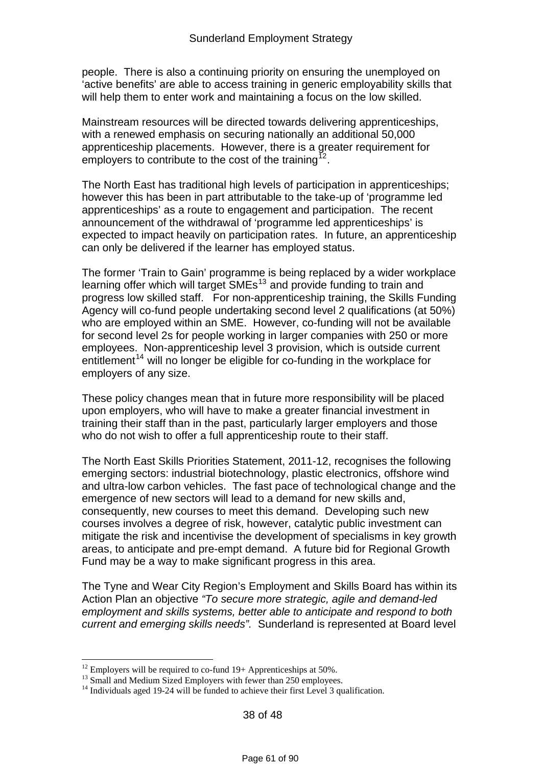people. There is also a continuing priority on ensuring the unemployed on 'active benefits' are able to access training in generic employability skills that will help them to enter work and maintaining a focus on the low skilled.

Mainstream resources will be directed towards delivering apprenticeships, with a renewed emphasis on securing nationally an additional 50,000 apprenticeship placements. However, there is a greater requirement for employers to contribute to the cost of the training<sup>[12](#page-60-0)</sup>.

The North East has traditional high levels of participation in apprenticeships; however this has been in part attributable to the take-up of 'programme led apprenticeships' as a route to engagement and participation. The recent announcement of the withdrawal of 'programme led apprenticeships' is expected to impact heavily on participation rates. In future, an apprenticeship can only be delivered if the learner has employed status.

The former 'Train to Gain' programme is being replaced by a wider workplace learning offer which will target SMEs<sup>[13](#page-60-1)</sup> and provide funding to train and progress low skilled staff. For non-apprenticeship training, the Skills Funding Agency will co-fund people undertaking second level 2 qualifications (at 50%) who are employed within an SME. However, co-funding will not be available for second level 2s for people working in larger companies with 250 or more employees. Non-apprenticeship level 3 provision, which is outside current entitlement<sup>[14](#page-60-2)</sup> will no longer be eligible for co-funding in the workplace for employers of any size.

These policy changes mean that in future more responsibility will be placed upon employers, who will have to make a greater financial investment in training their staff than in the past, particularly larger employers and those who do not wish to offer a full apprenticeship route to their staff.

The North East Skills Priorities Statement, 2011-12, recognises the following emerging sectors: industrial biotechnology, plastic electronics, offshore wind and ultra-low carbon vehicles. The fast pace of technological change and the emergence of new sectors will lead to a demand for new skills and, consequently, new courses to meet this demand. Developing such new courses involves a degree of risk, however, catalytic public investment can mitigate the risk and incentivise the development of specialisms in key growth areas, to anticipate and pre-empt demand. A future bid for Regional Growth Fund may be a way to make significant progress in this area.

The Tyne and Wear City Region's Employment and Skills Board has within its Action Plan an objective "To secure more strategic, agile and demand-led employment and skills systems, better able to anticipate and respond to both current and emerging skills needs". Sunderland is represented at Board level

1

<span id="page-60-0"></span> $12$  Employers will be required to co-fund 19+ Apprenticeships at 50%.

<span id="page-60-1"></span><sup>&</sup>lt;sup>13</sup> Small and Medium Sized Employers with fewer than 250 employees.

<span id="page-60-2"></span><sup>&</sup>lt;sup>14</sup> Individuals aged 19-24 will be funded to achieve their first Level 3 qualification.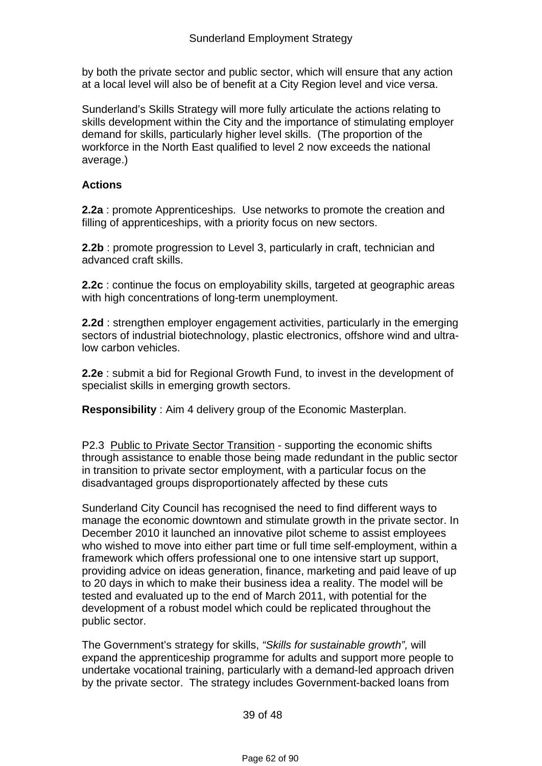by both the private sector and public sector, which will ensure that any action at a local level will also be of benefit at a City Region level and vice versa.

Sunderland's Skills Strategy will more fully articulate the actions relating to skills development within the City and the importance of stimulating employer demand for skills, particularly higher level skills. (The proportion of the workforce in the North East qualified to level 2 now exceeds the national average.)

## **Actions**

**2.2a** : promote Apprenticeships. Use networks to promote the creation and filling of apprenticeships, with a priority focus on new sectors.

**2.2b** : promote progression to Level 3, particularly in craft, technician and advanced craft skills.

**2.2c** : continue the focus on employability skills, targeted at geographic areas with high concentrations of long-term unemployment.

**2.2d** : strengthen employer engagement activities, particularly in the emerging sectors of industrial biotechnology, plastic electronics, offshore wind and ultralow carbon vehicles.

**2.2e** : submit a bid for Regional Growth Fund, to invest in the development of specialist skills in emerging growth sectors.

**Responsibility** : Aim 4 delivery group of the Economic Masterplan.

P2.3 Public to Private Sector Transition - supporting the economic shifts through assistance to enable those being made redundant in the public sector in transition to private sector employment, with a particular focus on the disadvantaged groups disproportionately affected by these cuts

Sunderland City Council has recognised the need to find different ways to manage the economic downtown and stimulate growth in the private sector. In December 2010 it launched an innovative pilot scheme to assist employees who wished to move into either part time or full time self-employment, within a framework which offers professional one to one intensive start up support, providing advice on ideas generation, finance, marketing and paid leave of up to 20 days in which to make their business idea a reality. The model will be tested and evaluated up to the end of March 2011, with potential for the development of a robust model which could be replicated throughout the public sector.

The Government's strategy for skills, "Skills for sustainable growth", will expand the apprenticeship programme for adults and support more people to undertake vocational training, particularly with a demand-led approach driven by the private sector. The strategy includes Government-backed loans from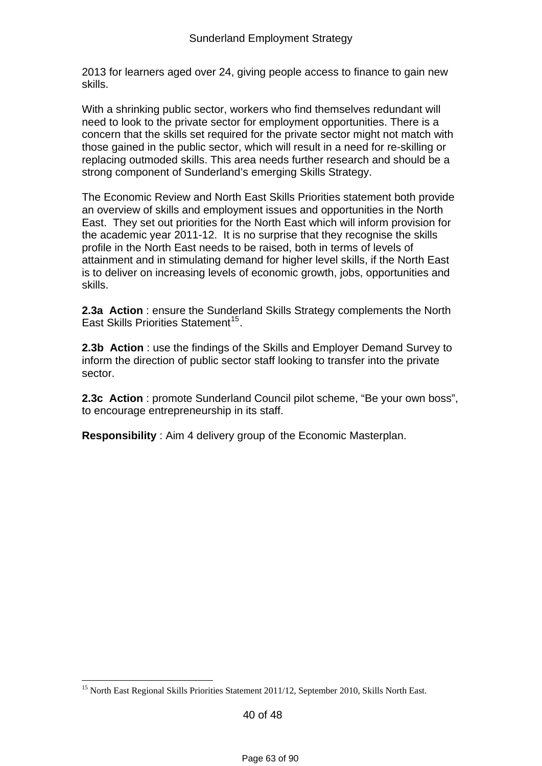2013 for learners aged over 24, giving people access to finance to gain new skills.

With a shrinking public sector, workers who find themselves redundant will need to look to the private sector for employment opportunities. There is a concern that the skills set required for the private sector might not match with those gained in the public sector, which will result in a need for re-skilling or replacing outmoded skills. This area needs further research and should be a strong component of Sunderland's emerging Skills Strategy.

The Economic Review and North East Skills Priorities statement both provide an overview of skills and employment issues and opportunities in the North East. They set out priorities for the North East which will inform provision for the academic year 2011-12. It is no surprise that they recognise the skills profile in the North East needs to be raised, both in terms of levels of attainment and in stimulating demand for higher level skills, if the North East is to deliver on increasing levels of economic growth, jobs, opportunities and skills.

**2.3a Action** : ensure the Sunderland Skills Strategy complements the North East Skills Priorities Statement<sup>[15](#page-62-0)</sup>.

**2.3b Action** : use the findings of the Skills and Employer Demand Survey to inform the direction of public sector staff looking to transfer into the private sector.

**2.3c Action** : promote Sunderland Council pilot scheme, "Be your own boss", to encourage entrepreneurship in its staff.

**Responsibility** : Aim 4 delivery group of the Economic Masterplan.

<span id="page-62-0"></span><sup>&</sup>lt;u>.</u> <sup>15</sup> North East Regional Skills Priorities Statement 2011/12, September 2010, Skills North East.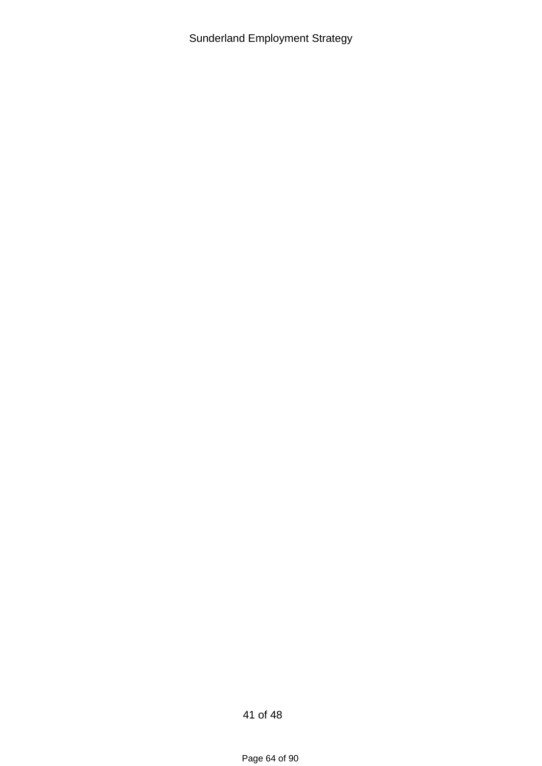Sunderland Employment Strategy

41 of 48

Page 64 of 90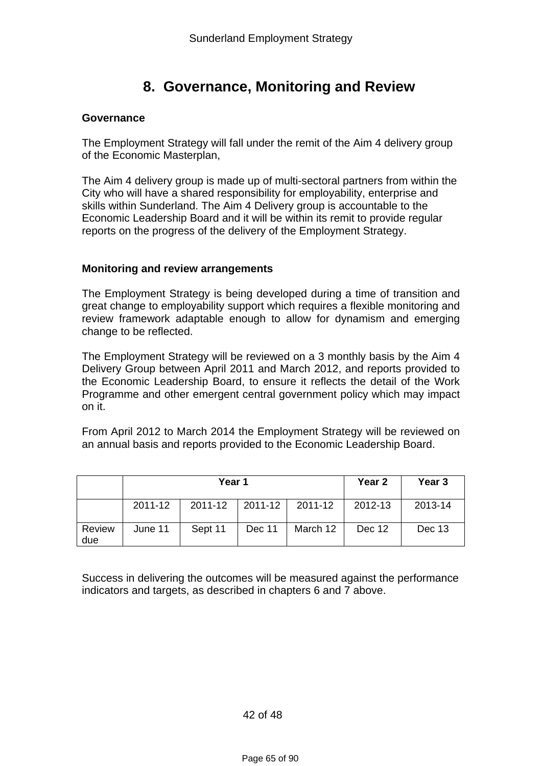# **8. Governance, Monitoring and Review**

#### **Governance**

The Employment Strategy will fall under the remit of the Aim 4 delivery group of the Economic Masterplan,

The Aim 4 delivery group is made up of multi-sectoral partners from within the City who will have a shared responsibility for employability, enterprise and skills within Sunderland. The Aim 4 Delivery group is accountable to the Economic Leadership Board and it will be within its remit to provide regular reports on the progress of the delivery of the Employment Strategy.

#### **Monitoring and review arrangements**

The Employment Strategy is being developed during a time of transition and great change to employability support which requires a flexible monitoring and review framework adaptable enough to allow for dynamism and emerging change to be reflected.

The Employment Strategy will be reviewed on a 3 monthly basis by the Aim 4 Delivery Group between April 2011 and March 2012, and reports provided to the Economic Leadership Board, to ensure it reflects the detail of the Work Programme and other emergent central government policy which may impact on it.

From April 2012 to March 2014 the Employment Strategy will be reviewed on an annual basis and reports provided to the Economic Leadership Board.

|                      | Year 1  |         |         | Year <sub>2</sub> | Year <sub>3</sub> |         |
|----------------------|---------|---------|---------|-------------------|-------------------|---------|
|                      | 2011-12 | 2011-12 | 2011-12 | 2011-12           | 2012-13           | 2013-14 |
| <b>Review</b><br>due | June 11 | Sept 11 | Dec 11  | March 12          | Dec 12            | Dec 13  |

Success in delivering the outcomes will be measured against the performance indicators and targets, as described in chapters 6 and 7 above.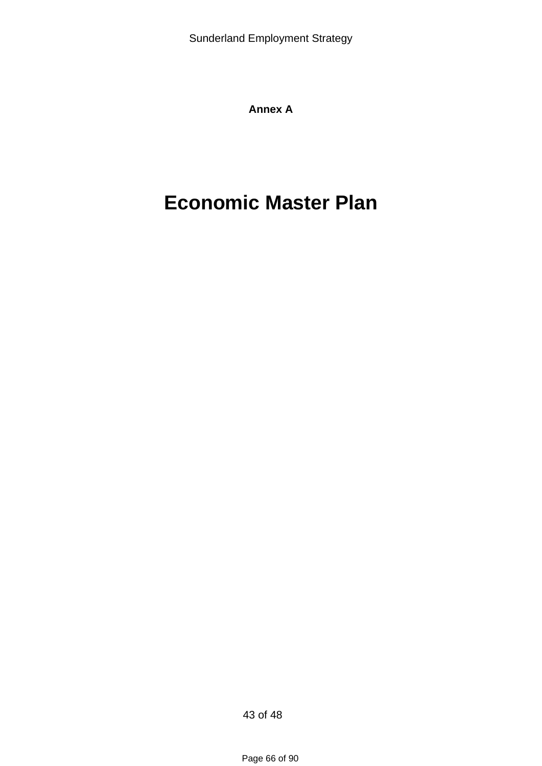**Annex A** 

# **Economic Master Plan**

43 of 48

Page 66 of 90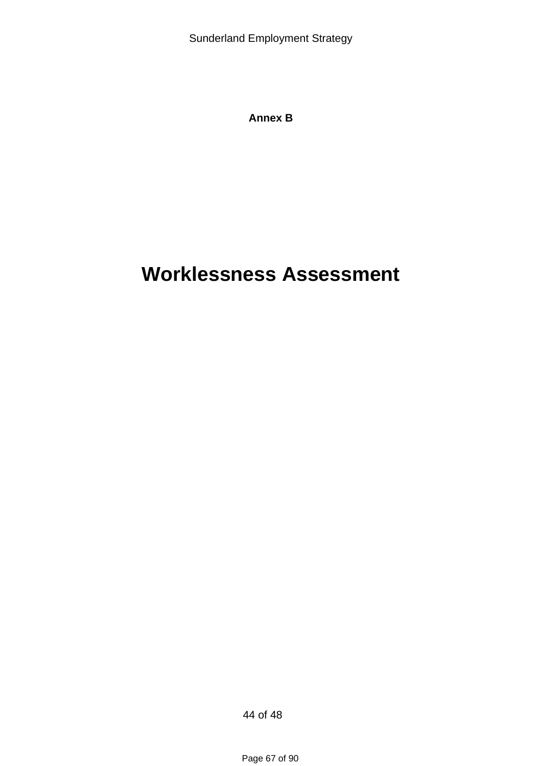**Annex B** 

# **Worklessness Assessment**

44 of 48

Page 67 of 90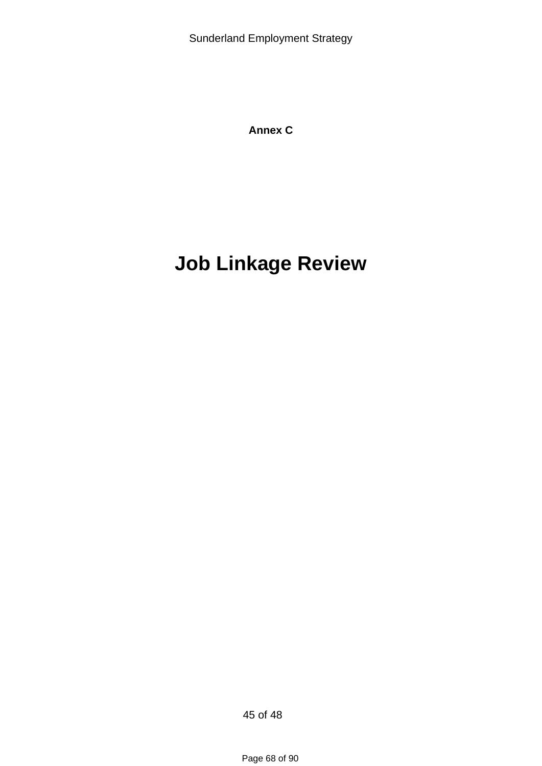**Annex C** 

# **Job Linkage Review**

45 of 48

Page 68 of 90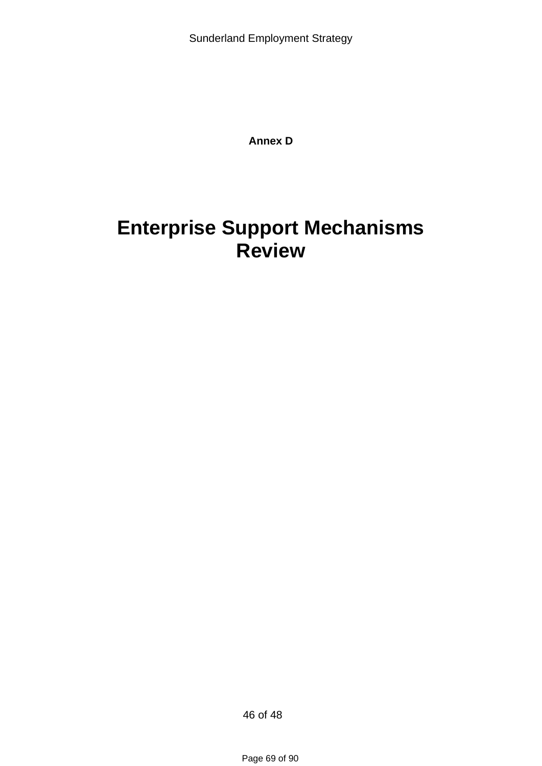**Annex D** 

# **Enterprise Support Mechanisms Review**

46 of 48

Page 69 of 90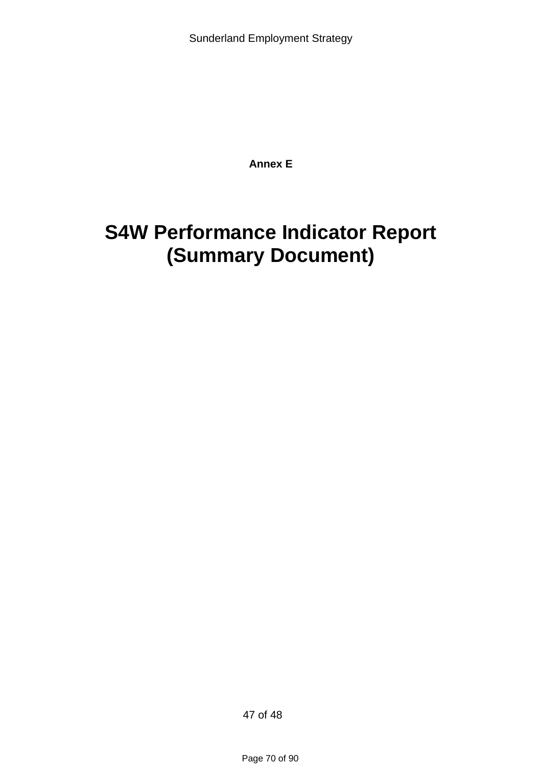**Annex E** 

# **S4W Performance Indicator Report (Summary Document)**

47 of 48

Page 70 of 90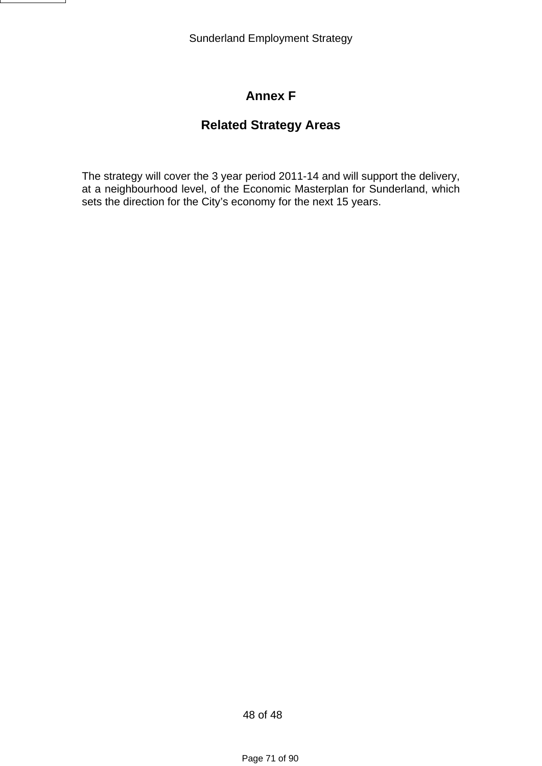# **Annex F**

# **Related Strategy Areas**

The strategy will cover the 3 year period 2011-14 and will support the delivery, at a neighbourhood level, of the Economic Masterplan for Sunderland, which sets the direction for the City's economy for the next 15 years.

48 of 48

Page 71 of 90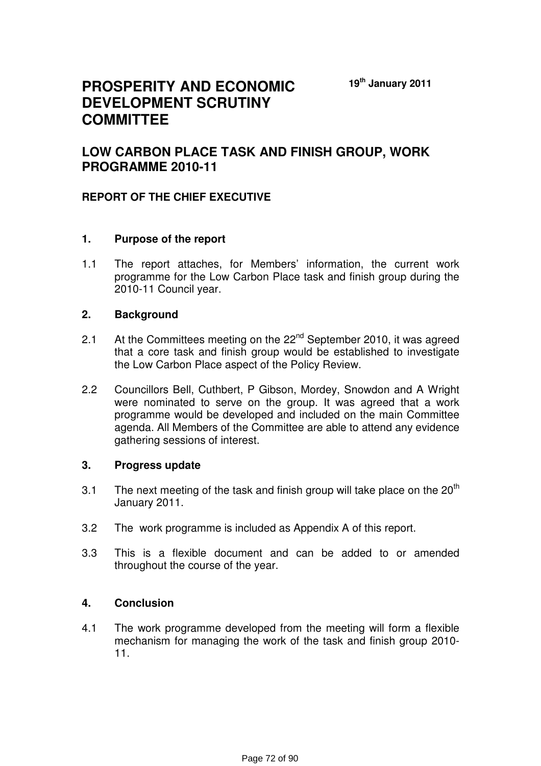**19th January 2011** 

# **PROSPERITY AND ECONOMIC DEVELOPMENT SCRUTINY COMMITTEE**

# **LOW CARBON PLACE TASK AND FINISH GROUP, WORK PROGRAMME 2010-11**

# **REPORT OF THE CHIEF EXECUTIVE**

#### **1. Purpose of the report**

1.1 The report attaches, for Members' information, the current work programme for the Low Carbon Place task and finish group during the 2010-11 Council year.

#### **2. Background**

- 2.1 At the Committees meeting on the  $22<sup>nd</sup>$  September 2010, it was agreed that a core task and finish group would be established to investigate the Low Carbon Place aspect of the Policy Review.
- 2.2 Councillors Bell, Cuthbert, P Gibson, Mordey, Snowdon and A Wright were nominated to serve on the group. It was agreed that a work programme would be developed and included on the main Committee agenda. All Members of the Committee are able to attend any evidence gathering sessions of interest.

## **3. Progress update**

- 3.1 The next meeting of the task and finish group will take place on the  $20<sup>th</sup>$ January 2011.
- 3.2 The work programme is included as Appendix A of this report.
- 3.3 This is a flexible document and can be added to or amended throughout the course of the year.

# **4. Conclusion**

4.1 The work programme developed from the meeting will form a flexible mechanism for managing the work of the task and finish group 2010- 11.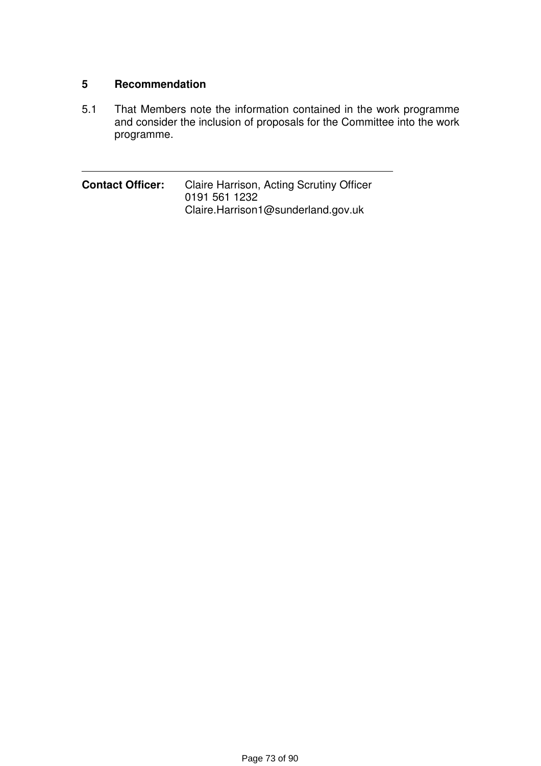### **5 Recommendation**

5.1 That Members note the information contained in the work programme and consider the inclusion of proposals for the Committee into the work programme.

| <b>Contact Officer:</b> | Claire Harrison, Acting Scrutiny Officer |
|-------------------------|------------------------------------------|
|                         | 0191 561 1232                            |
|                         | Claire.Harrison1@sunderland.gov.uk       |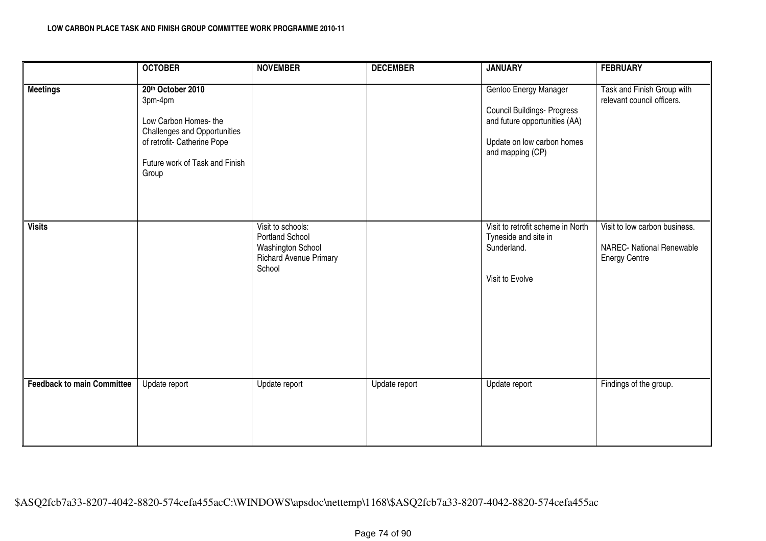|                                   | <b>OCTOBER</b>                                                                                                                                                  | <b>NOVEMBER</b>                                                                                                    | <b>DECEMBER</b> | <b>JANUARY</b>                                                                                                                                 | <b>FEBRUARY</b>                                                                    |
|-----------------------------------|-----------------------------------------------------------------------------------------------------------------------------------------------------------------|--------------------------------------------------------------------------------------------------------------------|-----------------|------------------------------------------------------------------------------------------------------------------------------------------------|------------------------------------------------------------------------------------|
| <b>Meetings</b>                   | 20th October 2010<br>3pm-4pm<br>Low Carbon Homes- the<br>Challenges and Opportunities<br>of retrofit- Catherine Pope<br>Future work of Task and Finish<br>Group |                                                                                                                    |                 | Gentoo Energy Manager<br><b>Council Buildings- Progress</b><br>and future opportunities (AA)<br>Update on low carbon homes<br>and mapping (CP) | Task and Finish Group with<br>relevant council officers.                           |
| <b>Visits</b>                     |                                                                                                                                                                 | Visit to schools:<br><b>Portland School</b><br><b>Washington School</b><br><b>Richard Avenue Primary</b><br>School |                 | Visit to retrofit scheme in North<br>Tyneside and site in<br>Sunderland.<br>Visit to Evolve                                                    | Visit to low carbon business.<br>NAREC- National Renewable<br><b>Energy Centre</b> |
| <b>Feedback to main Committee</b> | Update report                                                                                                                                                   | Update report                                                                                                      | Update report   | Update report                                                                                                                                  | Findings of the group.                                                             |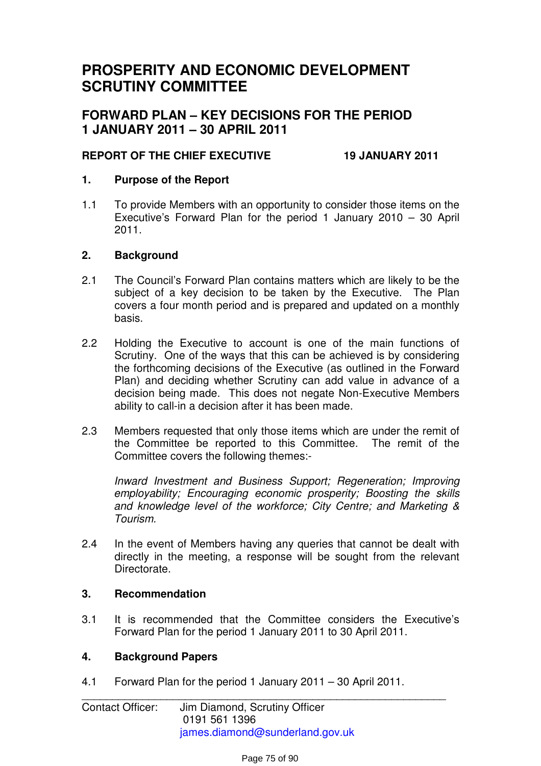## **PROSPERITY AND ECONOMIC DEVELOPMENT SCRUTINY COMMITTEE**

### **FORWARD PLAN – KEY DECISIONS FOR THE PERIOD 1 JANUARY 2011 – 30 APRIL 2011**

### **REPORT OF THE CHIEF EXECUTIVE 19 JANUARY 2011**

### **1. Purpose of the Report**

1.1 To provide Members with an opportunity to consider those items on the Executive's Forward Plan for the period 1 January 2010 – 30 April 2011.

### **2. Background**

- 2.1 The Council's Forward Plan contains matters which are likely to be the subject of a key decision to be taken by the Executive. The Plan covers a four month period and is prepared and updated on a monthly basis.
- 2.2 Holding the Executive to account is one of the main functions of Scrutiny. One of the ways that this can be achieved is by considering the forthcoming decisions of the Executive (as outlined in the Forward Plan) and deciding whether Scrutiny can add value in advance of a decision being made. This does not negate Non-Executive Members ability to call-in a decision after it has been made.
- 2.3 Members requested that only those items which are under the remit of the Committee be reported to this Committee. The remit of the Committee covers the following themes:-

Inward Investment and Business Support; Regeneration; Improving employability; Encouraging economic prosperity; Boosting the skills and knowledge level of the workforce; City Centre; and Marketing & Tourism.

2.4 In the event of Members having any queries that cannot be dealt with directly in the meeting, a response will be sought from the relevant Directorate.

### **3. Recommendation**

3.1 It is recommended that the Committee considers the Executive's Forward Plan for the period 1 January 2011 to 30 April 2011.

### **4. Background Papers**

4.1 Forward Plan for the period 1 January 2011 – 30 April 2011.

| Contact Officer: | Jim Diamond, Scrutiny Officer   |
|------------------|---------------------------------|
|                  | 0191 561 1396                   |
|                  | james.diamond@sunderland.gov.uk |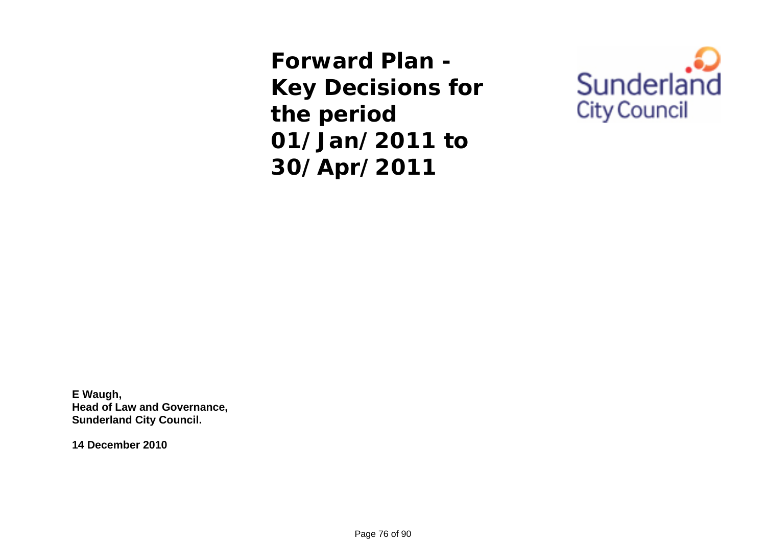**Forward Plan - Key Decisions for the period 01/Jan/2011 to 30/Apr/2011** 



**E Waugh, Head of Law and Governance, Sunderland City Council.** 

**14 December 2010**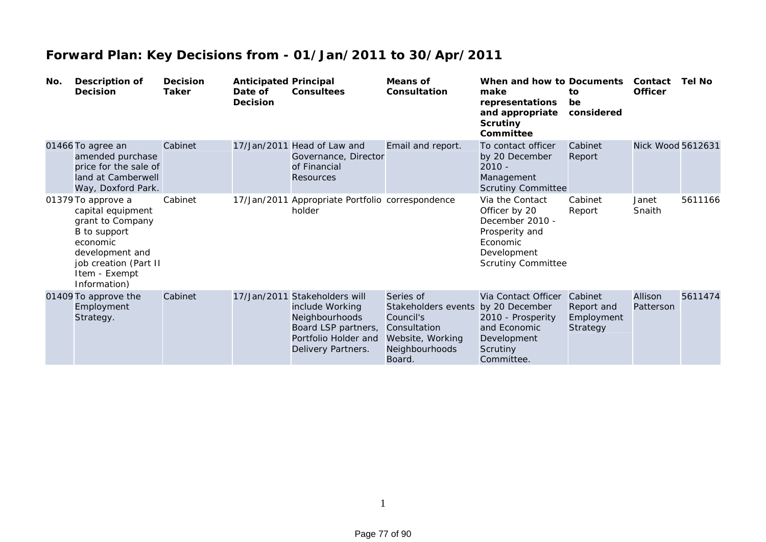| No. | Description of<br><b>Decision</b>                                                                                                                                    | <b>Decision</b><br><b>Taker</b> | <b>Anticipated Principal</b><br>Date of<br><b>Decision</b> | <b>Consultees</b>                                                                                                           | Means of<br>Consultation                                                                                      | When and how to Documents<br>make<br>representations<br>and appropriate<br><b>Scrutiny</b><br>Committee                       | to<br>be<br>considered                          | Contact<br><b>Officer</b> | <b>Tel No</b> |
|-----|----------------------------------------------------------------------------------------------------------------------------------------------------------------------|---------------------------------|------------------------------------------------------------|-----------------------------------------------------------------------------------------------------------------------------|---------------------------------------------------------------------------------------------------------------|-------------------------------------------------------------------------------------------------------------------------------|-------------------------------------------------|---------------------------|---------------|
|     | 01466 To agree an<br>amended purchase<br>price for the sale of<br>land at Camberwell<br>Way, Doxford Park.                                                           | Cabinet                         |                                                            | 17/Jan/2011 Head of Law and<br>Governance, Director<br>of Financial<br><b>Resources</b>                                     | Email and report.                                                                                             | To contact officer<br>by 20 December<br>$2010 -$<br>Management<br><b>Scrutiny Committee</b>                                   | Cabinet<br>Report                               | Nick Wood 5612631         |               |
|     | 01379 To approve a<br>capital equipment<br>grant to Company<br>B to support<br>economic<br>development and<br>job creation (Part II<br>Item - Exempt<br>Information) | Cabinet                         |                                                            | 17/Jan/2011 Appropriate Portfolio correspondence<br>holder                                                                  |                                                                                                               | Via the Contact<br>Officer by 20<br>December 2010 -<br>Prosperity and<br>Economic<br>Development<br><b>Scrutiny Committee</b> | Cabinet<br>Report                               | Janet<br>Snaith           | 5611166       |
|     | 01409 To approve the<br>Employment<br>Strategy.                                                                                                                      | Cabinet                         | 17/Jan/2011                                                | Stakeholders will<br>include Working<br>Neighbourhoods<br>Board LSP partners,<br>Portfolio Holder and<br>Delivery Partners. | Series of<br>Stakeholders events<br>Council's<br>Consultation<br>Website, Working<br>Neighbourhoods<br>Board. | Via Contact Officer<br>by 20 December<br>2010 - Prosperity<br>and Economic<br>Development<br>Scrutiny<br>Committee.           | Cabinet<br>Report and<br>Employment<br>Strategy | Allison<br>Patterson      | 5611474       |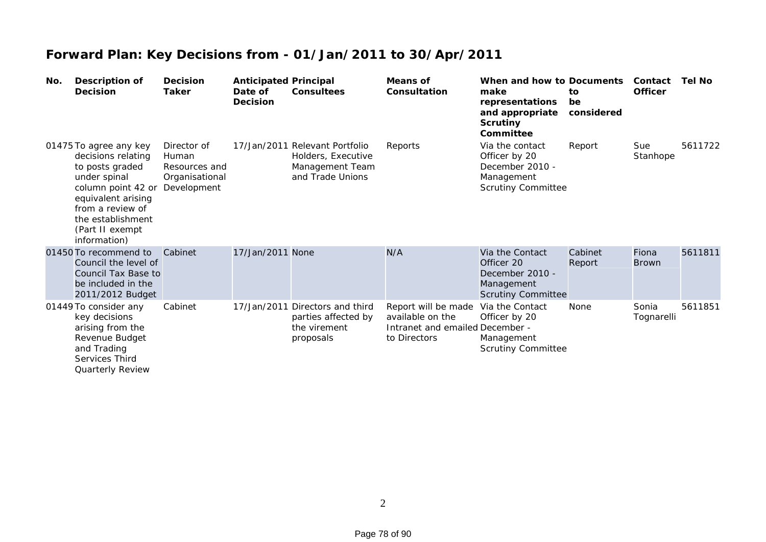| No. | Description of<br><b>Decision</b>                                                                                                                                                                       | <b>Decision</b><br>Taker                                               | <b>Anticipated Principal</b><br>Date of<br><b>Decision</b> | <b>Consultees</b>                                                                           | Means of<br>Consultation                                                                   | When and how to Documents<br>make<br>representations<br>and appropriate<br><b>Scrutiny</b><br>Committee | to<br>be<br>considered | Contact<br><b>Officer</b> | Tel No  |
|-----|---------------------------------------------------------------------------------------------------------------------------------------------------------------------------------------------------------|------------------------------------------------------------------------|------------------------------------------------------------|---------------------------------------------------------------------------------------------|--------------------------------------------------------------------------------------------|---------------------------------------------------------------------------------------------------------|------------------------|---------------------------|---------|
|     | 01475 To agree any key<br>decisions relating<br>to posts graded<br>under spinal<br>column point 42 or<br>equivalent arising<br>from a review of<br>the establishment<br>(Part II exempt<br>information) | Director of<br>Human<br>Resources and<br>Organisational<br>Development |                                                            | 17/Jan/2011 Relevant Portfolio<br>Holders, Executive<br>Management Team<br>and Trade Unions | Reports                                                                                    | Via the contact<br>Officer by 20<br>December 2010 -<br>Management<br><b>Scrutiny Committee</b>          | Report                 | Sue<br>Stanhope           | 5611722 |
|     | 01450 To recommend to<br>Council the level of<br>Council Tax Base to<br>be included in the<br>2011/2012 Budget                                                                                          | Cabinet                                                                | 17/Jan/2011 None                                           |                                                                                             | N/A                                                                                        | Via the Contact<br>Officer 20<br>December 2010 -<br>Management<br><b>Scrutiny Committee</b>             | Cabinet<br>Report      | Fiona<br><b>Brown</b>     | 5611811 |
|     | 01449 To consider any<br>key decisions<br>arising from the<br>Revenue Budget<br>and Trading<br>Services Third<br><b>Quarterly Review</b>                                                                | Cabinet                                                                | 17/Jan/2011                                                | Directors and third<br>parties affected by<br>the virement<br>proposals                     | Report will be made<br>available on the<br>Intranet and emailed December -<br>to Directors | Via the Contact<br>Officer by 20<br>Management<br><b>Scrutiny Committee</b>                             | None                   | Sonia<br>Tognarelli       | 5611851 |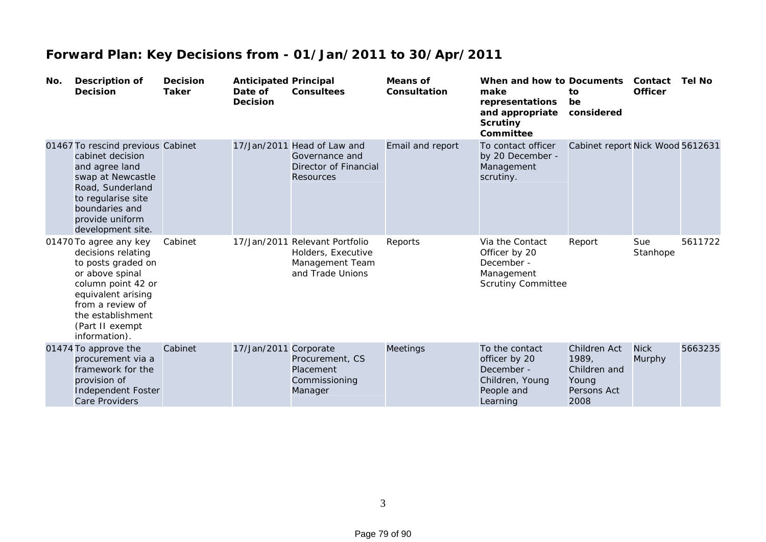| No. | <b>Description of</b><br><b>Decision</b>                                                                                                                                                                       | <b>Decision</b><br><b>Taker</b> | <b>Anticipated Principal</b><br>Date of<br><b>Decision</b> | <b>Consultees</b>                                                                           | <b>Means of</b><br>Consultation | When and how to Documents<br>make<br>representations<br>and appropriate<br><b>Scrutiny</b><br>Committee | to<br>be<br>considered                                                | Contact<br><b>Officer</b> | <b>Tel No</b> |
|-----|----------------------------------------------------------------------------------------------------------------------------------------------------------------------------------------------------------------|---------------------------------|------------------------------------------------------------|---------------------------------------------------------------------------------------------|---------------------------------|---------------------------------------------------------------------------------------------------------|-----------------------------------------------------------------------|---------------------------|---------------|
|     | 01467 To rescind previous Cabinet<br>cabinet decision<br>and agree land<br>swap at Newcastle<br>Road, Sunderland<br>to regularise site<br>boundaries and<br>provide uniform<br>development site.               |                                 |                                                            | 17/Jan/2011 Head of Law and<br>Governance and<br>Director of Financial<br><b>Resources</b>  | Email and report                | To contact officer<br>by 20 December -<br>Management<br>scrutiny.                                       | Cabinet report Nick Wood 5612631                                      |                           |               |
|     | 01470 To agree any key<br>decisions relating<br>to posts graded on<br>or above spinal<br>column point 42 or<br>equivalent arising<br>from a review of<br>the establishment<br>(Part II exempt<br>information). | Cabinet                         |                                                            | 17/Jan/2011 Relevant Portfolio<br>Holders, Executive<br>Management Team<br>and Trade Unions | Reports                         | Via the Contact<br>Officer by 20<br>December -<br>Management<br><b>Scrutiny Committee</b>               | Report                                                                | Sue<br>Stanhope           | 5611722       |
|     | 01474 To approve the<br>procurement via a<br>framework for the<br>provision of<br>Independent Foster<br><b>Care Providers</b>                                                                                  | Cabinet                         | 17/Jan/2011 Corporate                                      | Procurement, CS<br>Placement<br>Commissioning<br>Manager                                    | <b>Meetings</b>                 | To the contact<br>officer by 20<br>December -<br>Children, Young<br>People and<br>Learning              | Children Act<br>1989,<br>Children and<br>Young<br>Persons Act<br>2008 | <b>Nick</b><br>Murphy     | 5663235       |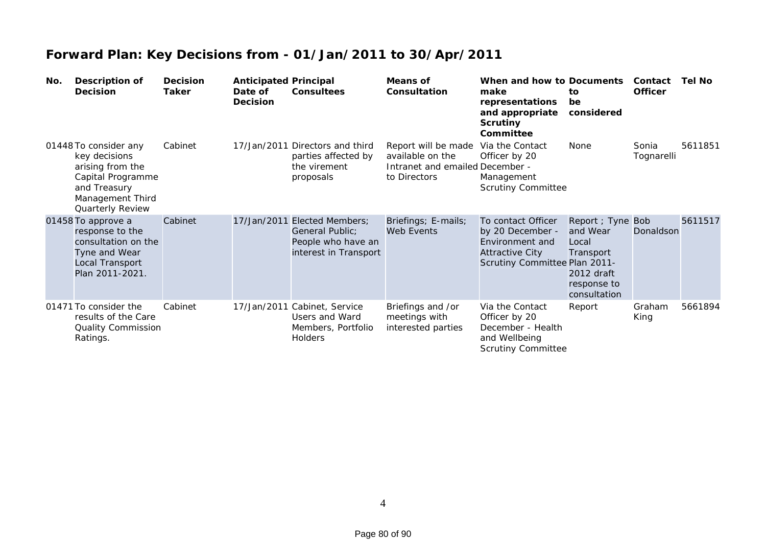| No. | Description of<br><b>Decision</b>                                                                                                       | <b>Decision</b><br>Taker | <b>Anticipated Principal</b><br>Date of<br><b>Decision</b> | <b>Consultees</b>                                                                              | Means of<br>Consultation                                                                   | When and how to Documents<br>make<br>representations<br>and appropriate<br><b>Scrutiny</b><br>Committee              | to<br>be<br>considered                                                                           | Contact<br><b>Officer</b> | <b>Tel No</b> |
|-----|-----------------------------------------------------------------------------------------------------------------------------------------|--------------------------|------------------------------------------------------------|------------------------------------------------------------------------------------------------|--------------------------------------------------------------------------------------------|----------------------------------------------------------------------------------------------------------------------|--------------------------------------------------------------------------------------------------|---------------------------|---------------|
|     | 01448 To consider any<br>key decisions<br>arising from the<br>Capital Programme<br>and Treasury<br>Management Third<br>Quarterly Review | Cabinet                  |                                                            | 17/Jan/2011 Directors and third<br>parties affected by<br>the virement<br>proposals            | Report will be made<br>available on the<br>Intranet and emailed December -<br>to Directors | Via the Contact<br>Officer by 20<br>Management<br><b>Scrutiny Committee</b>                                          | None                                                                                             | Sonia<br>Tognarelli       | 5611851       |
|     | 01458 To approve a<br>response to the<br>consultation on the<br>Tyne and Wear<br>Local Transport<br>Plan 2011-2021.                     | Cabinet                  |                                                            | 17/Jan/2011 Elected Members;<br>General Public;<br>People who have an<br>interest in Transport | Briefings; E-mails;<br>Web Events                                                          | To contact Officer<br>by 20 December -<br>Environment and<br><b>Attractive City</b><br>Scrutiny Committee Plan 2011- | Report ; Tyne Bob<br>and Wear<br>Local<br>Transport<br>2012 draft<br>response to<br>consultation | Donaldson                 | 5611517       |
|     | 01471 To consider the<br>results of the Care<br>Quality Commission<br>Ratings.                                                          | Cabinet                  |                                                            | 17/Jan/2011 Cabinet, Service<br>Users and Ward<br>Members, Portfolio<br>Holders                | Briefings and /or<br>meetings with<br>interested parties                                   | Via the Contact<br>Officer by 20<br>December - Health<br>and Wellbeing<br><b>Scrutiny Committee</b>                  | Report                                                                                           | Graham<br>King            | 5661894       |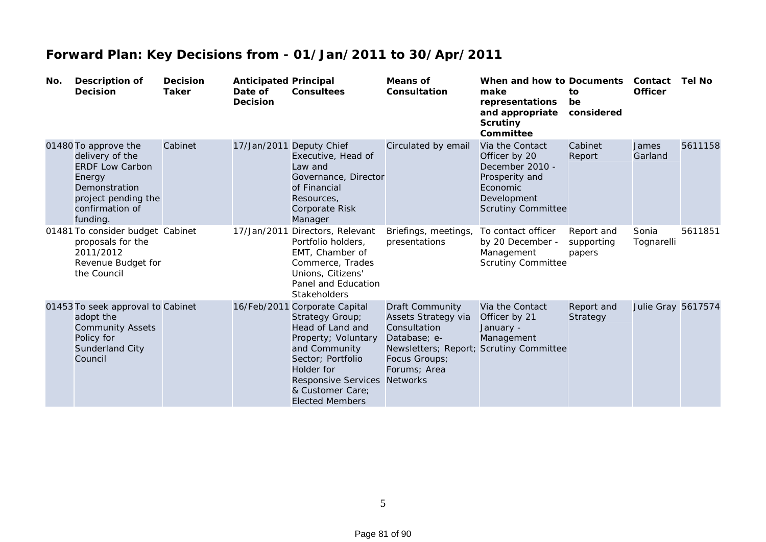| No. | Description of<br><b>Decision</b>                                                                                                                  | <b>Decision</b><br><b>Taker</b> | <b>Anticipated Principal</b><br>Date of<br><b>Decision</b> | <b>Consultees</b>                                                                                                                                                                                                           | <b>Means of</b><br>Consultation                                                                                                                           | When and how to Documents<br>make<br>representations<br>and appropriate<br><b>Scrutiny</b><br>Committee                       | to<br>be<br>considered             | Contact<br><b>Officer</b> | <b>Tel No</b> |
|-----|----------------------------------------------------------------------------------------------------------------------------------------------------|---------------------------------|------------------------------------------------------------|-----------------------------------------------------------------------------------------------------------------------------------------------------------------------------------------------------------------------------|-----------------------------------------------------------------------------------------------------------------------------------------------------------|-------------------------------------------------------------------------------------------------------------------------------|------------------------------------|---------------------------|---------------|
|     | 01480 To approve the<br>delivery of the<br><b>ERDF Low Carbon</b><br>Energy<br>Demonstration<br>project pending the<br>confirmation of<br>funding. | Cabinet                         |                                                            | 17/Jan/2011 Deputy Chief<br>Executive, Head of<br>Law and<br>Governance, Director<br>of Financial<br>Resources,<br><b>Corporate Risk</b><br>Manager                                                                         | Circulated by email                                                                                                                                       | Via the Contact<br>Officer by 20<br>December 2010 -<br>Prosperity and<br>Economic<br>Development<br><b>Scrutiny Committee</b> | Cabinet<br>Report                  | <b>James</b><br>Garland   | 5611158       |
|     | 01481 To consider budget Cabinet<br>proposals for the<br>2011/2012<br>Revenue Budget for<br>the Council                                            |                                 |                                                            | 17/Jan/2011 Directors, Relevant<br>Portfolio holders,<br>EMT, Chamber of<br>Commerce, Trades<br>Unions, Citizens'<br>Panel and Education<br><b>Stakeholders</b>                                                             | Briefings, meetings,<br>presentations                                                                                                                     | To contact officer<br>by 20 December -<br>Management<br><b>Scrutiny Committee</b>                                             | Report and<br>supporting<br>papers | Sonia<br>Tognarelli       | 5611851       |
|     | 01453 To seek approval to Cabinet<br>adopt the<br><b>Community Assets</b><br>Policy for<br>Sunderland City<br>Council                              |                                 |                                                            | 16/Feb/2011 Corporate Capital<br>Strategy Group;<br>Head of Land and<br>Property; Voluntary<br>and Community<br>Sector; Portfolio<br>Holder for<br><b>Responsive Services</b><br>& Customer Care;<br><b>Elected Members</b> | <b>Draft Community</b><br>Assets Strategy via<br>Consultation<br>Database; e-<br>Newsletters; Report;<br>Focus Groups;<br>Forums; Area<br><b>Networks</b> | Via the Contact<br>Officer by 21<br>January -<br>Management<br><b>Scrutiny Committee</b>                                      | Report and<br>Strategy             | <b>Julie Gray 5617574</b> |               |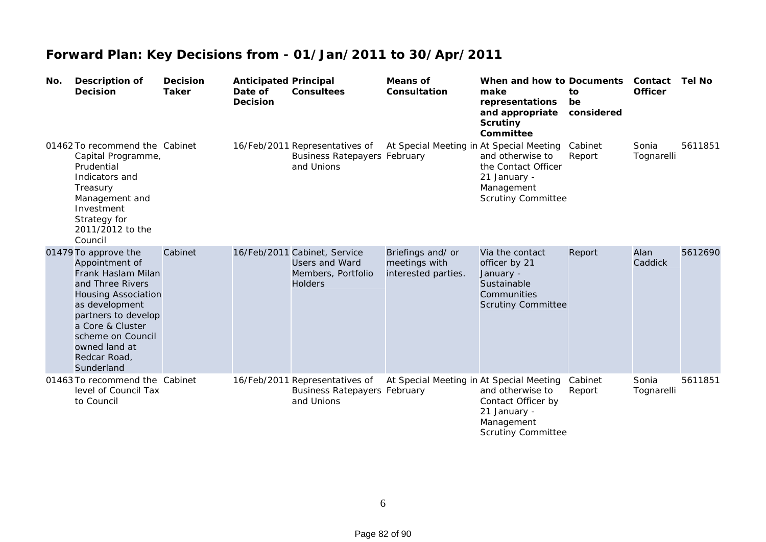| No. | Description of<br><b>Decision</b>                                                                                                                                                                                                               | <b>Decision</b><br><b>Taker</b> | <b>Anticipated Principal</b><br>Date of<br><b>Decision</b> | <b>Consultees</b>                                                                             | <b>Means of</b><br>Consultation                           | When and how to Documents<br>make<br>representations<br>and appropriate<br><b>Scrutiny</b><br>Committee  | to<br>be<br>considered | Contact<br><b>Officer</b> | Tel No  |
|-----|-------------------------------------------------------------------------------------------------------------------------------------------------------------------------------------------------------------------------------------------------|---------------------------------|------------------------------------------------------------|-----------------------------------------------------------------------------------------------|-----------------------------------------------------------|----------------------------------------------------------------------------------------------------------|------------------------|---------------------------|---------|
|     | 01462 To recommend the Cabinet<br>Capital Programme,<br>Prudential<br>Indicators and<br>Treasury<br>Management and<br>Investment<br>Strategy for<br>2011/2012 to the<br>Council                                                                 |                                 |                                                            | 16/Feb/2011 Representatives of<br>Business Ratepayers February<br>and Unions                  | At Special Meeting in At Special Meeting                  | and otherwise to<br>the Contact Officer<br>21 January -<br>Management<br><b>Scrutiny Committee</b>       | Cabinet<br>Report      | Sonia<br>Tognarelli       | 5611851 |
|     | 01479 To approve the<br>Appointment of<br>Frank Haslam Milan<br>and Three Rivers<br><b>Housing Association</b><br>as development<br>partners to develop<br>a Core & Cluster<br>scheme on Council<br>owned land at<br>Redcar Road,<br>Sunderland | Cabinet                         |                                                            | 16/Feb/2011 Cabinet, Service<br><b>Users and Ward</b><br>Members, Portfolio<br><b>Holders</b> | Briefings and/ or<br>meetings with<br>interested parties. | Via the contact<br>officer by 21<br>January -<br>Sustainable<br>Communities<br><b>Scrutiny Committee</b> | Report                 | Alan<br>Caddick           | 5612690 |
|     | 01463 To recommend the Cabinet<br>level of Council Tax<br>to Council                                                                                                                                                                            |                                 |                                                            | 16/Feb/2011 Representatives of<br><b>Business Ratepayers February</b><br>and Unions           | At Special Meeting in At Special Meeting                  | and otherwise to<br>Contact Officer by<br>21 January -<br>Management<br><b>Scrutiny Committee</b>        | Cabinet<br>Report      | Sonia<br>Tognarelli       | 5611851 |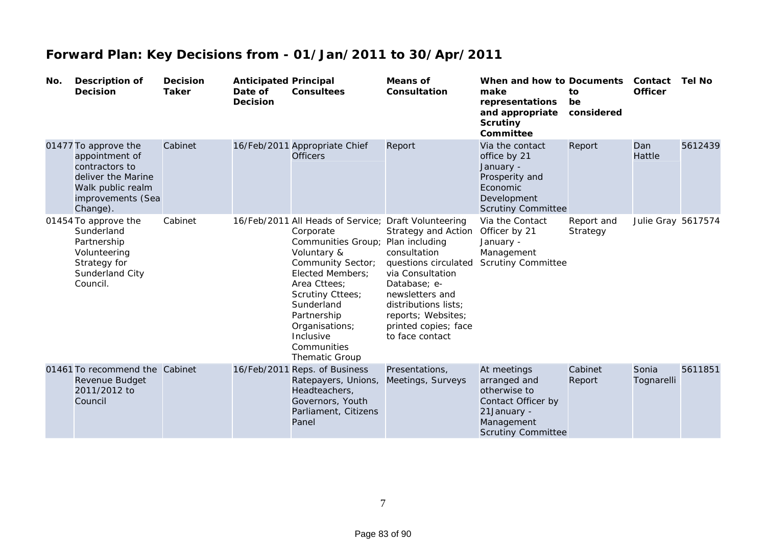| No. | <b>Description of</b><br><b>Decision</b>                                                                                             | <b>Decision</b><br><b>Taker</b> | <b>Anticipated Principal</b><br>Date of<br><b>Decision</b> | <b>Consultees</b>                                                                                                                                                                                                                                                                       | <b>Means of</b><br>Consultation                                                                                                                                                                                               | When and how to Documents<br>make<br>representations<br>and appropriate<br><b>Scrutiny</b><br>Committee                     | to<br>be<br>considered | Contact<br><b>Officer</b> | <b>Tel No</b> |
|-----|--------------------------------------------------------------------------------------------------------------------------------------|---------------------------------|------------------------------------------------------------|-----------------------------------------------------------------------------------------------------------------------------------------------------------------------------------------------------------------------------------------------------------------------------------------|-------------------------------------------------------------------------------------------------------------------------------------------------------------------------------------------------------------------------------|-----------------------------------------------------------------------------------------------------------------------------|------------------------|---------------------------|---------------|
|     | 01477 To approve the<br>appointment of<br>contractors to<br>deliver the Marine<br>Walk public realm<br>improvements (Sea<br>Change). | Cabinet                         |                                                            | 16/Feb/2011 Appropriate Chief<br><b>Officers</b>                                                                                                                                                                                                                                        | Report                                                                                                                                                                                                                        | Via the contact<br>office by 21<br>January -<br>Prosperity and<br>Economic<br>Development<br><b>Scrutiny Committee</b>      | Report                 | Dan<br>Hattle             | 5612439       |
|     | 01454 To approve the<br>Sunderland<br>Partnership<br>Volunteering<br>Strategy for<br>Sunderland City<br>Council.                     | Cabinet                         |                                                            | 16/Feb/2011 All Heads of Service; Draft Volunteering<br>Corporate<br>Communities Group;<br>Voluntary &<br>Community Sector;<br>Elected Members;<br>Area Cttees;<br><b>Scrutiny Cttees;</b><br>Sunderland<br>Partnership<br>Organisations;<br>Inclusive<br>Communities<br>Thematic Group | Strategy and Action<br>Plan including<br>consultation<br>questions circulated<br>via Consultation<br>Database; e-<br>newsletters and<br>distributions lists;<br>reports; Websites;<br>printed copies; face<br>to face contact | Via the Contact<br>Officer by 21<br>January -<br>Management<br><b>Scrutiny Committee</b>                                    | Report and<br>Strategy | Julie Gray 5617574        |               |
|     | 01461 To recommend the Cabinet<br>Revenue Budget<br>2011/2012 to<br>Council                                                          |                                 |                                                            | 16/Feb/2011 Reps. of Business<br>Ratepayers, Unions,<br>Headteachers,<br>Governors, Youth<br>Parliament, Citizens<br>Panel                                                                                                                                                              | Presentations,<br>Meetings, Surveys                                                                                                                                                                                           | At meetings<br>arranged and<br>otherwise to<br>Contact Officer by<br>21January -<br>Management<br><b>Scrutiny Committee</b> | Cabinet<br>Report      | Sonia<br>Tognarelli       | 5611851       |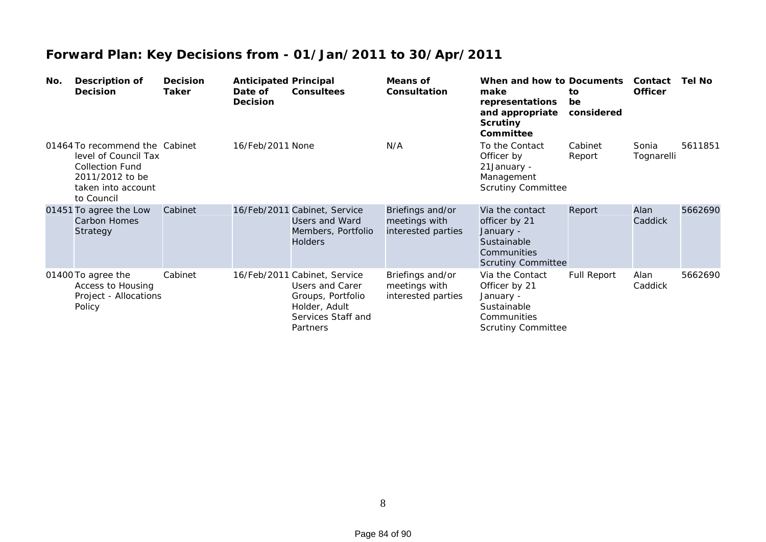| No. | Description of<br><b>Decision</b>                                                                                                       | <b>Decision</b><br>Taker | <b>Anticipated Principal</b><br>Date of<br><b>Decision</b> | <b>Consultees</b>                                                                                                              | Means of<br><b>Consultation</b>                         | When and how to Documents<br>make<br>representations<br>and appropriate<br>Scrutiny<br>Committee         | to<br>be<br>considered | Contact<br><b>Officer</b> | <b>Tel No</b> |
|-----|-----------------------------------------------------------------------------------------------------------------------------------------|--------------------------|------------------------------------------------------------|--------------------------------------------------------------------------------------------------------------------------------|---------------------------------------------------------|----------------------------------------------------------------------------------------------------------|------------------------|---------------------------|---------------|
|     | 01464 To recommend the Cabinet<br>level of Council Tax<br><b>Collection Fund</b><br>2011/2012 to be<br>taken into account<br>to Council |                          | 16/Feb/2011 None                                           |                                                                                                                                | N/A                                                     | To the Contact<br>Officer by<br>21January -<br>Management<br><b>Scrutiny Committee</b>                   | Cabinet<br>Report      | Sonia<br>Tognarelli       | 5611851       |
|     | 01451 To agree the Low<br>Carbon Homes<br>Strategy                                                                                      | Cabinet                  |                                                            | 16/Feb/2011 Cabinet, Service<br>Users and Ward<br>Members, Portfolio<br><b>Holders</b>                                         | Briefings and/or<br>meetings with<br>interested parties | Via the contact<br>officer by 21<br>January -<br>Sustainable<br>Communities<br><b>Scrutiny Committee</b> | Report                 | Alan<br>Caddick           | 5662690       |
|     | 01400 To agree the<br>Access to Housing<br>Project - Allocations<br>Policy                                                              | Cabinet                  |                                                            | 16/Feb/2011 Cabinet, Service<br>Users and Carer<br>Groups, Portfolio<br>Holder, Adult<br>Services Staff and<br><b>Partners</b> | Briefings and/or<br>meetings with<br>interested parties | Via the Contact<br>Officer by 21<br>January -<br>Sustainable<br>Communities<br><b>Scrutiny Committee</b> | <b>Full Report</b>     | Alan<br>Caddick           | 5662690       |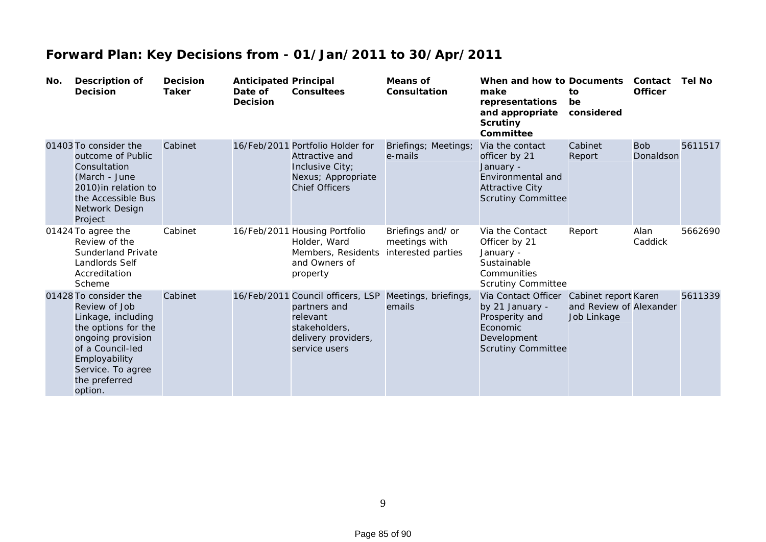| No. | <b>Description of</b><br><b>Decision</b>                                                                                                                                                       | <b>Decision</b><br><b>Taker</b> | <b>Anticipated Principal</b><br>Date of<br><b>Decision</b> | <b>Consultees</b>                                                                                                      | Means of<br>Consultation                                 | When and how to Documents<br>make<br>representations<br>and appropriate<br><b>Scrutiny</b><br>Committee                   | to<br>be<br>considered                                         | Contact<br><b>Officer</b> | <b>Tel No</b> |
|-----|------------------------------------------------------------------------------------------------------------------------------------------------------------------------------------------------|---------------------------------|------------------------------------------------------------|------------------------------------------------------------------------------------------------------------------------|----------------------------------------------------------|---------------------------------------------------------------------------------------------------------------------------|----------------------------------------------------------------|---------------------------|---------------|
|     | 01403 To consider the<br>outcome of Public<br>Consultation<br>(March - June<br>2010) in relation to<br>the Accessible Bus<br>Network Design<br>Project                                         | Cabinet                         |                                                            | 16/Feb/2011 Portfolio Holder for<br>Attractive and<br>Inclusive City;<br>Nexus; Appropriate<br><b>Chief Officers</b>   | Briefings; Meetings;<br>e-mails                          | Via the contact<br>officer by 21<br>January -<br>Environmental and<br><b>Attractive City</b><br><b>Scrutiny Committee</b> | Cabinet<br>Report                                              | <b>Bob</b><br>Donaldson   | 5611517       |
|     | 01424 To agree the<br>Review of the<br><b>Sunderland Private</b><br>Landlords Self<br>Accreditation<br>Scheme                                                                                  | Cabinet                         |                                                            | 16/Feb/2011 Housing Portfolio<br>Holder, Ward<br>Members, Residents<br>and Owners of<br>property                       | Briefings and/ or<br>meetings with<br>interested parties | Via the Contact<br>Officer by 21<br>January -<br>Sustainable<br>Communities<br><b>Scrutiny Committee</b>                  | Report                                                         | Alan<br>Caddick           | 5662690       |
|     | 01428 To consider the<br>Review of Job<br>Linkage, including<br>the options for the<br>ongoing provision<br>of a Council-led<br>Employability<br>Service. To agree<br>the preferred<br>option. | Cabinet                         |                                                            | 16/Feb/2011 Council officers, LSP<br>partners and<br>relevant<br>stakeholders,<br>delivery providers,<br>service users | Meetings, briefings,<br>emails                           | Via Contact Officer<br>by 21 January -<br>Prosperity and<br>Economic<br>Development<br><b>Scrutiny Committee</b>          | Cabinet report Karen<br>and Review of Alexander<br>Job Linkage |                           | 5611339       |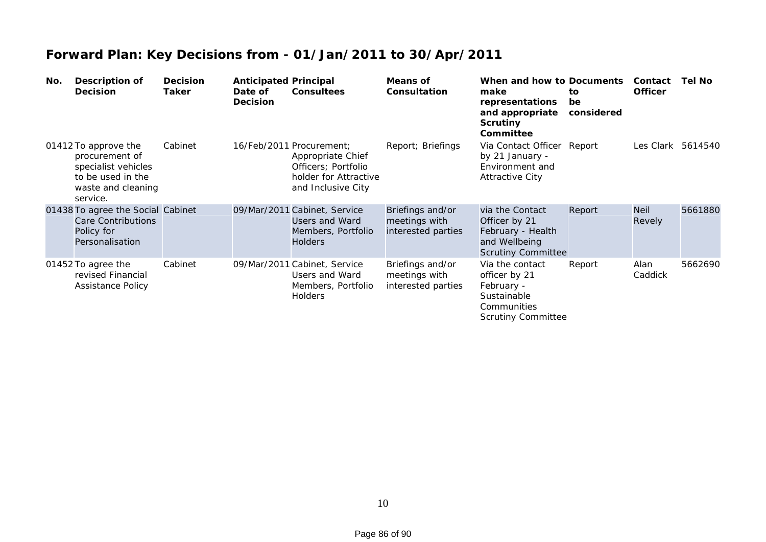| No. | Description of<br><b>Decision</b>                                                                                    | <b>Decision</b><br>Taker | <b>Anticipated Principal</b><br>Date of<br><b>Decision</b> | <b>Consultees</b>                                                                                                   | Means of<br><b>Consultation</b>                         | When and how to Documents<br>make<br>representations<br>and appropriate<br><b>Scrutiny</b><br>Committee   | to<br>be<br>considered | Contact<br><b>Officer</b> | <b>Tel No</b> |
|-----|----------------------------------------------------------------------------------------------------------------------|--------------------------|------------------------------------------------------------|---------------------------------------------------------------------------------------------------------------------|---------------------------------------------------------|-----------------------------------------------------------------------------------------------------------|------------------------|---------------------------|---------------|
|     | 01412 To approve the<br>procurement of<br>specialist vehicles<br>to be used in the<br>waste and cleaning<br>service. | Cabinet                  |                                                            | 16/Feb/2011 Procurement;<br>Appropriate Chief<br>Officers; Portfolio<br>holder for Attractive<br>and Inclusive City | Report; Briefings                                       | Via Contact Officer Report<br>by 21 January -<br>Environment and<br><b>Attractive City</b>                |                        | Les Clark                 | 5614540       |
|     | 01438 To agree the Social Cabinet<br>Care Contributions<br>Policy for<br>Personalisation                             |                          |                                                            | 09/Mar/2011 Cabinet, Service<br>Users and Ward<br>Members, Portfolio<br><b>Holders</b>                              | Briefings and/or<br>meetings with<br>interested parties | via the Contact<br>Officer by 21<br>February - Health<br>and Wellbeing<br><b>Scrutiny Committee</b>       | Report                 | <b>Neil</b><br>Revely     | 5661880       |
|     | 01452 To agree the<br>revised Financial<br><b>Assistance Policy</b>                                                  | Cabinet                  |                                                            | 09/Mar/2011 Cabinet, Service<br>Users and Ward<br>Members, Portfolio<br><b>Holders</b>                              | Briefings and/or<br>meetings with<br>interested parties | Via the contact<br>officer by 21<br>February -<br>Sustainable<br>Communities<br><b>Scrutiny Committee</b> | Report                 | Alan<br>Caddick           | 5662690       |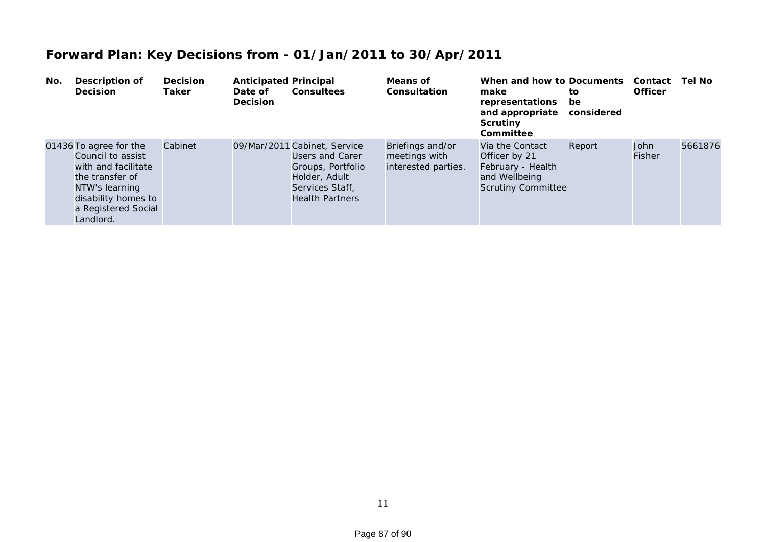| No. | Description of<br><b>Decision</b>                                                                                                                                  | <b>Decision</b><br>Taker | <b>Anticipated Principal</b><br>Date of<br><b>Decision</b> | Consultees                                                                                                                         | Means of<br>Consultation                                 | When and how to Documents<br>make<br>representations<br>and appropriate<br><b>Scrutiny</b><br>Committee | to<br>be<br>considered | Contact<br><b>Officer</b> | Tel No  |
|-----|--------------------------------------------------------------------------------------------------------------------------------------------------------------------|--------------------------|------------------------------------------------------------|------------------------------------------------------------------------------------------------------------------------------------|----------------------------------------------------------|---------------------------------------------------------------------------------------------------------|------------------------|---------------------------|---------|
|     | 01436 To agree for the<br>Council to assist<br>with and facilitate<br>the transfer of<br>NTW's learning<br>disability homes to<br>a Registered Social<br>Landlord. | Cabinet                  |                                                            | 09/Mar/2011 Cabinet, Service<br>Users and Carer<br>Groups, Portfolio<br>Holder, Adult<br>Services Staff,<br><b>Health Partners</b> | Briefings and/or<br>meetings with<br>interested parties. | Via the Contact<br>Officer by 21<br>February - Health<br>and Wellbeing<br><b>Scrutiny Committee</b>     | Report                 | John<br><b>Fisher</b>     | 5661876 |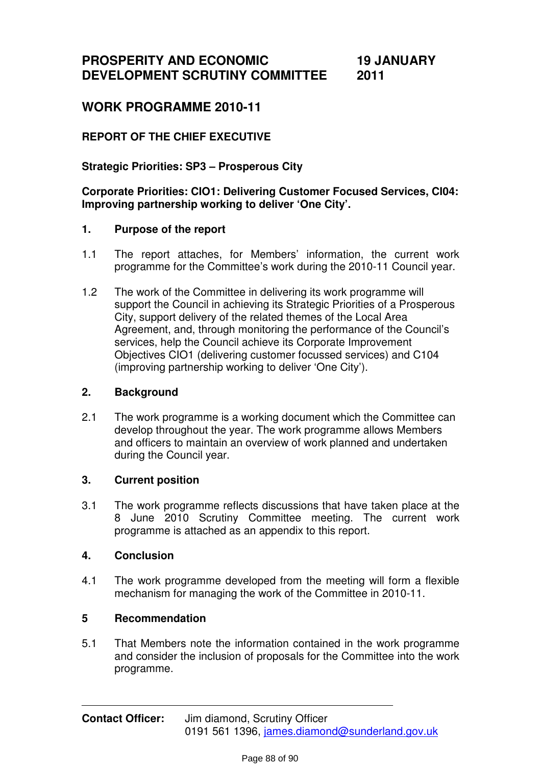**PROSPERITY AND ECONOMIC DEVELOPMENT SCRUTINY COMMITTEE** 

**19 JANUARY 2011** 

### **WORK PROGRAMME 2010-11**

### **REPORT OF THE CHIEF EXECUTIVE**

### **Strategic Priorities: SP3 – Prosperous City**

### **Corporate Priorities: CIO1: Delivering Customer Focused Services, CI04: Improving partnership working to deliver 'One City'.**

### **1. Purpose of the report**

- 1.1 The report attaches, for Members' information, the current work programme for the Committee's work during the 2010-11 Council year.
- 1.2 The work of the Committee in delivering its work programme will support the Council in achieving its Strategic Priorities of a Prosperous City, support delivery of the related themes of the Local Area Agreement, and, through monitoring the performance of the Council's services, help the Council achieve its Corporate Improvement Objectives CIO1 (delivering customer focussed services) and C104 (improving partnership working to deliver 'One City').

### **2. Background**

2.1The work programme is a working document which the Committee can develop throughout the year. The work programme allows Members and officers to maintain an overview of work planned and undertaken during the Council year.

### **3. Current position**

3.1 The work programme reflects discussions that have taken place at the 8 June 2010 Scrutiny Committee meeting. The current work programme is attached as an appendix to this report.

### **4. Conclusion**

4.1 The work programme developed from the meeting will form a flexible mechanism for managing the work of the Committee in 2010-11.

### **5 Recommendation**

5.1 That Members note the information contained in the work programme and consider the inclusion of proposals for the Committee into the work programme.

### **Contact Officer:** Jim diamond, Scrutiny Officer 0191 561 1396, james.diamond@sunderland.gov.uk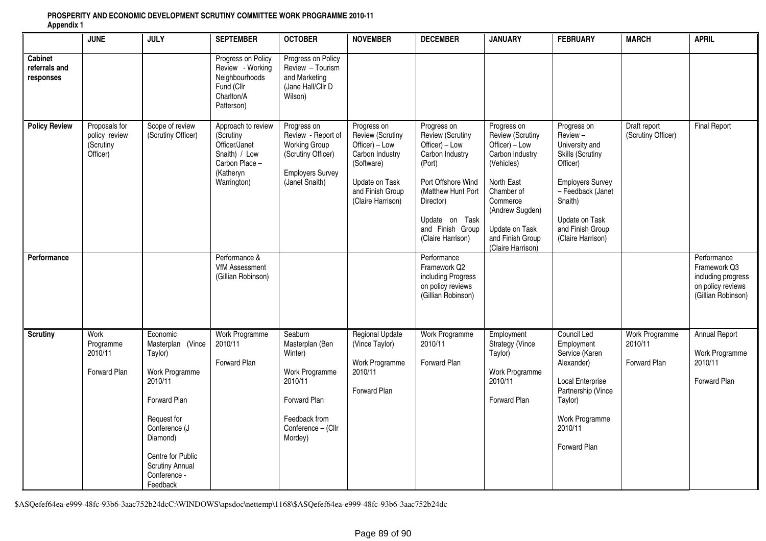|                                       | <b>JUNE</b>                                             | <b>JULY</b>                                                                                                                                                                                                  | <b>SEPTEMBER</b>                                                                                                | <b>OCTOBER</b>                                                                                                                       | <b>NOVEMBER</b>                                                                                                                               | <b>DECEMBER</b>                                                                                                                                                                                    | <b>JANUARY</b>                                                                                                                                                                                           | <b>FEBRUARY</b>                                                                                                                                                                                          | <b>MARCH</b>                              | <b>APRIL</b>                                                                                 |
|---------------------------------------|---------------------------------------------------------|--------------------------------------------------------------------------------------------------------------------------------------------------------------------------------------------------------------|-----------------------------------------------------------------------------------------------------------------|--------------------------------------------------------------------------------------------------------------------------------------|-----------------------------------------------------------------------------------------------------------------------------------------------|----------------------------------------------------------------------------------------------------------------------------------------------------------------------------------------------------|----------------------------------------------------------------------------------------------------------------------------------------------------------------------------------------------------------|----------------------------------------------------------------------------------------------------------------------------------------------------------------------------------------------------------|-------------------------------------------|----------------------------------------------------------------------------------------------|
| Cabinet<br>referrals and<br>responses |                                                         |                                                                                                                                                                                                              | Progress on Policy<br>Review - Working<br>Neighbourhoods<br>Fund (Cllr<br>Charlton/A<br>Patterson)              | Progress on Policy<br>Review - Tourism<br>and Marketing<br>(Jane Hall/Cllr D<br>Wilson)                                              |                                                                                                                                               |                                                                                                                                                                                                    |                                                                                                                                                                                                          |                                                                                                                                                                                                          |                                           |                                                                                              |
| <b>Policy Review</b>                  | Proposals for<br>policy review<br>(Scrutiny<br>Officer) | Scope of review<br>(Scrutiny Officer)                                                                                                                                                                        | Approach to review<br>(Scrutiny<br>Officer/Janet<br>Snaith) / Low<br>Carbon Place -<br>(Katheryn<br>Warrington) | Progress on<br>Review - Report of<br><b>Working Group</b><br>(Scrutiny Officer)<br><b>Employers Survey</b><br>(Janet Snaith)         | Progress on<br>Review (Scrutiny<br>Officer) - Low<br>Carbon Industry<br>(Software)<br>Update on Task<br>and Finish Group<br>(Claire Harrison) | Progress on<br>Review (Scrutiny<br>Officer) - Low<br>Carbon Industry<br>(Port)<br>Port Offshore Wind<br>(Matthew Hunt Port<br>Director)<br>Update on Task<br>and Finish Group<br>(Claire Harrison) | Progress on<br>Review (Scrutiny<br>Officer) - Low<br>Carbon Industry<br>(Vehicles)<br>North East<br>Chamber of<br>Commerce<br>(Andrew Sugden)<br>Update on Task<br>and Finish Group<br>(Claire Harrison) | Progress on<br>$Review -$<br>University and<br><b>Skills (Scrutiny</b><br>Officer)<br><b>Employers Survey</b><br>- Feedback (Janet<br>Snaith)<br>Update on Task<br>and Finish Group<br>(Claire Harrison) | Draft report<br>(Scrutiny Officer)        | <b>Final Report</b>                                                                          |
| Performance                           |                                                         |                                                                                                                                                                                                              | Performance &<br><b>VfM Assessment</b><br>(Gillian Robinson)                                                    |                                                                                                                                      |                                                                                                                                               | Performance<br>Framework Q2<br>including Progress<br>on policy reviews<br>(Gillian Robinson)                                                                                                       |                                                                                                                                                                                                          |                                                                                                                                                                                                          |                                           | Performance<br>Framework Q3<br>including progress<br>on policy reviews<br>(Gillian Robinson) |
| <b>Scrutiny</b>                       | Work<br>Programme<br>2010/11<br>Forward Plan            | Economic<br>Masterplan (Vince<br>Taylor)<br>Work Programme<br>2010/11<br>Forward Plan<br>Request for<br>Conference (J<br>Diamond)<br>Centre for Public<br><b>Scrutiny Annual</b><br>Conference -<br>Feedback | Work Programme<br>2010/11<br>Forward Plan                                                                       | Seaburn<br>Masterplan (Ben<br>Winter)<br>Work Programme<br>2010/11<br>Forward Plan<br>Feedback from<br>Conference - (Cllr<br>Mordey) | <b>Regional Update</b><br>(Vince Taylor)<br>Work Programme<br>2010/11<br>Forward Plan                                                         | Work Programme<br>2010/11<br>Forward Plan                                                                                                                                                          | Employment<br>Strategy (Vince<br>Taylor)<br>Work Programme<br>2010/11<br>Forward Plan                                                                                                                    | Council Led<br>Employment<br>Service (Karen<br>Alexander)<br>Local Enterprise<br>Partnership (Vince<br>Taylor)<br>Work Programme<br>2010/11<br>Forward Plan                                              | Work Programme<br>2010/11<br>Forward Plan | Annual Report<br>Work Programme<br>2010/11<br>Forward Plan                                   |

#### **PROSPERITY AND ECONOMIC DEVELOPMENT SCRUTINY COMMITTEE WORK PROGRAMME 2010-11 Appendix 1**

\$ASQefef64ea-e999-48fc-93b6-3aac752b24dcC:\WINDOWS\apsdoc\nettemp\1168\\$ASQefef64ea-e999-48fc-93b6-3aac752b24dc